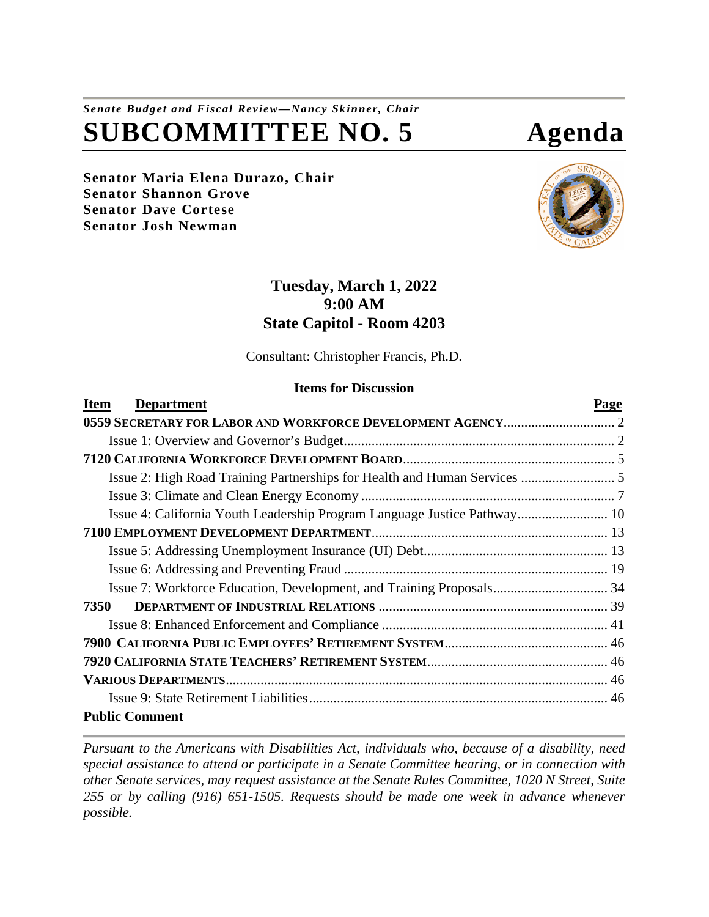# *Senate Budget and Fiscal Review—Nancy Skinner, Chair* **SUBCOMMITTEE NO. 5 Agenda**

**Senator Maria Elena Durazo, Chair Senator Shannon Grove Senator Dave Cortese Senator Josh Newman**



# **Tuesday, March 1, 2022 9:00 AM State Capitol - Room 4203**

Consultant: Christopher Francis, Ph.D.

#### **Items for Discussion**

| <b>Department</b><br><b>Item</b>                                         | Page |
|--------------------------------------------------------------------------|------|
|                                                                          |      |
|                                                                          |      |
|                                                                          |      |
|                                                                          |      |
|                                                                          |      |
| Issue 4: California Youth Leadership Program Language Justice Pathway 10 |      |
|                                                                          |      |
|                                                                          |      |
|                                                                          |      |
|                                                                          |      |
| 7350                                                                     |      |
|                                                                          |      |
|                                                                          |      |
|                                                                          |      |
|                                                                          |      |
|                                                                          |      |
| <b>Public Comment</b>                                                    |      |

*Pursuant to the Americans with Disabilities Act, individuals who, because of a disability, need special assistance to attend or participate in a Senate Committee hearing, or in connection with other Senate services, may request assistance at the Senate Rules Committee, 1020 N Street, Suite 255 or by calling (916) 651-1505. Requests should be made one week in advance whenever possible.*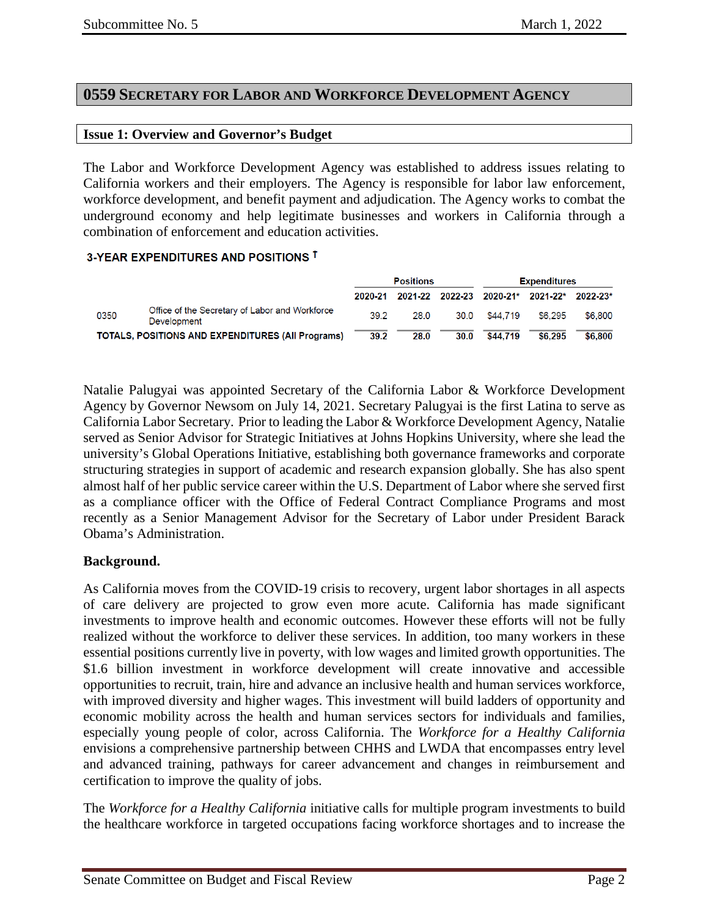# <span id="page-1-0"></span>**0559 SECRETARY FOR LABOR AND WORKFORCE DEVELOPMENT AGENCY**

#### <span id="page-1-1"></span>**Issue 1: Overview and Governor's Budget**

The Labor and Workforce Development Agency was established to address issues relating to California workers and their employers. The Agency is responsible for labor law enforcement, workforce development, and benefit payment and adjudication. The Agency works to combat the underground economy and help legitimate businesses and workers in California through a combination of enforcement and education activities.

## 3-YEAR EXPENDITURES AND POSITIONS T

|      |                                                               | <b>Positions</b> |      | <b>Expenditures</b> |          |                                   |          |
|------|---------------------------------------------------------------|------------------|------|---------------------|----------|-----------------------------------|----------|
|      |                                                               | 2020-21          |      |                     |          | 2021 22 2022 23 2020 21* 2021 22* | 2022-23* |
| 0350 | Office of the Secretary of Labor and Workforce<br>Development | 39.2             | 28.0 | 30.0                | \$44,719 | \$6,295                           | \$6,800  |
|      | <b>TOTALS, POSITIONS AND EXPENDITURES (All Programs)</b>      | 39.2             | 28.0 | 30.0                | \$44.719 | \$6.295                           | \$6.800  |

Natalie Palugyai was appointed Secretary of the California Labor & Workforce Development Agency by Governor Newsom on July 14, 2021. Secretary Palugyai is the first Latina to serve as California Labor Secretary. Prior to leading the Labor & Workforce Development Agency, Natalie served as Senior Advisor for Strategic Initiatives at Johns Hopkins University, where she lead the university's Global Operations Initiative, establishing both governance frameworks and corporate structuring strategies in support of academic and research expansion globally. She has also spent almost half of her public service career within the U.S. Department of Labor where she served first as a compliance officer with the Office of Federal Contract Compliance Programs and most recently as a Senior Management Advisor for the Secretary of Labor under President Barack Obama's Administration.

#### **Background.**

As California moves from the COVID-19 crisis to recovery, urgent labor shortages in all aspects of care delivery are projected to grow even more acute. California has made significant investments to improve health and economic outcomes. However these efforts will not be fully realized without the workforce to deliver these services. In addition, too many workers in these essential positions currently live in poverty, with low wages and limited growth opportunities. The \$1.6 billion investment in workforce development will create innovative and accessible opportunities to recruit, train, hire and advance an inclusive health and human services workforce, with improved diversity and higher wages. This investment will build ladders of opportunity and economic mobility across the health and human services sectors for individuals and families, especially young people of color, across California. The *Workforce for a Healthy California*  envisions a comprehensive partnership between CHHS and LWDA that encompasses entry level and advanced training, pathways for career advancement and changes in reimbursement and certification to improve the quality of jobs.

The *Workforce for a Healthy California* initiative calls for multiple program investments to build the healthcare workforce in targeted occupations facing workforce shortages and to increase the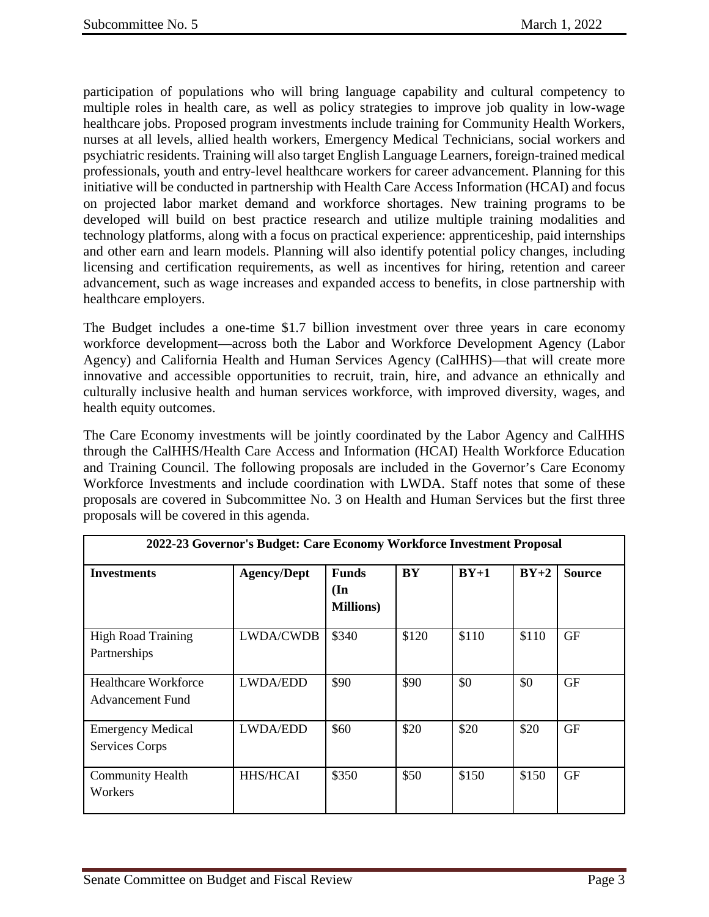participation of populations who will bring language capability and cultural competency to multiple roles in health care, as well as policy strategies to improve job quality in low-wage healthcare jobs. Proposed program investments include training for Community Health Workers, nurses at all levels, allied health workers, Emergency Medical Technicians, social workers and psychiatric residents. Training will also target English Language Learners, foreign-trained medical professionals, youth and entry-level healthcare workers for career advancement. Planning for this initiative will be conducted in partnership with Health Care Access Information (HCAI) and focus on projected labor market demand and workforce shortages. New training programs to be developed will build on best practice research and utilize multiple training modalities and technology platforms, along with a focus on practical experience: apprenticeship, paid internships and other earn and learn models. Planning will also identify potential policy changes, including licensing and certification requirements, as well as incentives for hiring, retention and career advancement, such as wage increases and expanded access to benefits, in close partnership with healthcare employers.

The Budget includes a one-time \$1.7 billion investment over three years in care economy workforce development—across both the Labor and Workforce Development Agency (Labor Agency) and California Health and Human Services Agency (CalHHS)—that will create more innovative and accessible opportunities to recruit, train, hire, and advance an ethnically and culturally inclusive health and human services workforce, with improved diversity, wages, and health equity outcomes.

The Care Economy investments will be jointly coordinated by the Labor Agency and CalHHS through the CalHHS/Health Care Access and Information (HCAI) Health Workforce Education and Training Council. The following proposals are included in the Governor's Care Economy Workforce Investments and include coordination with LWDA. Staff notes that some of these proposals are covered in Subcommittee No. 3 on Health and Human Services but the first three proposals will be covered in this agenda.

| 2022-23 Governor's Budget: Care Economy Workforce Investment Proposal |                    |                                                      |           |        |        |               |
|-----------------------------------------------------------------------|--------------------|------------------------------------------------------|-----------|--------|--------|---------------|
| <b>Investments</b>                                                    | <b>Agency/Dept</b> | <b>Funds</b><br>$(\mathbf{In})$<br><b>Millions</b> ) | <b>BY</b> | $BY+1$ | $BY+2$ | <b>Source</b> |
| <b>High Road Training</b><br>Partnerships                             | <b>LWDA/CWDB</b>   | \$340                                                | \$120     | \$110  | \$110  | GF            |
| Healthcare Workforce<br>Advancement Fund                              | <b>LWDA/EDD</b>    | \$90                                                 | \$90      | \$0    | \$0    | GF            |
| <b>Emergency Medical</b><br><b>Services Corps</b>                     | <b>LWDA/EDD</b>    | \$60                                                 | \$20      | \$20   | \$20   | <b>GF</b>     |
| <b>Community Health</b><br>Workers                                    | <b>HHS/HCAI</b>    | \$350                                                | \$50      | \$150  | \$150  | <b>GF</b>     |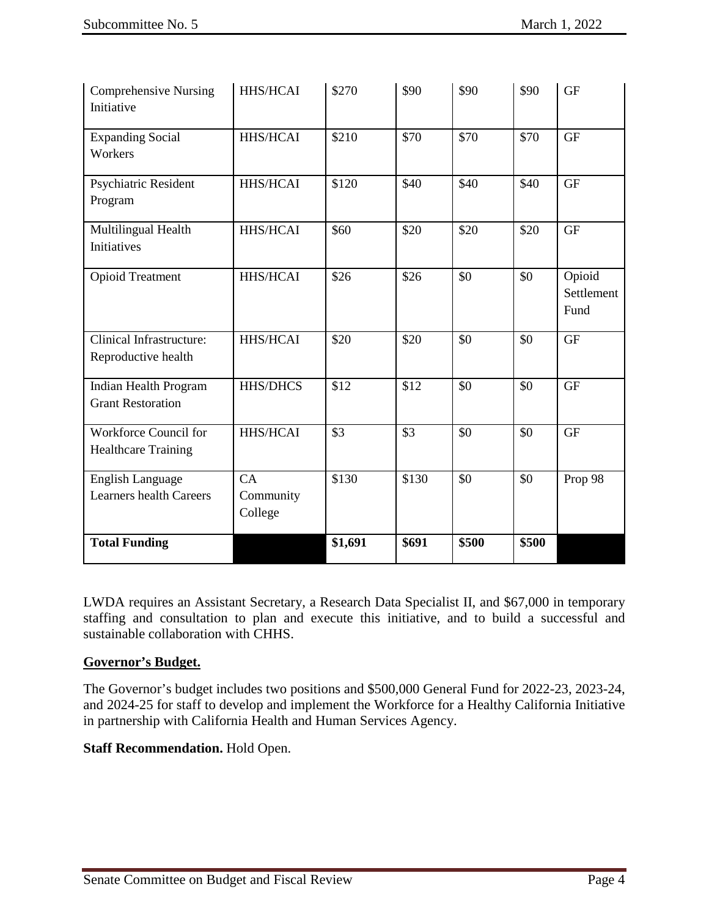| <b>Comprehensive Nursing</b><br>Initiative                | <b>HHS/HCAI</b>            | \$270            | \$90  | \$90  | \$90             | <b>GF</b>                    |
|-----------------------------------------------------------|----------------------------|------------------|-------|-------|------------------|------------------------------|
| <b>Expanding Social</b><br>Workers                        | HHS/HCAI                   | \$210            | \$70  | \$70  | $\overline{$}70$ | <b>GF</b>                    |
| Psychiatric Resident<br>Program                           | HHS/HCAI                   | \$120            | \$40  | \$40  | \$40             | <b>GF</b>                    |
| Multilingual Health<br>Initiatives                        | HHS/HCAI                   | \$60             | \$20  | \$20  | \$20             | <b>GF</b>                    |
| <b>Opioid Treatment</b>                                   | HHS/HCAI                   | \$26             | \$26  | \$0   | \$0              | Opioid<br>Settlement<br>Fund |
| <b>Clinical Infrastructure:</b><br>Reproductive health    | HHS/HCAI                   | \$20             | \$20  | \$0   | \$0              | <b>GF</b>                    |
| Indian Health Program<br><b>Grant Restoration</b>         | <b>HHS/DHCS</b>            | $\overline{$12}$ | \$12  | \$0   | \$0              | <b>GF</b>                    |
| Workforce Council for<br><b>Healthcare Training</b>       | HHS/HCAI                   | \$3              | \$3   | \$0   | \$0              | <b>GF</b>                    |
| <b>English Language</b><br><b>Learners health Careers</b> | CA<br>Community<br>College | \$130            | \$130 | \$0   | \$0              | Prop 98                      |
| <b>Total Funding</b>                                      |                            | \$1,691          | \$691 | \$500 | \$500            |                              |

LWDA requires an Assistant Secretary, a Research Data Specialist II, and \$67,000 in temporary staffing and consultation to plan and execute this initiative, and to build a successful and sustainable collaboration with CHHS.

# **Governor's Budget.**

The Governor's budget includes two positions and \$500,000 General Fund for 2022-23, 2023-24, and 2024-25 for staff to develop and implement the Workforce for a Healthy California Initiative in partnership with California Health and Human Services Agency.

# **Staff Recommendation.** Hold Open.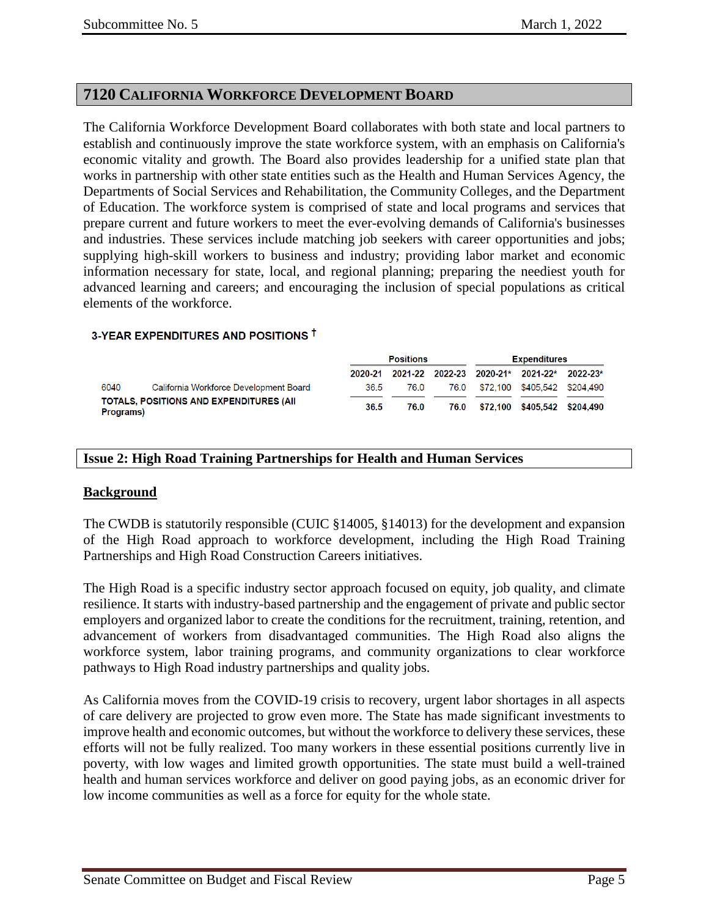# <span id="page-4-0"></span>**7120 CALIFORNIA WORKFORCE DEVELOPMENT BOARD**

The California Workforce Development Board collaborates with both state and local partners to establish and continuously improve the state workforce system, with an emphasis on California's economic vitality and growth. The Board also provides leadership for a unified state plan that works in partnership with other state entities such as the Health and Human Services Agency, the Departments of Social Services and Rehabilitation, the Community Colleges, and the Department of Education. The workforce system is comprised of state and local programs and services that prepare current and future workers to meet the ever-evolving demands of California's businesses and industries. These services include matching job seekers with career opportunities and jobs; supplying high-skill workers to business and industry; providing labor market and economic information necessary for state, local, and regional planning; preparing the neediest youth for advanced learning and careers; and encouraging the inclusion of special populations as critical elements of the workforce.

#### 3-YEAR EXPENDITURES AND POSITIONS T

|           |                                                 | <b>Positions</b> |      |      | <b>Expenditures</b> |                                            |  |
|-----------|-------------------------------------------------|------------------|------|------|---------------------|--------------------------------------------|--|
|           |                                                 | 2020-21          |      |      |                     | 2021-22 2022-23 2020-21* 2021-22* 2022-23* |  |
| 6040      | California Workforce Development Board          | 36.5             | 76.0 |      |                     | 76.0 \$72.100 \$405.542 \$204.490          |  |
| Programs) | <b>TOTALS, POSITIONS AND EXPENDITURES (AII)</b> | 36.5             | 76.0 | 76.0 |                     | \$72,100 \$405,542 \$204,490               |  |

### <span id="page-4-1"></span>**Issue 2: High Road Training Partnerships for Health and Human Services**

#### **Background**

The CWDB is statutorily responsible (CUIC §14005, §14013) for the development and expansion of the High Road approach to workforce development, including the High Road Training Partnerships and High Road Construction Careers initiatives.

The High Road is a specific industry sector approach focused on equity, job quality, and climate resilience. It starts with industry-based partnership and the engagement of private and public sector employers and organized labor to create the conditions for the recruitment, training, retention, and advancement of workers from disadvantaged communities. The High Road also aligns the workforce system, labor training programs, and community organizations to clear workforce pathways to High Road industry partnerships and quality jobs.

As California moves from the COVID-19 crisis to recovery, urgent labor shortages in all aspects of care delivery are projected to grow even more. The State has made significant investments to improve health and economic outcomes, but without the workforce to delivery these services, these efforts will not be fully realized. Too many workers in these essential positions currently live in poverty, with low wages and limited growth opportunities. The state must build a well-trained health and human services workforce and deliver on good paying jobs, as an economic driver for low income communities as well as a force for equity for the whole state.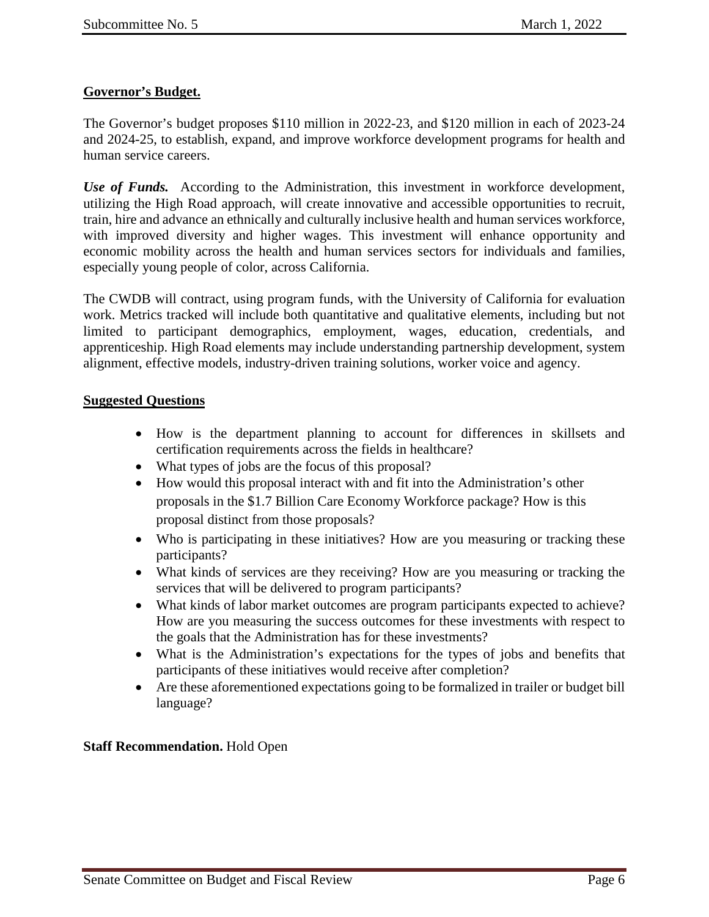# **Governor's Budget.**

The Governor's budget proposes \$110 million in 2022-23, and \$120 million in each of 2023-24 and 2024-25, to establish, expand, and improve workforce development programs for health and human service careers.

*Use of Funds.* According to the Administration, this investment in workforce development, utilizing the High Road approach, will create innovative and accessible opportunities to recruit, train, hire and advance an ethnically and culturally inclusive health and human services workforce, with improved diversity and higher wages. This investment will enhance opportunity and economic mobility across the health and human services sectors for individuals and families, especially young people of color, across California.

The CWDB will contract, using program funds, with the University of California for evaluation work. Metrics tracked will include both quantitative and qualitative elements, including but not limited to participant demographics, employment, wages, education, credentials, and apprenticeship. High Road elements may include understanding partnership development, system alignment, effective models, industry-driven training solutions, worker voice and agency.

## **Suggested Questions**

- How is the department planning to account for differences in skillsets and certification requirements across the fields in healthcare?
- What types of jobs are the focus of this proposal?
- How would this proposal interact with and fit into the Administration's other proposals in the \$1.7 Billion Care Economy Workforce package? How is this proposal distinct from those proposals?
- Who is participating in these initiatives? How are you measuring or tracking these participants?
- What kinds of services are they receiving? How are you measuring or tracking the services that will be delivered to program participants?
- What kinds of labor market outcomes are program participants expected to achieve? How are you measuring the success outcomes for these investments with respect to the goals that the Administration has for these investments?
- What is the Administration's expectations for the types of jobs and benefits that participants of these initiatives would receive after completion?
- Are these aforementioned expectations going to be formalized in trailer or budget bill language?

## **Staff Recommendation.** Hold Open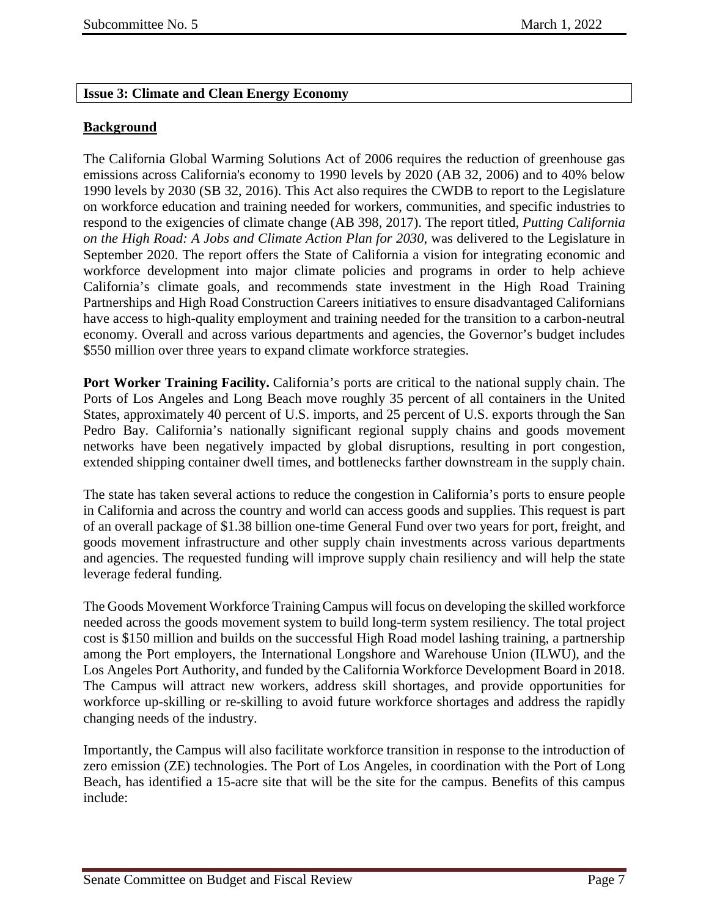## <span id="page-6-0"></span>**Issue 3: Climate and Clean Energy Economy**

## **Background**

The California Global Warming Solutions Act of 2006 requires the reduction of greenhouse gas emissions across California's economy to 1990 levels by 2020 (AB 32, 2006) and to 40% below 1990 levels by 2030 (SB 32, 2016). This Act also requires the CWDB to report to the Legislature on workforce education and training needed for workers, communities, and specific industries to respond to the exigencies of climate change (AB 398, 2017). The report titled, *Putting California on the High Road: A Jobs and Climate Action Plan for 2030*, was delivered to the Legislature in September 2020. The report offers the State of California a vision for integrating economic and workforce development into major climate policies and programs in order to help achieve California's climate goals, and recommends state investment in the High Road Training Partnerships and High Road Construction Careers initiatives to ensure disadvantaged Californians have access to high-quality employment and training needed for the transition to a carbon-neutral economy. Overall and across various departments and agencies, the Governor's budget includes \$550 million over three years to expand climate workforce strategies.

**Port Worker Training Facility.** California's ports are critical to the national supply chain. The Ports of Los Angeles and Long Beach move roughly 35 percent of all containers in the United States, approximately 40 percent of U.S. imports, and 25 percent of U.S. exports through the San Pedro Bay. California's nationally significant regional supply chains and goods movement networks have been negatively impacted by global disruptions, resulting in port congestion, extended shipping container dwell times, and bottlenecks farther downstream in the supply chain.

The state has taken several actions to reduce the congestion in California's ports to ensure people in California and across the country and world can access goods and supplies. This request is part of an overall package of \$1.38 billion one-time General Fund over two years for port, freight, and goods movement infrastructure and other supply chain investments across various departments and agencies. The requested funding will improve supply chain resiliency and will help the state leverage federal funding.

The Goods Movement Workforce Training Campus will focus on developing the skilled workforce needed across the goods movement system to build long-term system resiliency. The total project cost is \$150 million and builds on the successful High Road model lashing training, a partnership among the Port employers, the International Longshore and Warehouse Union (ILWU), and the Los Angeles Port Authority, and funded by the California Workforce Development Board in 2018. The Campus will attract new workers, address skill shortages, and provide opportunities for workforce up-skilling or re-skilling to avoid future workforce shortages and address the rapidly changing needs of the industry.

Importantly, the Campus will also facilitate workforce transition in response to the introduction of zero emission (ZE) technologies. The Port of Los Angeles, in coordination with the Port of Long Beach, has identified a 15-acre site that will be the site for the campus. Benefits of this campus include: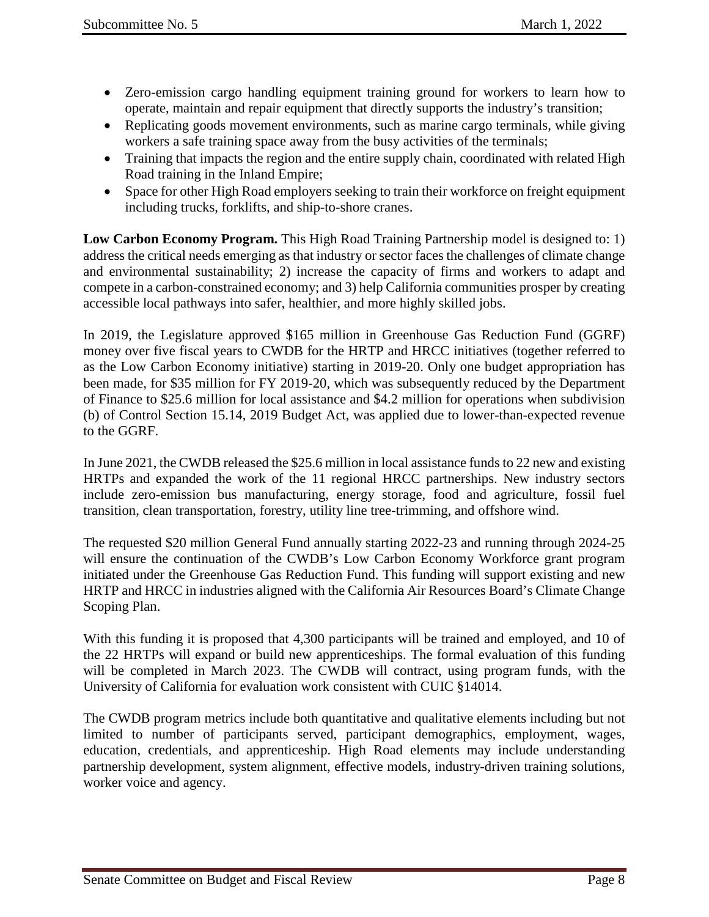- Zero-emission cargo handling equipment training ground for workers to learn how to operate, maintain and repair equipment that directly supports the industry's transition;
- Replicating goods movement environments, such as marine cargo terminals, while giving workers a safe training space away from the busy activities of the terminals;
- Training that impacts the region and the entire supply chain, coordinated with related High Road training in the Inland Empire;
- Space for other High Road employers seeking to train their workforce on freight equipment including trucks, forklifts, and ship-to-shore cranes.

**Low Carbon Economy Program.** This High Road Training Partnership model is designed to: 1) address the critical needs emerging as that industry or sector faces the challenges of climate change and environmental sustainability; 2) increase the capacity of firms and workers to adapt and compete in a carbon-constrained economy; and 3) help California communities prosper by creating accessible local pathways into safer, healthier, and more highly skilled jobs.

In 2019, the Legislature approved \$165 million in Greenhouse Gas Reduction Fund (GGRF) money over five fiscal years to CWDB for the HRTP and HRCC initiatives (together referred to as the Low Carbon Economy initiative) starting in 2019-20. Only one budget appropriation has been made, for \$35 million for FY 2019-20, which was subsequently reduced by the Department of Finance to \$25.6 million for local assistance and \$4.2 million for operations when subdivision (b) of Control Section 15.14, 2019 Budget Act, was applied due to lower-than-expected revenue to the GGRF.

In June 2021, the CWDB released the \$25.6 million in local assistance funds to 22 new and existing HRTPs and expanded the work of the 11 regional HRCC partnerships. New industry sectors include zero-emission bus manufacturing, energy storage, food and agriculture, fossil fuel transition, clean transportation, forestry, utility line tree-trimming, and offshore wind.

The requested \$20 million General Fund annually starting 2022-23 and running through 2024-25 will ensure the continuation of the CWDB's Low Carbon Economy Workforce grant program initiated under the Greenhouse Gas Reduction Fund. This funding will support existing and new HRTP and HRCC in industries aligned with the California Air Resources Board's Climate Change Scoping Plan.

With this funding it is proposed that 4,300 participants will be trained and employed, and 10 of the 22 HRTPs will expand or build new apprenticeships. The formal evaluation of this funding will be completed in March 2023. The CWDB will contract, using program funds, with the University of California for evaluation work consistent with CUIC §14014.

The CWDB program metrics include both quantitative and qualitative elements including but not limited to number of participants served, participant demographics, employment, wages, education, credentials, and apprenticeship. High Road elements may include understanding partnership development, system alignment, effective models, industry-driven training solutions, worker voice and agency.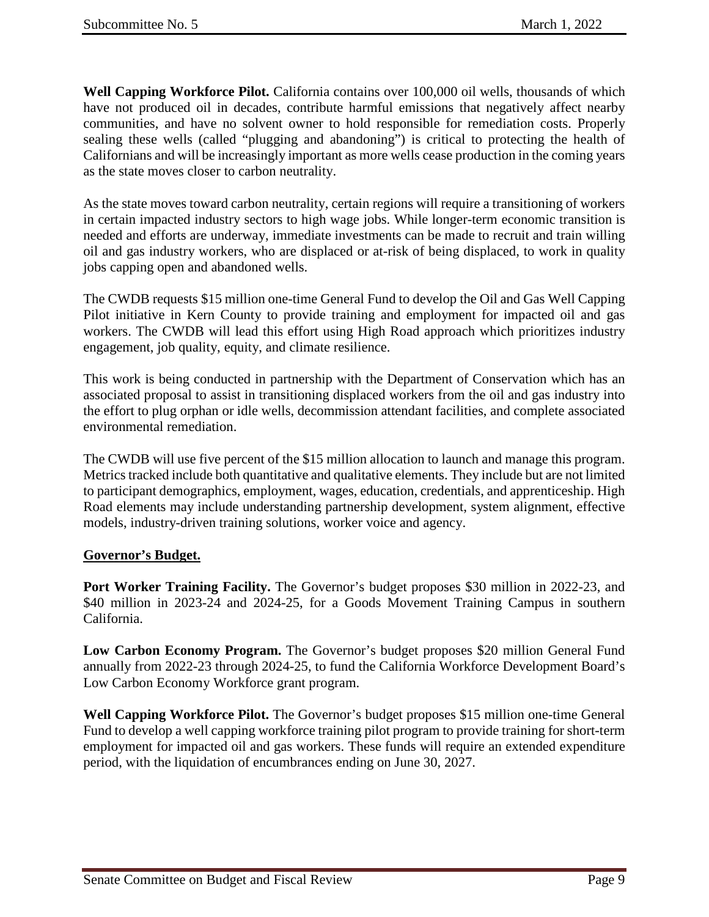**Well Capping Workforce Pilot.** California contains over 100,000 oil wells, thousands of which have not produced oil in decades, contribute harmful emissions that negatively affect nearby communities, and have no solvent owner to hold responsible for remediation costs. Properly sealing these wells (called "plugging and abandoning") is critical to protecting the health of Californians and will be increasingly important as more wells cease production in the coming years as the state moves closer to carbon neutrality.

As the state moves toward carbon neutrality, certain regions will require a transitioning of workers in certain impacted industry sectors to high wage jobs. While longer-term economic transition is needed and efforts are underway, immediate investments can be made to recruit and train willing oil and gas industry workers, who are displaced or at-risk of being displaced, to work in quality jobs capping open and abandoned wells.

The CWDB requests \$15 million one-time General Fund to develop the Oil and Gas Well Capping Pilot initiative in Kern County to provide training and employment for impacted oil and gas workers. The CWDB will lead this effort using High Road approach which prioritizes industry engagement, job quality, equity, and climate resilience.

This work is being conducted in partnership with the Department of Conservation which has an associated proposal to assist in transitioning displaced workers from the oil and gas industry into the effort to plug orphan or idle wells, decommission attendant facilities, and complete associated environmental remediation.

The CWDB will use five percent of the \$15 million allocation to launch and manage this program. Metrics tracked include both quantitative and qualitative elements. They include but are not limited to participant demographics, employment, wages, education, credentials, and apprenticeship. High Road elements may include understanding partnership development, system alignment, effective models, industry-driven training solutions, worker voice and agency.

## **Governor's Budget.**

**Port Worker Training Facility.** The Governor's budget proposes \$30 million in 2022-23, and \$40 million in 2023-24 and 2024-25, for a Goods Movement Training Campus in southern California.

**Low Carbon Economy Program.** The Governor's budget proposes \$20 million General Fund annually from 2022-23 through 2024-25, to fund the California Workforce Development Board's Low Carbon Economy Workforce grant program.

**Well Capping Workforce Pilot.** The Governor's budget proposes \$15 million one-time General Fund to develop a well capping workforce training pilot program to provide training for short-term employment for impacted oil and gas workers. These funds will require an extended expenditure period, with the liquidation of encumbrances ending on June 30, 2027.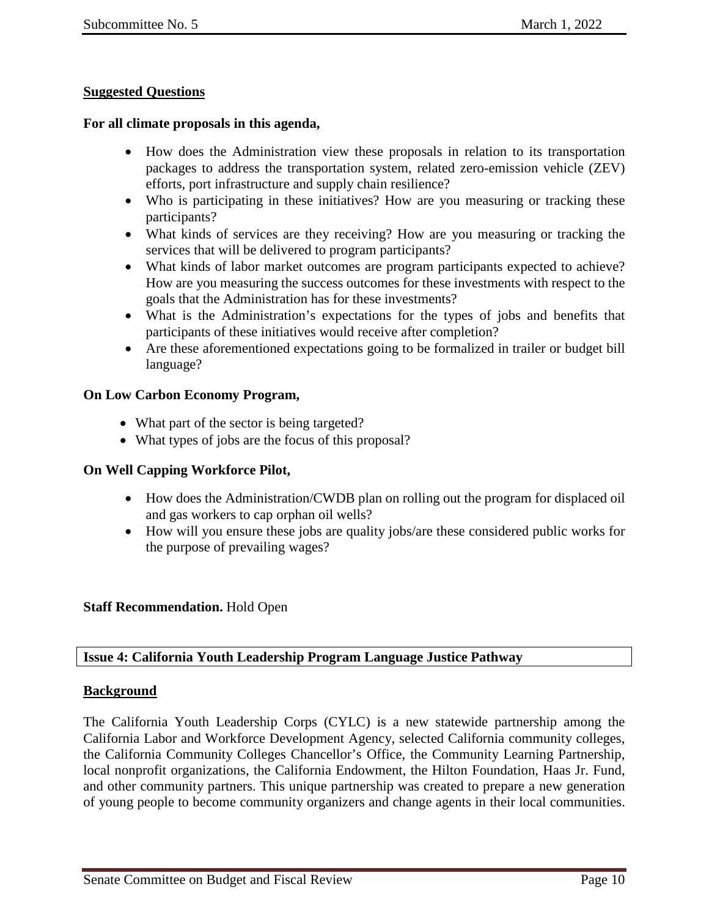## **Suggested Questions**

#### **For all climate proposals in this agenda,**

- How does the Administration view these proposals in relation to its transportation packages to address the transportation system, related zero-emission vehicle (ZEV) efforts, port infrastructure and supply chain resilience?
- Who is participating in these initiatives? How are you measuring or tracking these participants?
- What kinds of services are they receiving? How are you measuring or tracking the services that will be delivered to program participants?
- What kinds of labor market outcomes are program participants expected to achieve? How are you measuring the success outcomes for these investments with respect to the goals that the Administration has for these investments?
- What is the Administration's expectations for the types of jobs and benefits that participants of these initiatives would receive after completion?
- Are these aforementioned expectations going to be formalized in trailer or budget bill language?

#### **On Low Carbon Economy Program,**

- What part of the sector is being targeted?
- What types of jobs are the focus of this proposal?

#### **On Well Capping Workforce Pilot,**

- How does the Administration/CWDB plan on rolling out the program for displaced oil and gas workers to cap orphan oil wells?
- How will you ensure these jobs are quality jobs/are these considered public works for the purpose of prevailing wages?

#### **Staff Recommendation.** Hold Open

#### <span id="page-9-0"></span>**Issue 4: California Youth Leadership Program Language Justice Pathway**

#### **Background**

The California Youth Leadership Corps (CYLC) is a new statewide partnership among the California Labor and Workforce Development Agency, selected California community colleges, the California Community Colleges Chancellor's Office, the Community Learning Partnership, local nonprofit organizations, the California Endowment, the Hilton Foundation, Haas Jr. Fund, and other community partners. This unique partnership was created to prepare a new generation of young people to become community organizers and change agents in their local communities.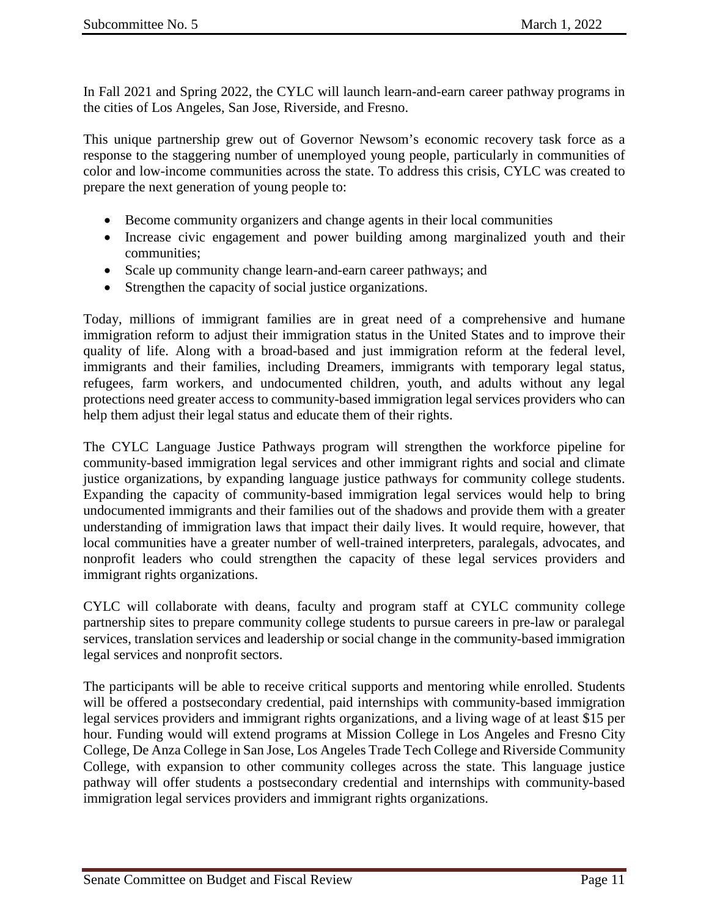In Fall 2021 and Spring 2022, the CYLC will launch learn-and-earn career pathway programs in the cities of Los Angeles, San Jose, Riverside, and Fresno.

This unique partnership grew out of Governor Newsom's economic recovery task force as a response to the staggering number of unemployed young people, particularly in communities of color and low-income communities across the state. To address this crisis, CYLC was created to prepare the next generation of young people to:

- Become community organizers and change agents in their local communities
- Increase civic engagement and power building among marginalized youth and their communities;
- Scale up community change learn-and-earn career pathways; and
- Strengthen the capacity of social justice organizations.

Today, millions of immigrant families are in great need of a comprehensive and humane immigration reform to adjust their immigration status in the United States and to improve their quality of life. Along with a broad-based and just immigration reform at the federal level, immigrants and their families, including Dreamers, immigrants with temporary legal status, refugees, farm workers, and undocumented children, youth, and adults without any legal protections need greater access to community-based immigration legal services providers who can help them adjust their legal status and educate them of their rights.

The CYLC Language Justice Pathways program will strengthen the workforce pipeline for community-based immigration legal services and other immigrant rights and social and climate justice organizations, by expanding language justice pathways for community college students. Expanding the capacity of community-based immigration legal services would help to bring undocumented immigrants and their families out of the shadows and provide them with a greater understanding of immigration laws that impact their daily lives. It would require, however, that local communities have a greater number of well-trained interpreters, paralegals, advocates, and nonprofit leaders who could strengthen the capacity of these legal services providers and immigrant rights organizations.

CYLC will collaborate with deans, faculty and program staff at CYLC community college partnership sites to prepare community college students to pursue careers in pre-law or paralegal services, translation services and leadership or social change in the community-based immigration legal services and nonprofit sectors.

The participants will be able to receive critical supports and mentoring while enrolled. Students will be offered a postsecondary credential, paid internships with community-based immigration legal services providers and immigrant rights organizations, and a living wage of at least \$15 per hour. Funding would will extend programs at Mission College in Los Angeles and Fresno City College, De Anza College in San Jose, Los Angeles Trade Tech College and Riverside Community College, with expansion to other community colleges across the state. This language justice pathway will offer students a postsecondary credential and internships with community-based immigration legal services providers and immigrant rights organizations.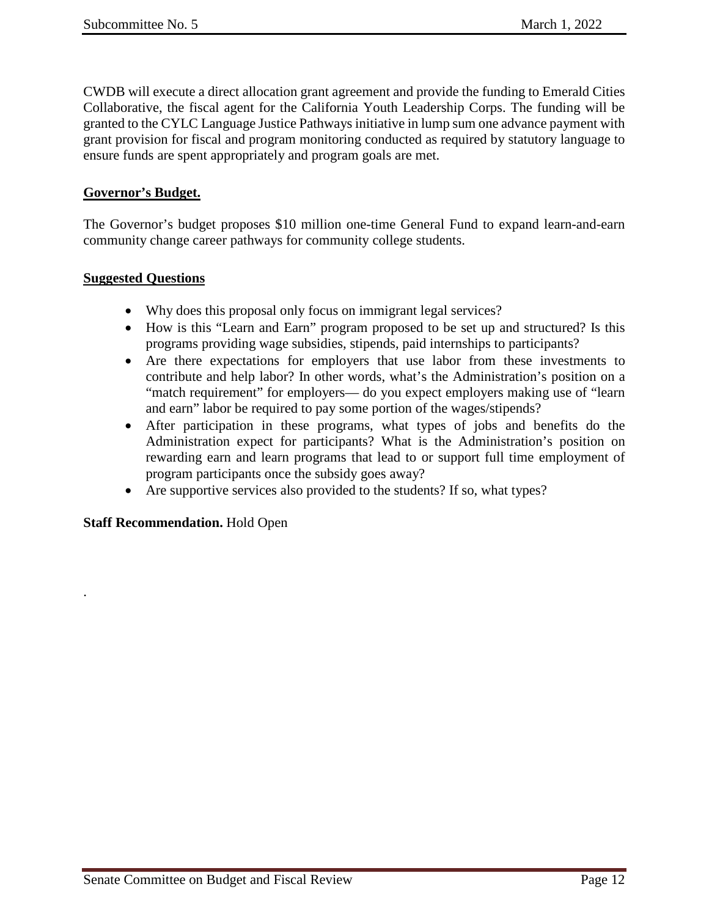CWDB will execute a direct allocation grant agreement and provide the funding to Emerald Cities Collaborative, the fiscal agent for the California Youth Leadership Corps. The funding will be granted to the CYLC Language Justice Pathways initiative in lump sum one advance payment with grant provision for fiscal and program monitoring conducted as required by statutory language to ensure funds are spent appropriately and program goals are met.

### **Governor's Budget.**

The Governor's budget proposes \$10 million one-time General Fund to expand learn-and-earn community change career pathways for community college students.

#### **Suggested Questions**

- Why does this proposal only focus on immigrant legal services?
- How is this "Learn and Earn" program proposed to be set up and structured? Is this programs providing wage subsidies, stipends, paid internships to participants?
- Are there expectations for employers that use labor from these investments to contribute and help labor? In other words, what's the Administration's position on a "match requirement" for employers— do you expect employers making use of "learn and earn" labor be required to pay some portion of the wages/stipends?
- After participation in these programs, what types of jobs and benefits do the Administration expect for participants? What is the Administration's position on rewarding earn and learn programs that lead to or support full time employment of program participants once the subsidy goes away?
- Are supportive services also provided to the students? If so, what types?

## **Staff Recommendation.** Hold Open

.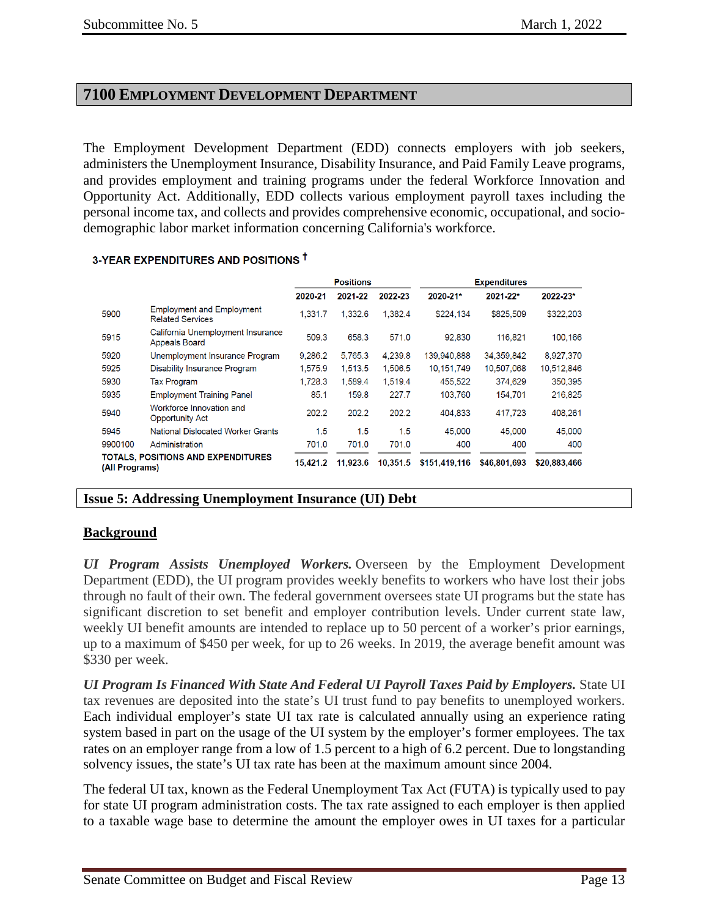# <span id="page-12-0"></span>**7100 EMPLOYMENT DEVELOPMENT DEPARTMENT**

The Employment Development Department (EDD) connects employers with job seekers, administers the Unemployment Insurance, Disability Insurance, and Paid Family Leave programs, and provides employment and training programs under the federal Workforce Innovation and Opportunity Act. Additionally, EDD collects various employment payroll taxes including the personal income tax, and collects and provides comprehensive economic, occupational, and sociodemographic labor market information concerning California's workforce.

|                |                                                             | <b>Positions</b> |          |          | <b>Expenditures</b> |              |              |
|----------------|-------------------------------------------------------------|------------------|----------|----------|---------------------|--------------|--------------|
|                |                                                             | 2020-21          | 2021-22  | 2022-23  | 2020-21*            | 2021-22*     | 2022-23*     |
| 5900           | <b>Employment and Employment</b><br><b>Related Services</b> | 1.331.7          | 1.332.6  | 1.382.4  | \$224,134           | \$825,509    | \$322,203    |
| 5915           | California Unemployment Insurance<br><b>Appeals Board</b>   | 509.3            | 658.3    | 571.0    | 92.830              | 116,821      | 100,166      |
| 5920           | Unemployment Insurance Program                              | 9.286.2          | 5.765.3  | 4.239.8  | 139.940.888         | 34,359,842   | 8,927,370    |
| 5925           | Disability Insurance Program                                | 1.575.9          | 1.513.5  | 1.506.5  | 10.151.749          | 10,507,068   | 10.512,846   |
| 5930           | <b>Tax Program</b>                                          | 1.728.3          | 1.589.4  | 1.519.4  | 455,522             | 374.629      | 350,395      |
| 5935           | <b>Employment Training Panel</b>                            | 85.1             | 159.8    | 227.7    | 103.760             | 154.701      | 216.825      |
| 5940           | Workforce Innovation and<br><b>Opportunity Act</b>          | 202.2            | 202.2    | 202.2    | 404.833             | 417,723      | 408,261      |
| 5945           | National Dislocated Worker Grants                           | 1.5              | 1.5      | 1.5      | 45,000              | 45.000       | 45,000       |
| 9900100        | Administration                                              | 701.0            | 701.0    | 701.0    | 400                 | 400          | 400          |
| (All Programs) | <b>TOTALS, POSITIONS AND EXPENDITURES</b>                   | 15.421.2         | 11.923.6 | 10.351.5 | \$151,419,116       | \$46,801,693 | \$20.883.466 |

#### 3-YEAR EXPENDITURES AND POSITIONS T

#### <span id="page-12-1"></span>**Issue 5: Addressing Unemployment Insurance (UI) Debt**

#### **Background**

*UI Program Assists Unemployed Workers.* Overseen by the Employment Development Department (EDD), the UI program provides weekly benefits to workers who have lost their jobs through no fault of their own. The federal government oversees state UI programs but the state has significant discretion to set benefit and employer contribution levels. Under current state law, weekly UI benefit amounts are intended to replace up to 50 percent of a worker's prior earnings, up to a maximum of \$450 per week, for up to 26 weeks. In 2019, the average benefit amount was \$330 per week.

*UI Program Is Financed With State And Federal UI Payroll Taxes Paid by Employers.* State UI tax revenues are deposited into the state's UI trust fund to pay benefits to unemployed workers. Each individual employer's state UI tax rate is calculated annually using an experience rating system based in part on the usage of the UI system by the employer's former employees. The tax rates on an employer range from a low of 1.5 percent to a high of 6.2 percent. Due to longstanding solvency issues, the state's UI tax rate has been at the maximum amount since 2004.

The federal UI tax, known as the Federal Unemployment Tax Act (FUTA) is typically used to pay for state UI program administration costs. The tax rate assigned to each employer is then applied to a taxable wage base to determine the amount the employer owes in UI taxes for a particular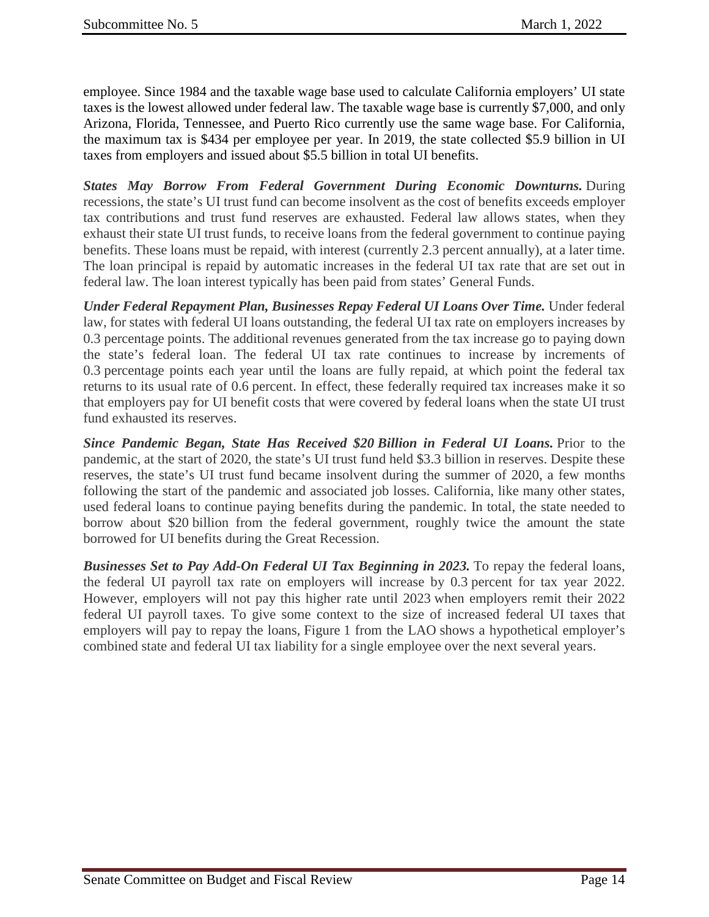employee. Since 1984 and the taxable wage base used to calculate California employers' UI state taxes is the lowest allowed under federal law. The taxable wage base is currently \$7,000, and only Arizona, Florida, Tennessee, and Puerto Rico currently use the same wage base. For California, the maximum tax is \$434 per employee per year. In 2019, the state collected \$5.9 billion in UI taxes from employers and issued about \$5.5 billion in total UI benefits.

*States May Borrow From Federal Government During Economic Downturns.* During recessions, the state's UI trust fund can become insolvent as the cost of benefits exceeds employer tax contributions and trust fund reserves are exhausted. Federal law allows states, when they exhaust their state UI trust funds, to receive loans from the federal government to continue paying benefits. These loans must be repaid, with interest (currently 2.3 percent annually), at a later time. The loan principal is repaid by automatic increases in the federal UI tax rate that are set out in federal law. The loan interest typically has been paid from states' General Funds.

*Under Federal Repayment Plan, Businesses Repay Federal UI Loans Over Time.* Under federal law, for states with federal UI loans outstanding, the federal UI tax rate on employers increases by 0.3 percentage points. The additional revenues generated from the tax increase go to paying down the state's federal loan. The federal UI tax rate continues to increase by increments of 0.3 percentage points each year until the loans are fully repaid, at which point the federal tax returns to its usual rate of 0.6 percent. In effect, these federally required tax increases make it so that employers pay for UI benefit costs that were covered by federal loans when the state UI trust fund exhausted its reserves.

*Since Pandemic Began, State Has Received \$20 Billion in Federal UI Loans.* Prior to the pandemic, at the start of 2020, the state's UI trust fund held \$3.3 billion in reserves. Despite these reserves, the state's UI trust fund became insolvent during the summer of 2020, a few months following the start of the pandemic and associated job losses. California, like many other states, used federal loans to continue paying benefits during the pandemic. In total, the state needed to borrow about \$20 billion from the federal government, roughly twice the amount the state borrowed for UI benefits during the Great Recession.

*Businesses Set to Pay Add-On Federal UI Tax Beginning in 2023.* To repay the federal loans, the federal UI payroll tax rate on employers will increase by 0.3 percent for tax year 2022. However, employers will not pay this higher rate until 2023 when employers remit their 2022 federal UI payroll taxes. To give some context to the size of increased federal UI taxes that employers will pay to repay the loans, Figure 1 from the LAO shows a hypothetical employer's combined state and federal UI tax liability for a single employee over the next several years.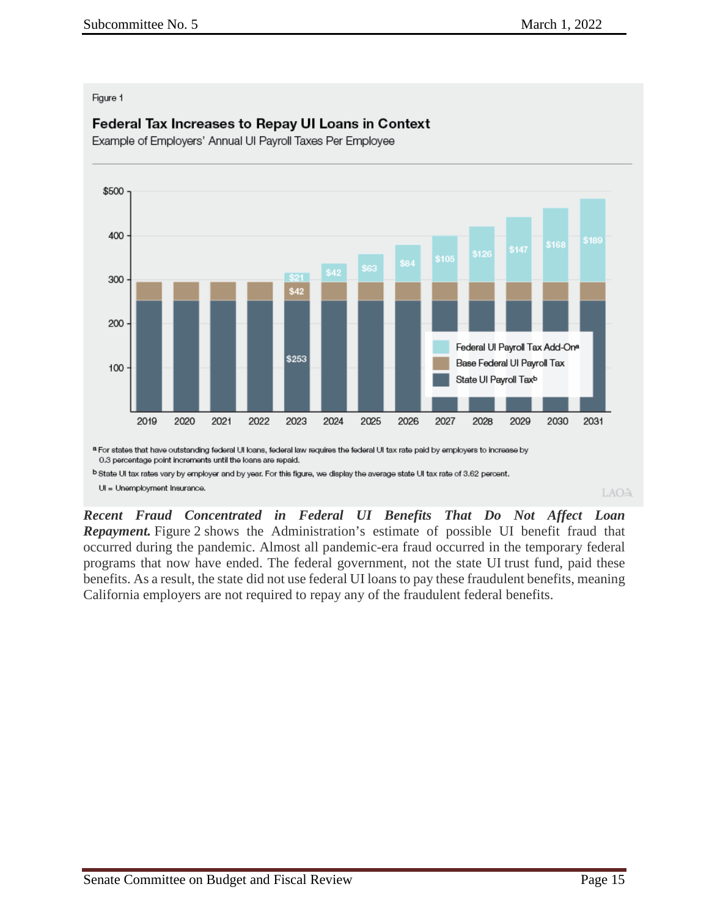#### Figure 1

# Federal Tax Increases to Repay UI Loans in Context

Example of Employers' Annual UI Payroll Taxes Per Employee



*Recent Fraud Concentrated in Federal UI Benefits That Do Not Affect Loan Repayment.* Figure 2 shows the Administration's estimate of possible UI benefit fraud that occurred during the pandemic. Almost all pandemic-era fraud occurred in the temporary federal programs that now have ended. The federal government, not the state UI trust fund, paid these benefits. As a result, the state did not use federal UI loans to pay these fraudulent benefits, meaning California employers are not required to repay any of the fraudulent federal benefits.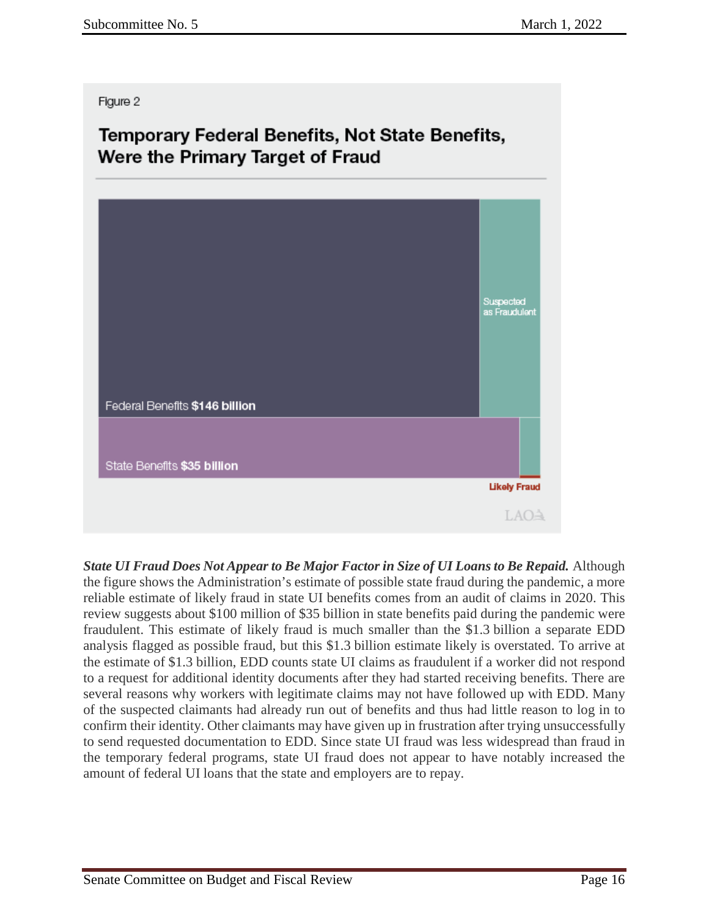Figure 2

# Temporary Federal Benefits, Not State Benefits, Were the Primary Target of Fraud



*State UI Fraud Does Not Appear to Be Major Factor in Size of UI Loans to Be Repaid.* Although the figure shows the Administration's estimate of possible state fraud during the pandemic, a more reliable estimate of likely fraud in state UI benefits comes from an audit of claims in 2020. This review suggests about \$100 million of \$35 billion in state benefits paid during the pandemic were fraudulent. This estimate of likely fraud is much smaller than the \$1.3 billion a separate EDD analysis flagged as possible fraud, but this \$1.3 billion estimate likely is overstated. To arrive at the estimate of \$1.3 billion, EDD counts state UI claims as fraudulent if a worker did not respond to a request for additional identity documents after they had started receiving benefits. There are several reasons why workers with legitimate claims may not have followed up with EDD. Many of the suspected claimants had already run out of benefits and thus had little reason to log in to confirm their identity. Other claimants may have given up in frustration after trying unsuccessfully to send requested documentation to EDD. Since state UI fraud was less widespread than fraud in the temporary federal programs, state UI fraud does not appear to have notably increased the amount of federal UI loans that the state and employers are to repay.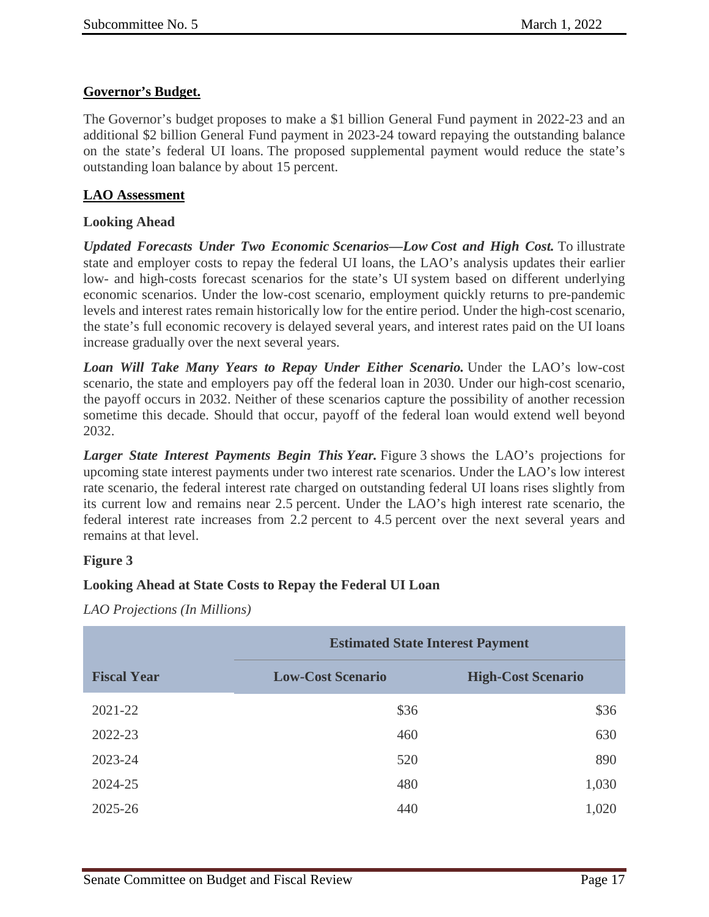# **Governor's Budget.**

The Governor's budget proposes to make a \$1 billion General Fund payment in 2022-23 and an additional \$2 billion General Fund payment in 2023-24 toward repaying the outstanding balance on the state's federal UI loans. The proposed supplemental payment would reduce the state's outstanding loan balance by about 15 percent.

# **LAO Assessment**

## **Looking Ahead**

*Updated Forecasts Under Two Economic Scenarios—Low Cost and High Cost.* To illustrate state and employer costs to repay the federal UI loans, the LAO's analysis updates their earlier low- and high-costs forecast scenarios for the state's UI system based on different underlying economic scenarios. Under the low-cost scenario, employment quickly returns to pre-pandemic levels and interest rates remain historically low for the entire period. Under the high-cost scenario, the state's full economic recovery is delayed several years, and interest rates paid on the UI loans increase gradually over the next several years.

*Loan Will Take Many Years to Repay Under Either Scenario.* Under the LAO's low-cost scenario, the state and employers pay off the federal loan in 2030. Under our high-cost scenario, the payoff occurs in 2032. Neither of these scenarios capture the possibility of another recession sometime this decade. Should that occur, payoff of the federal loan would extend well beyond 2032.

*Larger State Interest Payments Begin This Year.* Figure 3 shows the LAO's projections for upcoming state interest payments under two interest rate scenarios. Under the LAO's low interest rate scenario, the federal interest rate charged on outstanding federal UI loans rises slightly from its current low and remains near 2.5 percent. Under the LAO's high interest rate scenario, the federal interest rate increases from 2.2 percent to 4.5 percent over the next several years and remains at that level.

# **Figure 3**

## **Looking Ahead at State Costs to Repay the Federal UI Loan**

*LAO Projections (In Millions)*

|                    | <b>Estimated State Interest Payment</b> |                           |  |  |  |
|--------------------|-----------------------------------------|---------------------------|--|--|--|
| <b>Fiscal Year</b> | <b>Low-Cost Scenario</b>                | <b>High-Cost Scenario</b> |  |  |  |
| 2021-22            | \$36                                    | \$36                      |  |  |  |
| 2022-23            | 460                                     | 630                       |  |  |  |
| 2023-24            | 520                                     | 890                       |  |  |  |
| 2024-25            | 480                                     | 1,030                     |  |  |  |
| 2025-26            | 440                                     | 1,020                     |  |  |  |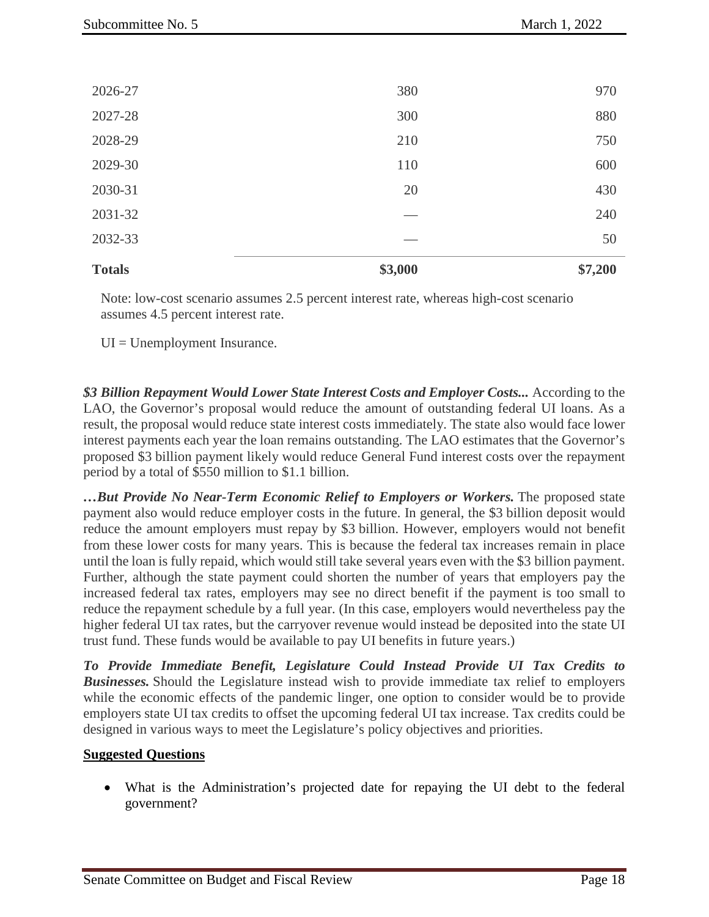| <b>Totals</b> | \$3,000 | \$7,200 |
|---------------|---------|---------|
| 2032-33       |         | 50      |
| 2031-32       |         | 240     |
| 2030-31       | 20      | 430     |
| 2029-30       | 110     | 600     |
| 2028-29       | 210     | 750     |
| 2027-28       | 300     | 880     |
| 2026-27       | 380     | 970     |

Note: low-cost scenario assumes 2.5 percent interest rate, whereas high-cost scenario assumes 4.5 percent interest rate.

UI = Unemployment Insurance.

*\$3 Billion Repayment Would Lower State Interest Costs and Employer Costs...* According to the LAO, the Governor's proposal would reduce the amount of outstanding federal UI loans. As a result, the proposal would reduce state interest costs immediately. The state also would face lower interest payments each year the loan remains outstanding. The LAO estimates that the Governor's proposed \$3 billion payment likely would reduce General Fund interest costs over the repayment period by a total of \$550 million to \$1.1 billion.

*…But Provide No Near-Term Economic Relief to Employers or Workers.* The proposed state payment also would reduce employer costs in the future. In general, the \$3 billion deposit would reduce the amount employers must repay by \$3 billion. However, employers would not benefit from these lower costs for many years. This is because the federal tax increases remain in place until the loan is fully repaid, which would still take several years even with the \$3 billion payment. Further, although the state payment could shorten the number of years that employers pay the increased federal tax rates, employers may see no direct benefit if the payment is too small to reduce the repayment schedule by a full year. (In this case, employers would nevertheless pay the higher federal UI tax rates, but the carryover revenue would instead be deposited into the state UI trust fund. These funds would be available to pay UI benefits in future years.)

*To Provide Immediate Benefit, Legislature Could Instead Provide UI Tax Credits to Businesses.* Should the Legislature instead wish to provide immediate tax relief to employers while the economic effects of the pandemic linger, one option to consider would be to provide employers state UI tax credits to offset the upcoming federal UI tax increase. Tax credits could be designed in various ways to meet the Legislature's policy objectives and priorities.

#### **Suggested Questions**

• What is the Administration's projected date for repaying the UI debt to the federal government?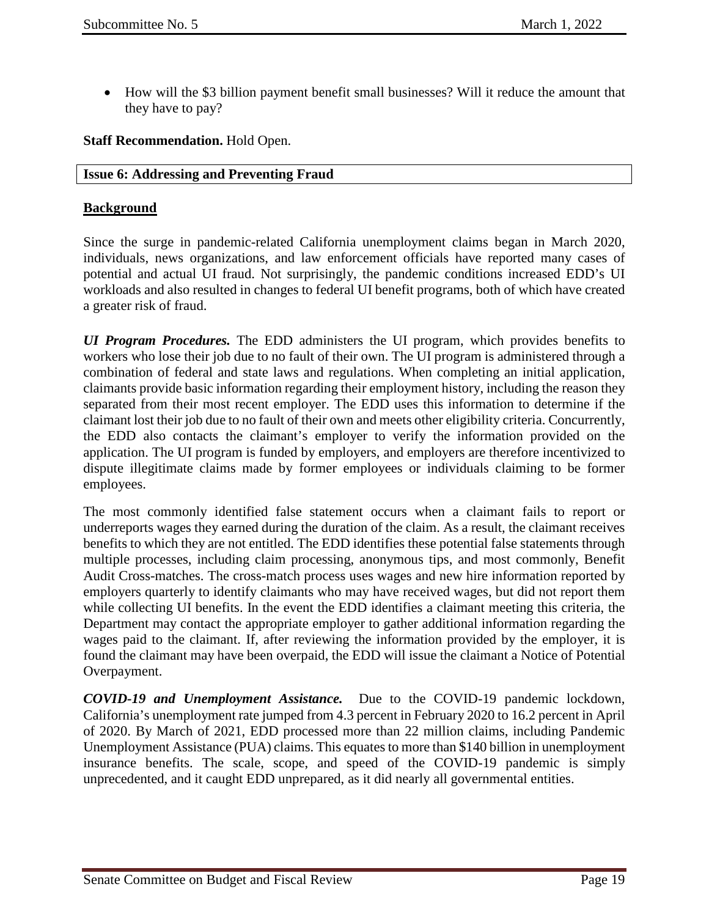• How will the \$3 billion payment benefit small businesses? Will it reduce the amount that they have to pay?

### **Staff Recommendation.** Hold Open.

#### <span id="page-18-0"></span>**Issue 6: Addressing and Preventing Fraud**

### **Background**

Since the surge in pandemic-related California unemployment claims began in March 2020, individuals, news organizations, and law enforcement officials have reported many cases of potential and actual UI fraud. Not surprisingly, the pandemic conditions increased EDD's UI workloads and also resulted in changes to federal UI benefit programs, both of which have created a greater risk of fraud.

*UI Program Procedures.* The EDD administers the UI program, which provides benefits to workers who lose their job due to no fault of their own. The UI program is administered through a combination of federal and state laws and regulations. When completing an initial application, claimants provide basic information regarding their employment history, including the reason they separated from their most recent employer. The EDD uses this information to determine if the claimant lost their job due to no fault of their own and meets other eligibility criteria. Concurrently, the EDD also contacts the claimant's employer to verify the information provided on the application. The UI program is funded by employers, and employers are therefore incentivized to dispute illegitimate claims made by former employees or individuals claiming to be former employees.

The most commonly identified false statement occurs when a claimant fails to report or underreports wages they earned during the duration of the claim. As a result, the claimant receives benefits to which they are not entitled. The EDD identifies these potential false statements through multiple processes, including claim processing, anonymous tips, and most commonly, Benefit Audit Cross-matches. The cross-match process uses wages and new hire information reported by employers quarterly to identify claimants who may have received wages, but did not report them while collecting UI benefits. In the event the EDD identifies a claimant meeting this criteria, the Department may contact the appropriate employer to gather additional information regarding the wages paid to the claimant. If, after reviewing the information provided by the employer, it is found the claimant may have been overpaid, the EDD will issue the claimant a Notice of Potential Overpayment.

*COVID-19 and Unemployment Assistance.* Due to the COVID-19 pandemic lockdown, California's unemployment rate jumped from 4.3 percent in February 2020 to 16.2 percent in April of 2020. By March of 2021, EDD processed more than 22 million claims, including Pandemic Unemployment Assistance (PUA) claims. This equates to more than \$140 billion in unemployment insurance benefits. The scale, scope, and speed of the COVID-19 pandemic is simply unprecedented, and it caught EDD unprepared, as it did nearly all governmental entities.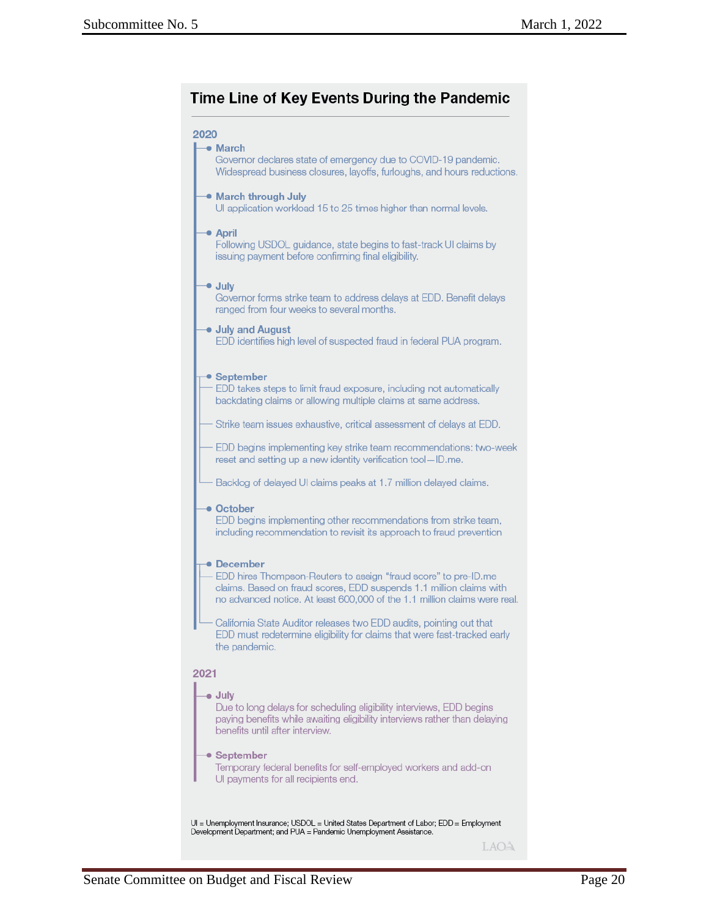# Time Line of Key Events During the Pandemic

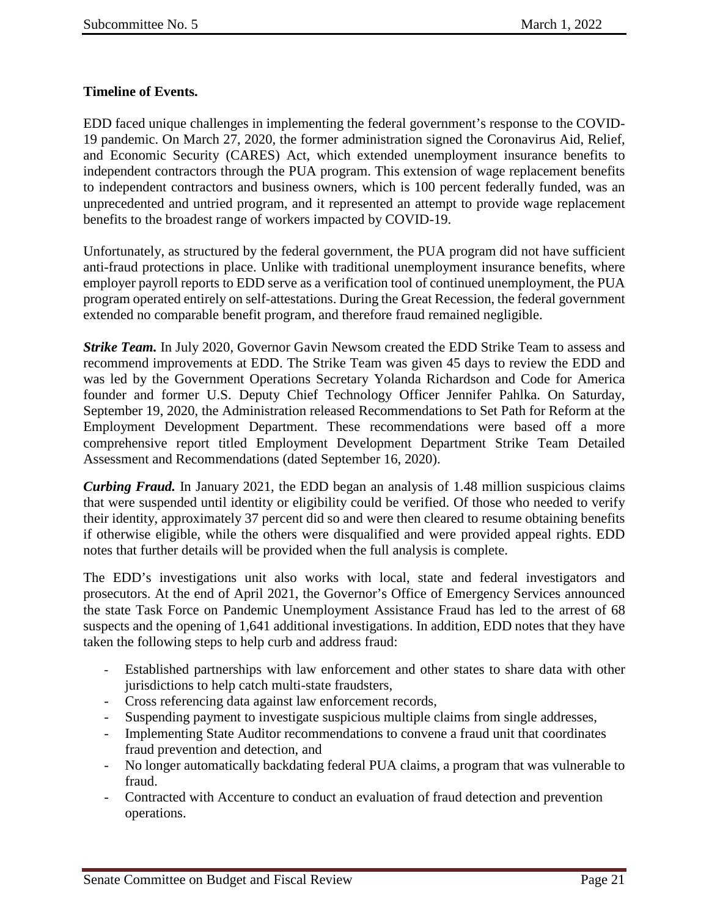# **Timeline of Events.**

EDD faced unique challenges in implementing the federal government's response to the COVID-19 pandemic. On March 27, 2020, the former administration signed the Coronavirus Aid, Relief, and Economic Security (CARES) Act, which extended unemployment insurance benefits to independent contractors through the PUA program. This extension of wage replacement benefits to independent contractors and business owners, which is 100 percent federally funded, was an unprecedented and untried program, and it represented an attempt to provide wage replacement benefits to the broadest range of workers impacted by COVID-19.

Unfortunately, as structured by the federal government, the PUA program did not have sufficient anti-fraud protections in place. Unlike with traditional unemployment insurance benefits, where employer payroll reports to EDD serve as a verification tool of continued unemployment, the PUA program operated entirely on self-attestations. During the Great Recession, the federal government extended no comparable benefit program, and therefore fraud remained negligible.

*Strike Team.* In July 2020, Governor Gavin Newsom created the EDD Strike Team to assess and recommend improvements at EDD. The Strike Team was given 45 days to review the EDD and was led by the Government Operations Secretary Yolanda Richardson and Code for America founder and former U.S. Deputy Chief Technology Officer Jennifer Pahlka. On Saturday, September 19, 2020, the Administration released Recommendations to Set Path for Reform at the Employment Development Department. These recommendations were based off a more comprehensive report titled Employment Development Department Strike Team Detailed Assessment and Recommendations (dated September 16, 2020).

*Curbing Fraud.* In January 2021, the EDD began an analysis of 1.48 million suspicious claims that were suspended until identity or eligibility could be verified. Of those who needed to verify their identity, approximately 37 percent did so and were then cleared to resume obtaining benefits if otherwise eligible, while the others were disqualified and were provided appeal rights. EDD notes that further details will be provided when the full analysis is complete.

The EDD's investigations unit also works with local, state and federal investigators and prosecutors. At the end of April 2021, the Governor's Office of Emergency Services announced the state Task Force on Pandemic Unemployment Assistance Fraud has led to the arrest of 68 suspects and the opening of 1,641 additional investigations. In addition, EDD notes that they have taken the following steps to help curb and address fraud:

- Established partnerships with law enforcement and other states to share data with other jurisdictions to help catch multi-state fraudsters,
- Cross referencing data against law enforcement records,
- Suspending payment to investigate suspicious multiple claims from single addresses,
- Implementing State Auditor recommendations to convene a fraud unit that coordinates fraud prevention and detection, and
- No longer automatically backdating federal PUA claims, a program that was vulnerable to fraud.
- Contracted with Accenture to conduct an evaluation of fraud detection and prevention operations.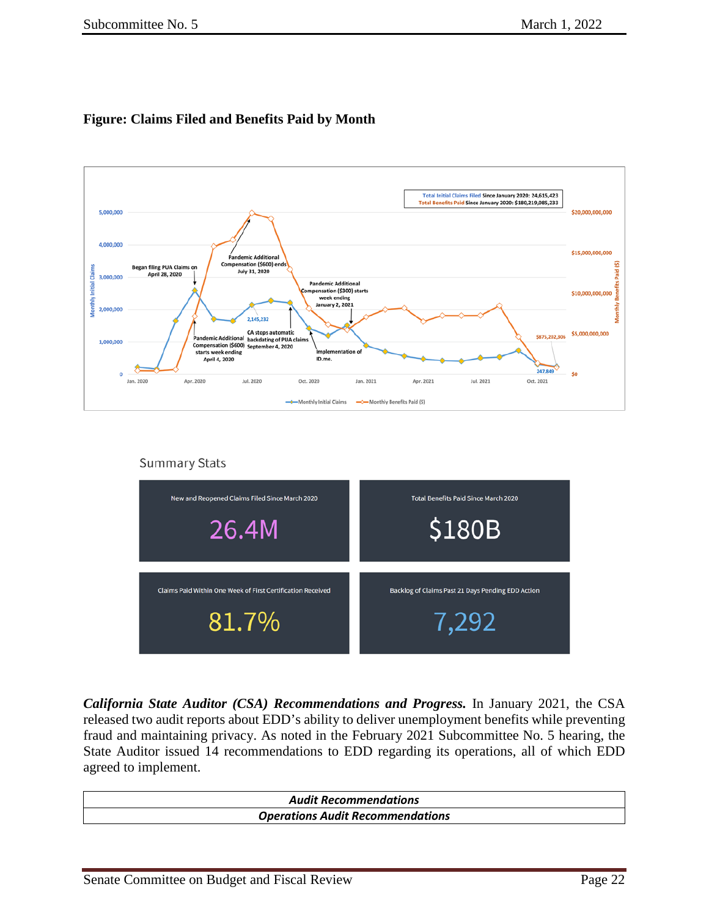# **Figure: Claims Filed and Benefits Paid by Month**



**Summary Stats** 



*California State Auditor (CSA) Recommendations and Progress.* In January 2021, the CSA released two audit reports about EDD's ability to deliver unemployment benefits while preventing fraud and maintaining privacy. As noted in the February 2021 Subcommittee No. 5 hearing, the State Auditor issued 14 recommendations to EDD regarding its operations, all of which EDD agreed to implement.

| <b>Audit Recommendations</b>            |  |
|-----------------------------------------|--|
| <b>Operations Audit Recommendations</b> |  |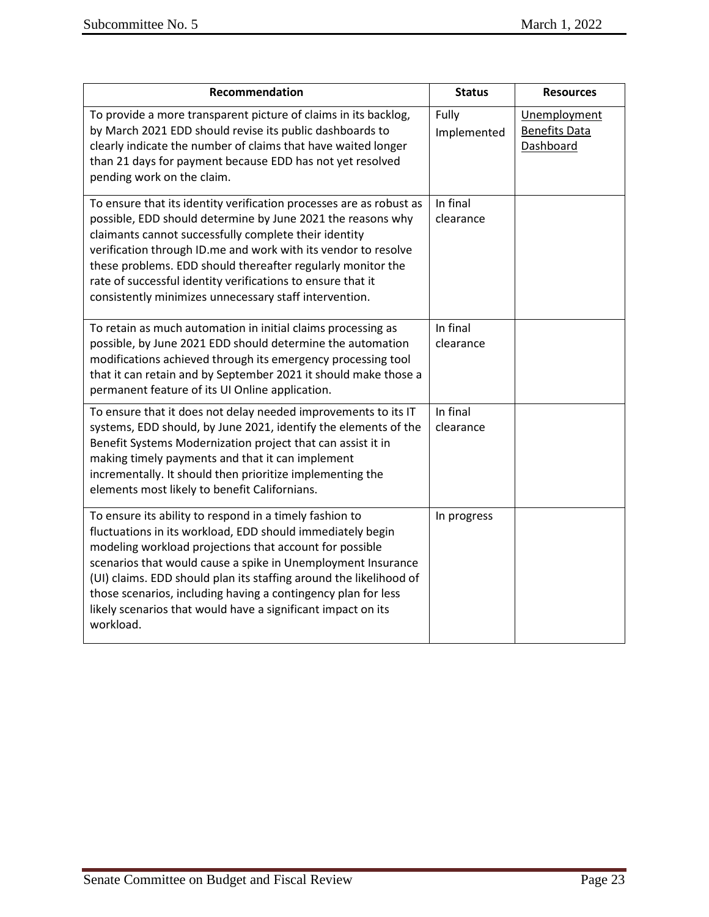| Recommendation                                                                                                                                                                                                                                                                                                                                                                                                                                                       | <b>Status</b>         | <b>Resources</b>                                  |
|----------------------------------------------------------------------------------------------------------------------------------------------------------------------------------------------------------------------------------------------------------------------------------------------------------------------------------------------------------------------------------------------------------------------------------------------------------------------|-----------------------|---------------------------------------------------|
| To provide a more transparent picture of claims in its backlog,<br>by March 2021 EDD should revise its public dashboards to<br>clearly indicate the number of claims that have waited longer<br>than 21 days for payment because EDD has not yet resolved<br>pending work on the claim.                                                                                                                                                                              | Fully<br>Implemented  | Unemployment<br><b>Benefits Data</b><br>Dashboard |
| To ensure that its identity verification processes are as robust as<br>possible, EDD should determine by June 2021 the reasons why<br>claimants cannot successfully complete their identity<br>verification through ID.me and work with its vendor to resolve<br>these problems. EDD should thereafter regularly monitor the<br>rate of successful identity verifications to ensure that it<br>consistently minimizes unnecessary staff intervention.                | In final<br>clearance |                                                   |
| To retain as much automation in initial claims processing as<br>possible, by June 2021 EDD should determine the automation<br>modifications achieved through its emergency processing tool<br>that it can retain and by September 2021 it should make those a<br>permanent feature of its UI Online application.                                                                                                                                                     | In final<br>clearance |                                                   |
| To ensure that it does not delay needed improvements to its IT<br>systems, EDD should, by June 2021, identify the elements of the<br>Benefit Systems Modernization project that can assist it in<br>making timely payments and that it can implement<br>incrementally. It should then prioritize implementing the<br>elements most likely to benefit Californians.                                                                                                   | In final<br>clearance |                                                   |
| To ensure its ability to respond in a timely fashion to<br>fluctuations in its workload, EDD should immediately begin<br>modeling workload projections that account for possible<br>scenarios that would cause a spike in Unemployment Insurance<br>(UI) claims. EDD should plan its staffing around the likelihood of<br>those scenarios, including having a contingency plan for less<br>likely scenarios that would have a significant impact on its<br>workload. | In progress           |                                                   |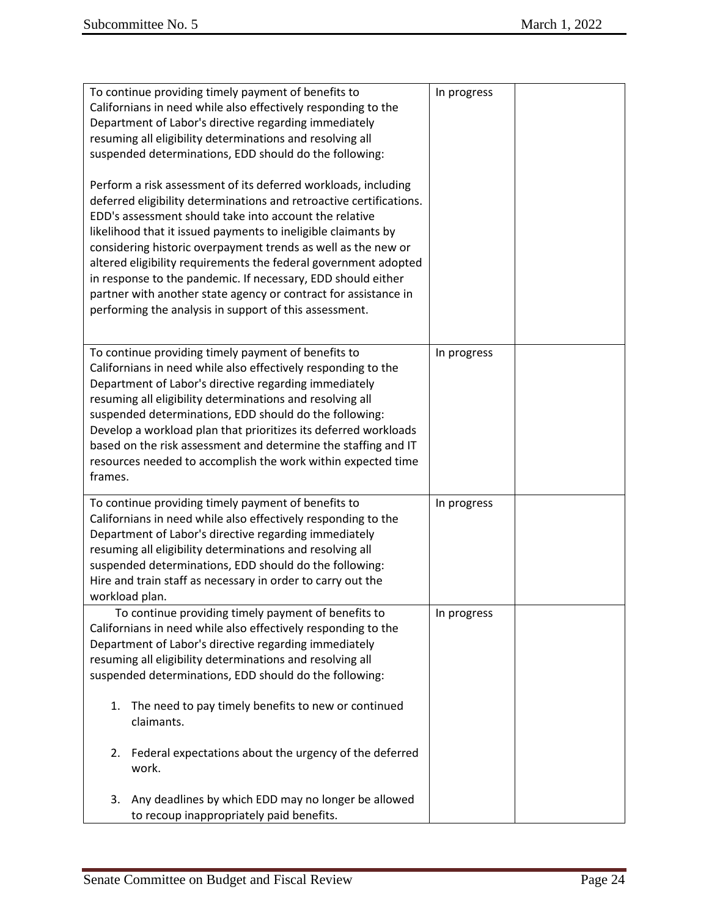| To continue providing timely payment of benefits to<br>Californians in need while also effectively responding to the<br>Department of Labor's directive regarding immediately<br>resuming all eligibility determinations and resolving all<br>suspended determinations, EDD should do the following:<br>Perform a risk assessment of its deferred workloads, including<br>deferred eligibility determinations and retroactive certifications.<br>EDD's assessment should take into account the relative<br>likelihood that it issued payments to ineligible claimants by<br>considering historic overpayment trends as well as the new or<br>altered eligibility requirements the federal government adopted<br>in response to the pandemic. If necessary, EDD should either<br>partner with another state agency or contract for assistance in<br>performing the analysis in support of this assessment. | In progress |  |
|-----------------------------------------------------------------------------------------------------------------------------------------------------------------------------------------------------------------------------------------------------------------------------------------------------------------------------------------------------------------------------------------------------------------------------------------------------------------------------------------------------------------------------------------------------------------------------------------------------------------------------------------------------------------------------------------------------------------------------------------------------------------------------------------------------------------------------------------------------------------------------------------------------------|-------------|--|
| To continue providing timely payment of benefits to<br>Californians in need while also effectively responding to the<br>Department of Labor's directive regarding immediately<br>resuming all eligibility determinations and resolving all<br>suspended determinations, EDD should do the following:<br>Develop a workload plan that prioritizes its deferred workloads<br>based on the risk assessment and determine the staffing and IT<br>resources needed to accomplish the work within expected time<br>frames.                                                                                                                                                                                                                                                                                                                                                                                      | In progress |  |
| To continue providing timely payment of benefits to<br>Californians in need while also effectively responding to the<br>Department of Labor's directive regarding immediately<br>resuming all eligibility determinations and resolving all<br>suspended determinations, EDD should do the following:<br>Hire and train staff as necessary in order to carry out the<br>workload plan.                                                                                                                                                                                                                                                                                                                                                                                                                                                                                                                     | In progress |  |
| To continue providing timely payment of benefits to<br>Californians in need while also effectively responding to the<br>Department of Labor's directive regarding immediately<br>resuming all eligibility determinations and resolving all<br>suspended determinations, EDD should do the following:                                                                                                                                                                                                                                                                                                                                                                                                                                                                                                                                                                                                      | In progress |  |
| The need to pay timely benefits to new or continued<br>1.<br>claimants.<br>Federal expectations about the urgency of the deferred<br>2.                                                                                                                                                                                                                                                                                                                                                                                                                                                                                                                                                                                                                                                                                                                                                                   |             |  |
| work.<br>Any deadlines by which EDD may no longer be allowed<br>3.                                                                                                                                                                                                                                                                                                                                                                                                                                                                                                                                                                                                                                                                                                                                                                                                                                        |             |  |
| to recoup inappropriately paid benefits.                                                                                                                                                                                                                                                                                                                                                                                                                                                                                                                                                                                                                                                                                                                                                                                                                                                                  |             |  |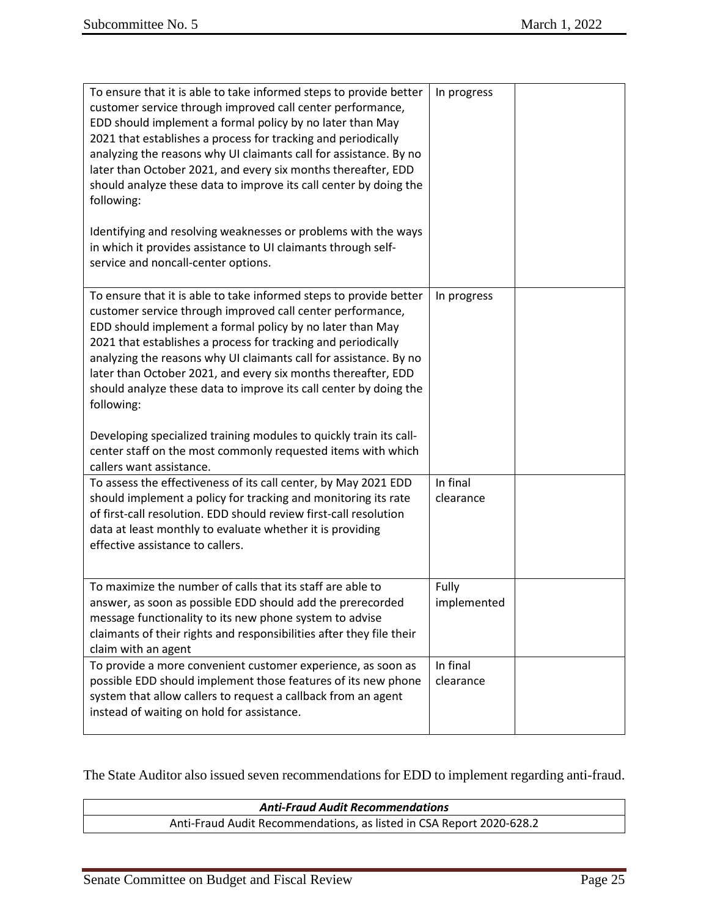| To ensure that it is able to take informed steps to provide better<br>customer service through improved call center performance,<br>EDD should implement a formal policy by no later than May<br>2021 that establishes a process for tracking and periodically<br>analyzing the reasons why UI claimants call for assistance. By no<br>later than October 2021, and every six months thereafter, EDD<br>should analyze these data to improve its call center by doing the<br>following:                                                                                                                                       | In progress           |  |
|-------------------------------------------------------------------------------------------------------------------------------------------------------------------------------------------------------------------------------------------------------------------------------------------------------------------------------------------------------------------------------------------------------------------------------------------------------------------------------------------------------------------------------------------------------------------------------------------------------------------------------|-----------------------|--|
| Identifying and resolving weaknesses or problems with the ways<br>in which it provides assistance to UI claimants through self-<br>service and noncall-center options.                                                                                                                                                                                                                                                                                                                                                                                                                                                        |                       |  |
| To ensure that it is able to take informed steps to provide better<br>customer service through improved call center performance,<br>EDD should implement a formal policy by no later than May<br>2021 that establishes a process for tracking and periodically<br>analyzing the reasons why UI claimants call for assistance. By no<br>later than October 2021, and every six months thereafter, EDD<br>should analyze these data to improve its call center by doing the<br>following:<br>Developing specialized training modules to quickly train its call-<br>center staff on the most commonly requested items with which | In progress           |  |
| callers want assistance.                                                                                                                                                                                                                                                                                                                                                                                                                                                                                                                                                                                                      |                       |  |
| To assess the effectiveness of its call center, by May 2021 EDD<br>should implement a policy for tracking and monitoring its rate<br>of first-call resolution. EDD should review first-call resolution<br>data at least monthly to evaluate whether it is providing<br>effective assistance to callers.                                                                                                                                                                                                                                                                                                                       | In final<br>clearance |  |
| To maximize the number of calls that its staff are able to<br>answer, as soon as possible EDD should add the prerecorded<br>message functionality to its new phone system to advise<br>claimants of their rights and responsibilities after they file their<br>claim with an agent                                                                                                                                                                                                                                                                                                                                            | Fully<br>implemented  |  |
| To provide a more convenient customer experience, as soon as<br>possible EDD should implement those features of its new phone<br>system that allow callers to request a callback from an agent<br>instead of waiting on hold for assistance.                                                                                                                                                                                                                                                                                                                                                                                  | In final<br>clearance |  |

The State Auditor also issued seven recommendations for EDD to implement regarding anti-fraud.

| <b>Anti-Fraud Audit Recommendations</b>                              |  |  |  |  |  |
|----------------------------------------------------------------------|--|--|--|--|--|
| Anti-Fraud Audit Recommendations, as listed in CSA Report 2020-628.2 |  |  |  |  |  |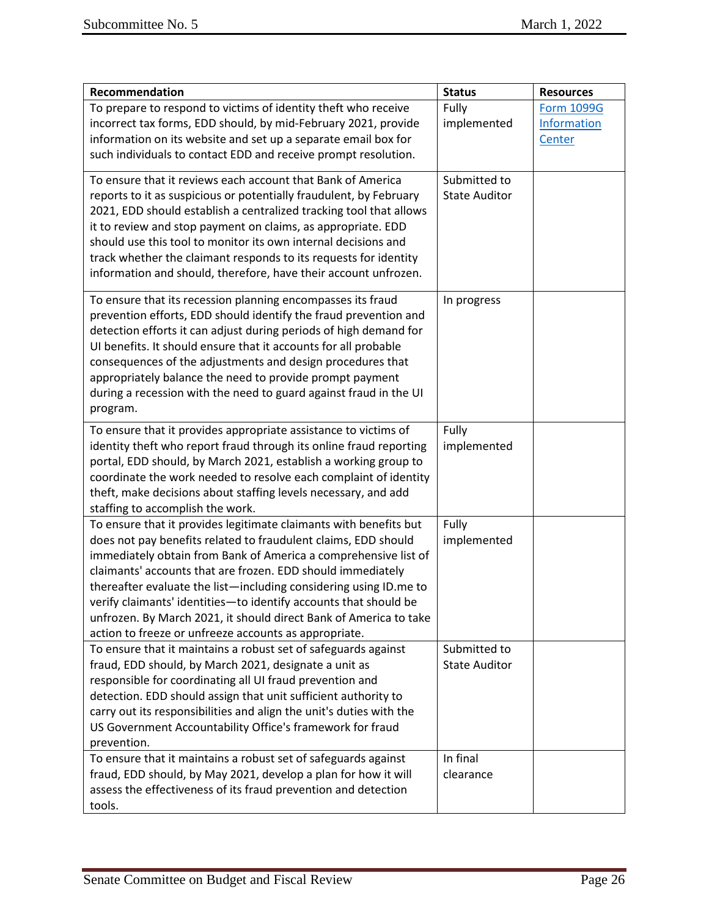| Recommendation                                                                                                                                                                                                                                                                                                                                                                                                                                                                                                                               | <b>Status</b>                        | <b>Resources</b>                           |
|----------------------------------------------------------------------------------------------------------------------------------------------------------------------------------------------------------------------------------------------------------------------------------------------------------------------------------------------------------------------------------------------------------------------------------------------------------------------------------------------------------------------------------------------|--------------------------------------|--------------------------------------------|
| To prepare to respond to victims of identity theft who receive<br>incorrect tax forms, EDD should, by mid-February 2021, provide<br>information on its website and set up a separate email box for<br>such individuals to contact EDD and receive prompt resolution.                                                                                                                                                                                                                                                                         | Fully<br>implemented                 | <b>Form 1099G</b><br>Information<br>Center |
| To ensure that it reviews each account that Bank of America<br>reports to it as suspicious or potentially fraudulent, by February<br>2021, EDD should establish a centralized tracking tool that allows<br>it to review and stop payment on claims, as appropriate. EDD<br>should use this tool to monitor its own internal decisions and<br>track whether the claimant responds to its requests for identity<br>information and should, therefore, have their account unfrozen.                                                             | Submitted to<br><b>State Auditor</b> |                                            |
| To ensure that its recession planning encompasses its fraud<br>prevention efforts, EDD should identify the fraud prevention and<br>detection efforts it can adjust during periods of high demand for<br>UI benefits. It should ensure that it accounts for all probable<br>consequences of the adjustments and design procedures that<br>appropriately balance the need to provide prompt payment<br>during a recession with the need to guard against fraud in the UI<br>program.                                                           | In progress                          |                                            |
| To ensure that it provides appropriate assistance to victims of<br>identity theft who report fraud through its online fraud reporting<br>portal, EDD should, by March 2021, establish a working group to<br>coordinate the work needed to resolve each complaint of identity<br>theft, make decisions about staffing levels necessary, and add<br>staffing to accomplish the work.                                                                                                                                                           | Fully<br>implemented                 |                                            |
| To ensure that it provides legitimate claimants with benefits but<br>does not pay benefits related to fraudulent claims, EDD should<br>immediately obtain from Bank of America a comprehensive list of<br>claimants' accounts that are frozen. EDD should immediately<br>thereafter evaluate the list-including considering using ID.me to<br>verify claimants' identities-to identify accounts that should be<br>unfrozen. By March 2021, it should direct Bank of America to take<br>action to freeze or unfreeze accounts as appropriate. | Fully<br>implemented                 |                                            |
| To ensure that it maintains a robust set of safeguards against<br>fraud, EDD should, by March 2021, designate a unit as<br>responsible for coordinating all UI fraud prevention and<br>detection. EDD should assign that unit sufficient authority to<br>carry out its responsibilities and align the unit's duties with the<br>US Government Accountability Office's framework for fraud<br>prevention.                                                                                                                                     | Submitted to<br><b>State Auditor</b> |                                            |
| To ensure that it maintains a robust set of safeguards against<br>fraud, EDD should, by May 2021, develop a plan for how it will<br>assess the effectiveness of its fraud prevention and detection<br>tools.                                                                                                                                                                                                                                                                                                                                 | In final<br>clearance                |                                            |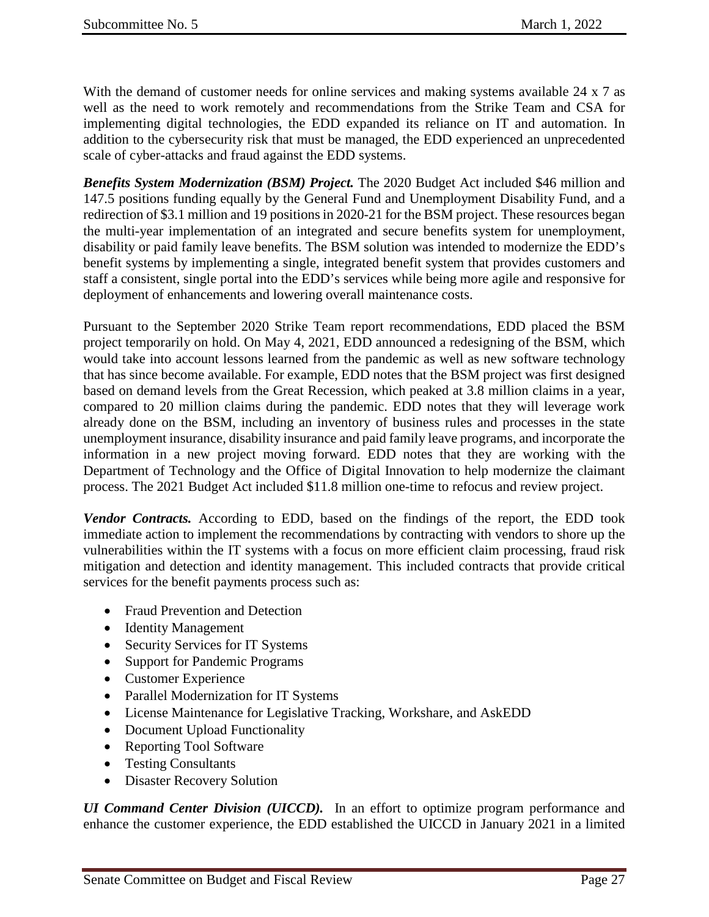With the demand of customer needs for online services and making systems available 24 x 7 as well as the need to work remotely and recommendations from the Strike Team and CSA for implementing digital technologies, the EDD expanded its reliance on IT and automation. In addition to the cybersecurity risk that must be managed, the EDD experienced an unprecedented scale of cyber-attacks and fraud against the EDD systems.

*Benefits System Modernization (BSM) Project.* The 2020 Budget Act included \$46 million and 147.5 positions funding equally by the General Fund and Unemployment Disability Fund, and a redirection of \$3.1 million and 19 positions in 2020-21 for the BSM project. These resources began the multi-year implementation of an integrated and secure benefits system for unemployment, disability or paid family leave benefits. The BSM solution was intended to modernize the EDD's benefit systems by implementing a single, integrated benefit system that provides customers and staff a consistent, single portal into the EDD's services while being more agile and responsive for deployment of enhancements and lowering overall maintenance costs.

Pursuant to the September 2020 Strike Team report recommendations, EDD placed the BSM project temporarily on hold. On May 4, 2021, EDD announced a redesigning of the BSM, which would take into account lessons learned from the pandemic as well as new software technology that has since become available. For example, EDD notes that the BSM project was first designed based on demand levels from the Great Recession, which peaked at 3.8 million claims in a year, compared to 20 million claims during the pandemic. EDD notes that they will leverage work already done on the BSM, including an inventory of business rules and processes in the state unemployment insurance, disability insurance and paid family leave programs, and incorporate the information in a new project moving forward. EDD notes that they are working with the Department of Technology and the Office of Digital Innovation to help modernize the claimant process. The 2021 Budget Act included \$11.8 million one-time to refocus and review project.

*Vendor Contracts.* According to EDD, based on the findings of the report, the EDD took immediate action to implement the recommendations by contracting with vendors to shore up the vulnerabilities within the IT systems with a focus on more efficient claim processing, fraud risk mitigation and detection and identity management. This included contracts that provide critical services for the benefit payments process such as:

- Fraud Prevention and Detection
- Identity Management
- Security Services for IT Systems
- Support for Pandemic Programs
- Customer Experience
- Parallel Modernization for IT Systems
- License Maintenance for Legislative Tracking, Workshare, and AskEDD
- Document Upload Functionality
- Reporting Tool Software
- Testing Consultants
- Disaster Recovery Solution

*UI Command Center Division (UICCD).* In an effort to optimize program performance and enhance the customer experience, the EDD established the UICCD in January 2021 in a limited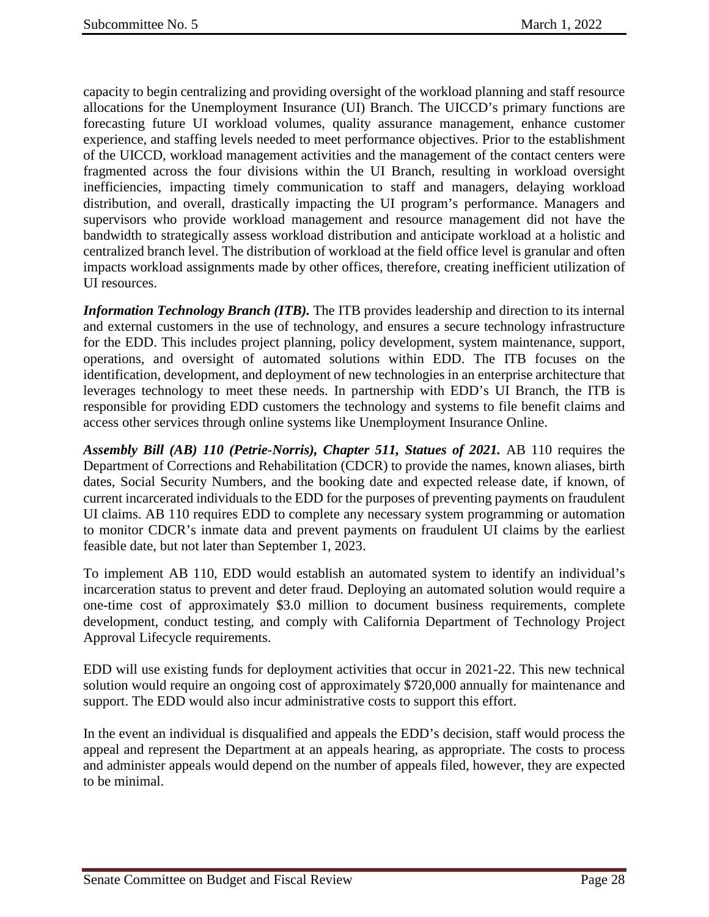capacity to begin centralizing and providing oversight of the workload planning and staff resource allocations for the Unemployment Insurance (UI) Branch. The UICCD's primary functions are forecasting future UI workload volumes, quality assurance management, enhance customer experience, and staffing levels needed to meet performance objectives. Prior to the establishment of the UICCD, workload management activities and the management of the contact centers were fragmented across the four divisions within the UI Branch, resulting in workload oversight inefficiencies, impacting timely communication to staff and managers, delaying workload distribution, and overall, drastically impacting the UI program's performance. Managers and supervisors who provide workload management and resource management did not have the bandwidth to strategically assess workload distribution and anticipate workload at a holistic and centralized branch level. The distribution of workload at the field office level is granular and often impacts workload assignments made by other offices, therefore, creating inefficient utilization of UI resources.

*Information Technology Branch (ITB).* The ITB provides leadership and direction to its internal and external customers in the use of technology, and ensures a secure technology infrastructure for the EDD. This includes project planning, policy development, system maintenance, support, operations, and oversight of automated solutions within EDD. The ITB focuses on the identification, development, and deployment of new technologies in an enterprise architecture that leverages technology to meet these needs. In partnership with EDD's UI Branch, the ITB is responsible for providing EDD customers the technology and systems to file benefit claims and access other services through online systems like Unemployment Insurance Online.

*Assembly Bill (AB) 110 (Petrie-Norris), Chapter 511, Statues of 2021.* AB 110 requires the Department of Corrections and Rehabilitation (CDCR) to provide the names, known aliases, birth dates, Social Security Numbers, and the booking date and expected release date, if known, of current incarcerated individuals to the EDD for the purposes of preventing payments on fraudulent UI claims. AB 110 requires EDD to complete any necessary system programming or automation to monitor CDCR's inmate data and prevent payments on fraudulent UI claims by the earliest feasible date, but not later than September 1, 2023.

To implement AB 110, EDD would establish an automated system to identify an individual's incarceration status to prevent and deter fraud. Deploying an automated solution would require a one-time cost of approximately \$3.0 million to document business requirements, complete development, conduct testing, and comply with California Department of Technology Project Approval Lifecycle requirements.

EDD will use existing funds for deployment activities that occur in 2021-22. This new technical solution would require an ongoing cost of approximately \$720,000 annually for maintenance and support. The EDD would also incur administrative costs to support this effort.

In the event an individual is disqualified and appeals the EDD's decision, staff would process the appeal and represent the Department at an appeals hearing, as appropriate. The costs to process and administer appeals would depend on the number of appeals filed, however, they are expected to be minimal.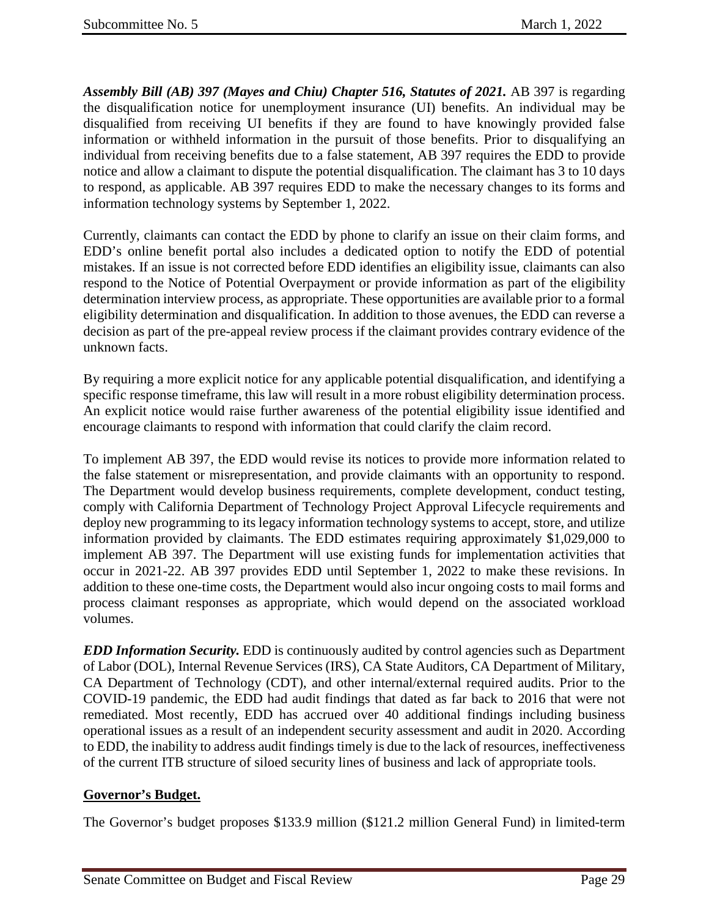Assembly Bill (AB) 397 (Mayes and Chiu) Chapter 516, Statutes of 2021. AB 397 is regarding the disqualification notice for unemployment insurance (UI) benefits. An individual may be disqualified from receiving UI benefits if they are found to have knowingly provided false information or withheld information in the pursuit of those benefits. Prior to disqualifying an individual from receiving benefits due to a false statement, AB 397 requires the EDD to provide notice and allow a claimant to dispute the potential disqualification. The claimant has 3 to 10 days to respond, as applicable. AB 397 requires EDD to make the necessary changes to its forms and information technology systems by September 1, 2022.

Currently, claimants can contact the EDD by phone to clarify an issue on their claim forms, and EDD's online benefit portal also includes a dedicated option to notify the EDD of potential mistakes. If an issue is not corrected before EDD identifies an eligibility issue, claimants can also respond to the Notice of Potential Overpayment or provide information as part of the eligibility determination interview process, as appropriate. These opportunities are available prior to a formal eligibility determination and disqualification. In addition to those avenues, the EDD can reverse a decision as part of the pre-appeal review process if the claimant provides contrary evidence of the unknown facts.

By requiring a more explicit notice for any applicable potential disqualification, and identifying a specific response timeframe, this law will result in a more robust eligibility determination process. An explicit notice would raise further awareness of the potential eligibility issue identified and encourage claimants to respond with information that could clarify the claim record.

To implement AB 397, the EDD would revise its notices to provide more information related to the false statement or misrepresentation, and provide claimants with an opportunity to respond. The Department would develop business requirements, complete development, conduct testing, comply with California Department of Technology Project Approval Lifecycle requirements and deploy new programming to its legacy information technology systems to accept, store, and utilize information provided by claimants. The EDD estimates requiring approximately \$1,029,000 to implement AB 397. The Department will use existing funds for implementation activities that occur in 2021-22. AB 397 provides EDD until September 1, 2022 to make these revisions. In addition to these one-time costs, the Department would also incur ongoing costs to mail forms and process claimant responses as appropriate, which would depend on the associated workload volumes.

*EDD Information Security.* EDD is continuously audited by control agencies such as Department of Labor (DOL), Internal Revenue Services (IRS), CA State Auditors, CA Department of Military, CA Department of Technology (CDT), and other internal/external required audits. Prior to the COVID-19 pandemic, the EDD had audit findings that dated as far back to 2016 that were not remediated. Most recently, EDD has accrued over 40 additional findings including business operational issues as a result of an independent security assessment and audit in 2020. According to EDD, the inability to address audit findings timely is due to the lack of resources, ineffectiveness of the current ITB structure of siloed security lines of business and lack of appropriate tools.

## **Governor's Budget.**

The Governor's budget proposes \$133.9 million (\$121.2 million General Fund) in limited-term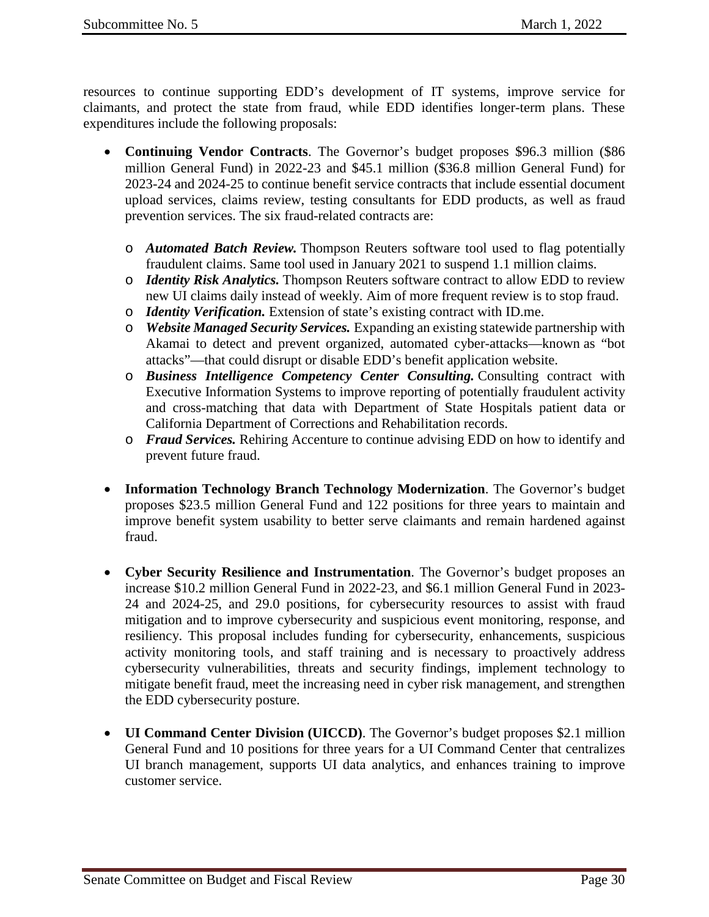resources to continue supporting EDD's development of IT systems, improve service for claimants, and protect the state from fraud, while EDD identifies longer-term plans. These expenditures include the following proposals:

- **Continuing Vendor Contracts**. The Governor's budget proposes \$96.3 million (\$86 million General Fund) in 2022-23 and \$45.1 million (\$36.8 million General Fund) for 2023-24 and 2024-25 to continue benefit service contracts that include essential document upload services, claims review, testing consultants for EDD products, as well as fraud prevention services. The six fraud-related contracts are:
	- o *Automated Batch Review.* Thompson Reuters software tool used to flag potentially fraudulent claims. Same tool used in January 2021 to suspend 1.1 million claims.
	- o *Identity Risk Analytics.* Thompson Reuters software contract to allow EDD to review new UI claims daily instead of weekly. Aim of more frequent review is to stop fraud.
	- o *Identity Verification.* Extension of state's existing contract with ID.me.
	- o *Website Managed Security Services.* Expanding an existing statewide partnership with Akamai to detect and prevent organized, automated cyber-attacks—known as "bot attacks"—that could disrupt or disable EDD's benefit application website.
	- o *Business Intelligence Competency Center Consulting.* Consulting contract with Executive Information Systems to improve reporting of potentially fraudulent activity and cross-matching that data with Department of State Hospitals patient data or California Department of Corrections and Rehabilitation records.
	- o *Fraud Services.* Rehiring Accenture to continue advising EDD on how to identify and prevent future fraud.
- **Information Technology Branch Technology Modernization**. The Governor's budget proposes \$23.5 million General Fund and 122 positions for three years to maintain and improve benefit system usability to better serve claimants and remain hardened against fraud.
- **Cyber Security Resilience and Instrumentation**. The Governor's budget proposes an increase \$10.2 million General Fund in 2022-23, and \$6.1 million General Fund in 2023- 24 and 2024-25, and 29.0 positions, for cybersecurity resources to assist with fraud mitigation and to improve cybersecurity and suspicious event monitoring, response, and resiliency. This proposal includes funding for cybersecurity, enhancements, suspicious activity monitoring tools, and staff training and is necessary to proactively address cybersecurity vulnerabilities, threats and security findings, implement technology to mitigate benefit fraud, meet the increasing need in cyber risk management, and strengthen the EDD cybersecurity posture.
- **UI Command Center Division (UICCD)**. The Governor's budget proposes \$2.1 million General Fund and 10 positions for three years for a UI Command Center that centralizes UI branch management, supports UI data analytics, and enhances training to improve customer service.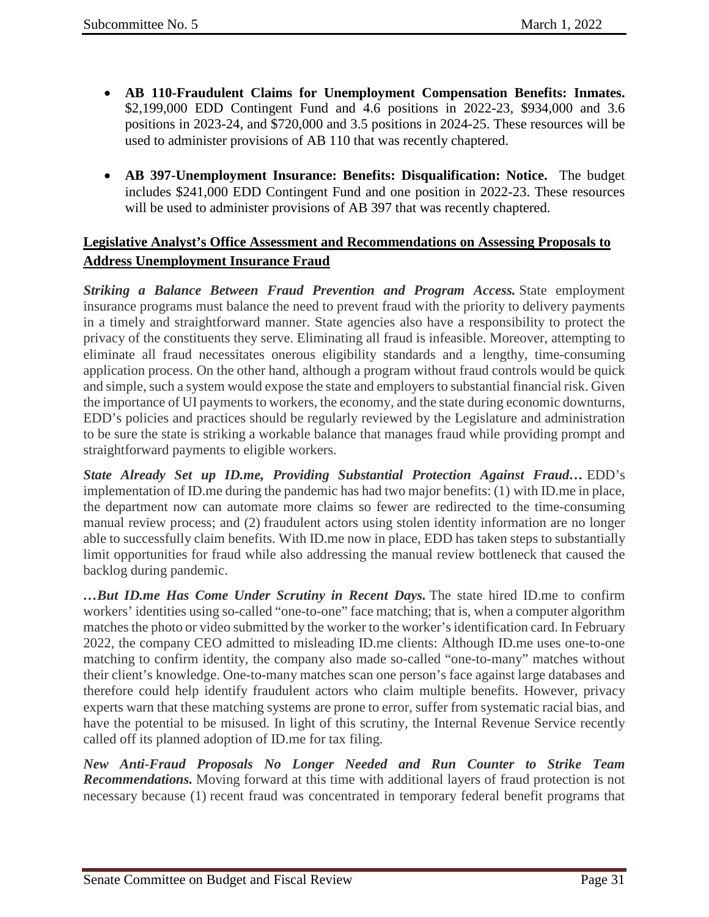- **AB 110-Fraudulent Claims for Unemployment Compensation Benefits: Inmates.** \$2,199,000 EDD Contingent Fund and 4.6 positions in 2022-23, \$934,000 and 3.6 positions in 2023-24, and \$720,000 and 3.5 positions in 2024-25. These resources will be used to administer provisions of AB 110 that was recently chaptered.
- **AB 397-Unemployment Insurance: Benefits: Disqualification: Notice.** The budget includes \$241,000 EDD Contingent Fund and one position in 2022-23. These resources will be used to administer provisions of AB 397 that was recently chaptered.

# **Legislative Analyst's Office Assessment and Recommendations on Assessing Proposals to Address Unemployment Insurance Fraud**

*Striking a Balance Between Fraud Prevention and Program Access.* State employment insurance programs must balance the need to prevent fraud with the priority to delivery payments in a timely and straightforward manner. State agencies also have a responsibility to protect the privacy of the constituents they serve. Eliminating all fraud is infeasible. Moreover, attempting to eliminate all fraud necessitates onerous eligibility standards and a lengthy, time-consuming application process. On the other hand, although a program without fraud controls would be quick and simple, such a system would expose the state and employers to substantial financial risk. Given the importance of UI payments to workers, the economy, and the state during economic downturns, EDD's policies and practices should be regularly reviewed by the Legislature and administration to be sure the state is striking a workable balance that manages fraud while providing prompt and straightforward payments to eligible workers.

*State Already Set up ID.me, Providing Substantial Protection Against Fraud…* EDD's implementation of ID.me during the pandemic has had two major benefits: (1) with ID.me in place, the department now can automate more claims so fewer are redirected to the time-consuming manual review process; and (2) fraudulent actors using stolen identity information are no longer able to successfully claim benefits. With ID.me now in place, EDD has taken steps to substantially limit opportunities for fraud while also addressing the manual review bottleneck that caused the backlog during pandemic.

*…But ID.me Has Come Under Scrutiny in Recent Days.* The state hired ID.me to confirm workers' identities using so-called "one-to-one" face matching; that is, when a computer algorithm matches the photo or video submitted by the worker to the worker's identification card. In February 2022, the company CEO admitted to misleading ID.me clients: Although ID.me uses one-to-one matching to confirm identity, the company also made so-called "one-to-many" matches without their client's knowledge. One-to-many matches scan one person's face against large databases and therefore could help identify fraudulent actors who claim multiple benefits. However, privacy experts warn that these matching systems are prone to error, suffer from systematic racial bias, and have the potential to be misused. In light of this scrutiny, the Internal Revenue Service recently called off its planned adoption of ID.me for tax filing.

*New Anti-Fraud Proposals No Longer Needed and Run Counter to Strike Team Recommendations.* Moving forward at this time with additional layers of fraud protection is not necessary because (1) recent fraud was concentrated in temporary federal benefit programs that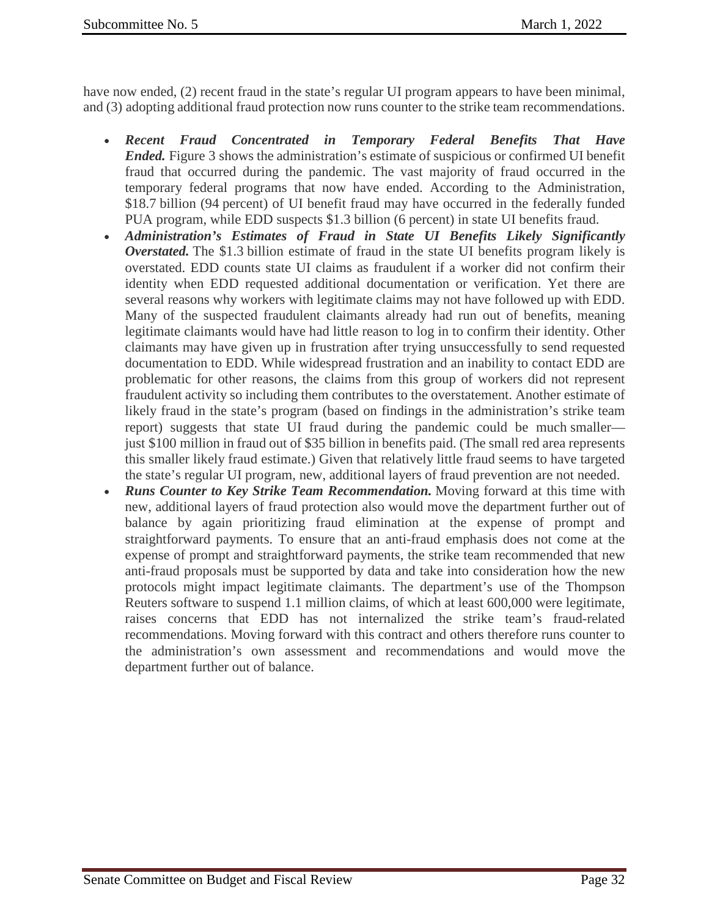have now ended, (2) recent fraud in the state's regular UI program appears to have been minimal, and (3) adopting additional fraud protection now runs counter to the strike team recommendations.

- *Recent Fraud Concentrated in Temporary Federal Benefits That Have Ended.* Figure 3 shows the administration's estimate of suspicious or confirmed UI benefit fraud that occurred during the pandemic. The vast majority of fraud occurred in the temporary federal programs that now have ended. According to the Administration, \$18.7 billion (94 percent) of UI benefit fraud may have occurred in the federally funded PUA program, while EDD suspects \$1.3 billion (6 percent) in state UI benefits fraud.
- *Administration's Estimates of Fraud in State UI Benefits Likely Significantly Overstated.* The \$1.3 billion estimate of fraud in the state UI benefits program likely is overstated. EDD counts state UI claims as fraudulent if a worker did not confirm their identity when EDD requested additional documentation or verification. Yet there are several reasons why workers with legitimate claims may not have followed up with EDD. Many of the suspected fraudulent claimants already had run out of benefits, meaning legitimate claimants would have had little reason to log in to confirm their identity. Other claimants may have given up in frustration after trying unsuccessfully to send requested documentation to EDD. While widespread frustration and an inability to contact EDD are problematic for other reasons, the claims from this group of workers did not represent fraudulent activity so including them contributes to the overstatement. Another estimate of likely fraud in the state's program (based on findings in the administration's strike team report) suggests that state UI fraud during the pandemic could be much smaller just \$100 million in fraud out of \$35 billion in benefits paid. (The small red area represents this smaller likely fraud estimate.) Given that relatively little fraud seems to have targeted the state's regular UI program, new, additional layers of fraud prevention are not needed.
- *Runs Counter to Key Strike Team Recommendation.* Moving forward at this time with new, additional layers of fraud protection also would move the department further out of balance by again prioritizing fraud elimination at the expense of prompt and straightforward payments. To ensure that an anti-fraud emphasis does not come at the expense of prompt and straightforward payments, the strike team recommended that new anti-fraud proposals must be supported by data and take into consideration how the new protocols might impact legitimate claimants. The department's use of the Thompson Reuters software to suspend 1.1 million claims, of which at least 600,000 were legitimate, raises concerns that EDD has not internalized the strike team's fraud-related recommendations. Moving forward with this contract and others therefore runs counter to the administration's own assessment and recommendations and would move the department further out of balance.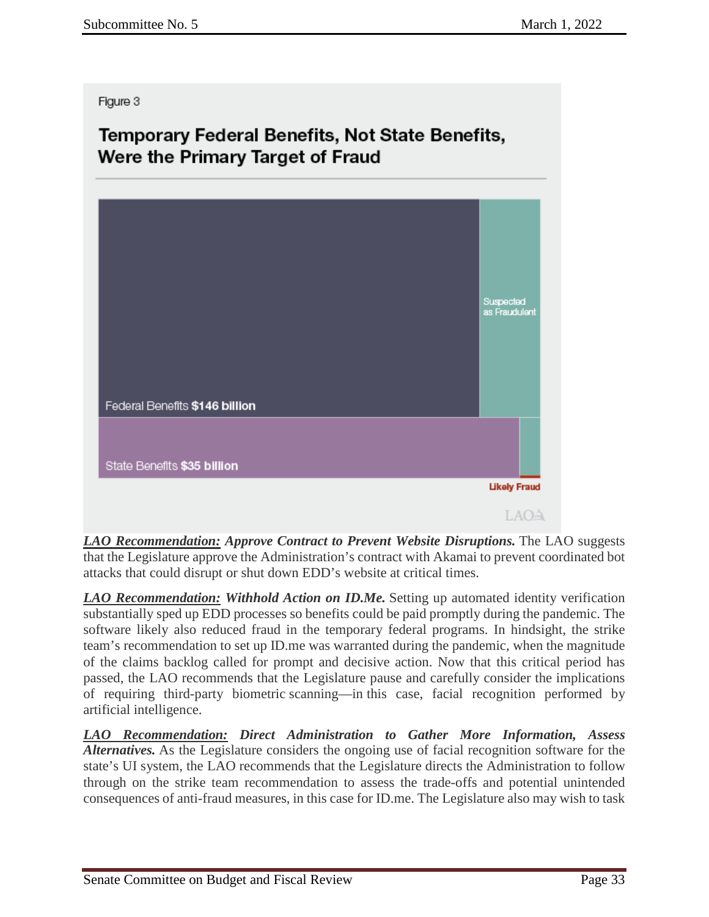#### Figure 3

# Temporary Federal Benefits, Not State Benefits, Were the Primary Target of Fraud



*LAO Recommendation: Approve Contract to Prevent Website Disruptions.* The LAO suggests that the Legislature approve the Administration's contract with Akamai to prevent coordinated bot attacks that could disrupt or shut down EDD's website at critical times.

*LAO Recommendation: Withhold Action on ID.Me.* Setting up automated identity verification substantially sped up EDD processes so benefits could be paid promptly during the pandemic. The software likely also reduced fraud in the temporary federal programs. In hindsight, the strike team's recommendation to set up ID.me was warranted during the pandemic, when the magnitude of the claims backlog called for prompt and decisive action. Now that this critical period has passed, the LAO recommends that the Legislature pause and carefully consider the implications of requiring third-party biometric scanning—in this case, facial recognition performed by artificial intelligence.

*LAO Recommendation: Direct Administration to Gather More Information, Assess Alternatives.* As the Legislature considers the ongoing use of facial recognition software for the state's UI system, the LAO recommends that the Legislature directs the Administration to follow through on the strike team recommendation to assess the trade-offs and potential unintended consequences of anti-fraud measures, in this case for ID.me. The Legislature also may wish to task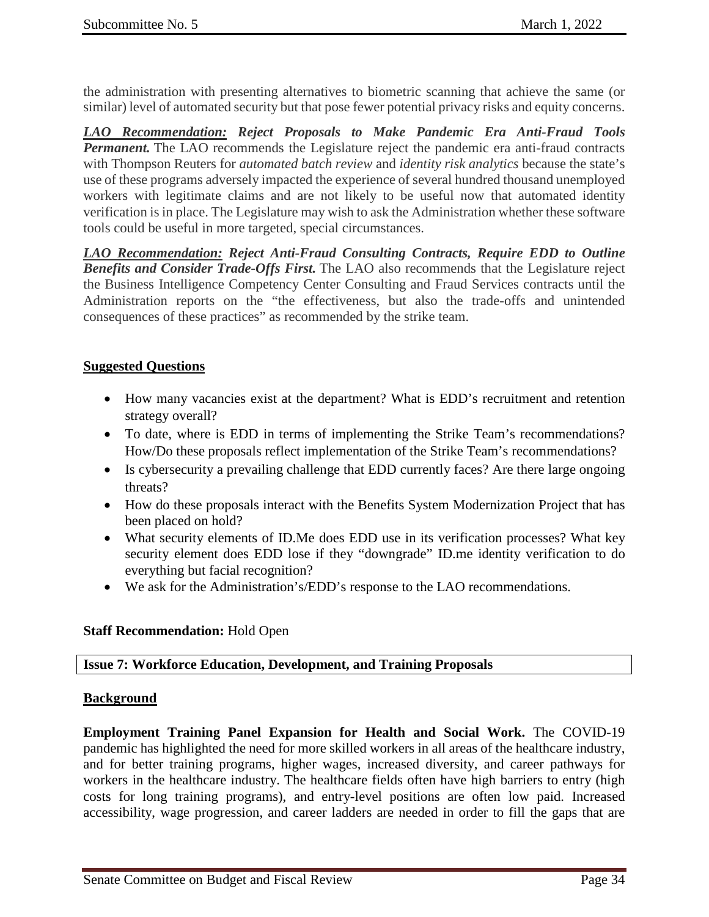the administration with presenting alternatives to biometric scanning that achieve the same (or similar) level of automated security but that pose fewer potential privacy risks and equity concerns.

*LAO Recommendation: Reject Proposals to Make Pandemic Era Anti-Fraud Tools Permanent*. The LAO recommends the Legislature reject the pandemic era anti-fraud contracts with Thompson Reuters for *automated batch review* and *identity risk analytics* because the state's use of these programs adversely impacted the experience of several hundred thousand unemployed workers with legitimate claims and are not likely to be useful now that automated identity verification is in place. The Legislature may wish to ask the Administration whether these software tools could be useful in more targeted, special circumstances.

*LAO Recommendation: Reject Anti-Fraud Consulting Contracts, Require EDD to Outline Benefits and Consider Trade-Offs First.* The LAO also recommends that the Legislature reject the Business Intelligence Competency Center Consulting and Fraud Services contracts until the Administration reports on the "the effectiveness, but also the trade-offs and unintended consequences of these practices" as recommended by the strike team.

## **Suggested Questions**

- How many vacancies exist at the department? What is EDD's recruitment and retention strategy overall?
- To date, where is EDD in terms of implementing the Strike Team's recommendations? How/Do these proposals reflect implementation of the Strike Team's recommendations?
- Is cybersecurity a prevailing challenge that EDD currently faces? Are there large ongoing threats?
- How do these proposals interact with the Benefits System Modernization Project that has been placed on hold?
- What security elements of ID.Me does EDD use in its verification processes? What key security element does EDD lose if they "downgrade" ID.me identity verification to do everything but facial recognition?
- We ask for the Administration's/EDD's response to the LAO recommendations.

## **Staff Recommendation:** Hold Open

## <span id="page-33-0"></span>**Issue 7: Workforce Education, Development, and Training Proposals**

## **Background**

**Employment Training Panel Expansion for Health and Social Work.** The COVID-19 pandemic has highlighted the need for more skilled workers in all areas of the healthcare industry, and for better training programs, higher wages, increased diversity, and career pathways for workers in the healthcare industry. The healthcare fields often have high barriers to entry (high costs for long training programs), and entry-level positions are often low paid. Increased accessibility, wage progression, and career ladders are needed in order to fill the gaps that are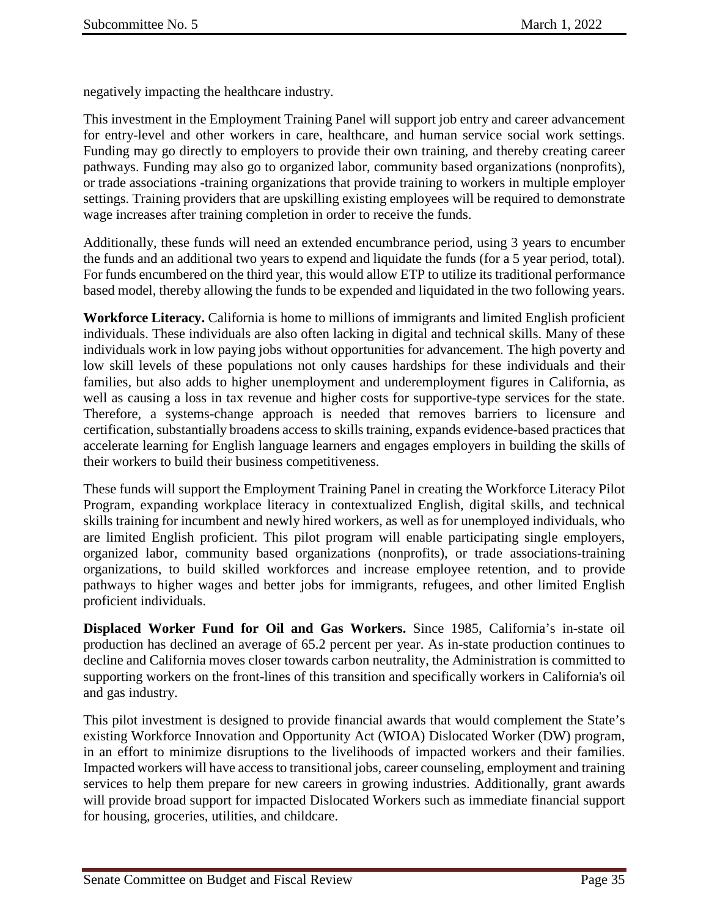negatively impacting the healthcare industry.

This investment in the Employment Training Panel will support job entry and career advancement for entry-level and other workers in care, healthcare, and human service social work settings. Funding may go directly to employers to provide their own training, and thereby creating career pathways. Funding may also go to organized labor, community based organizations (nonprofits), or trade associations -training organizations that provide training to workers in multiple employer settings. Training providers that are upskilling existing employees will be required to demonstrate wage increases after training completion in order to receive the funds.

Additionally, these funds will need an extended encumbrance period, using 3 years to encumber the funds and an additional two years to expend and liquidate the funds (for a 5 year period, total). For funds encumbered on the third year, this would allow ETP to utilize its traditional performance based model, thereby allowing the funds to be expended and liquidated in the two following years.

**Workforce Literacy.** California is home to millions of immigrants and limited English proficient individuals. These individuals are also often lacking in digital and technical skills. Many of these individuals work in low paying jobs without opportunities for advancement. The high poverty and low skill levels of these populations not only causes hardships for these individuals and their families, but also adds to higher unemployment and underemployment figures in California, as well as causing a loss in tax revenue and higher costs for supportive-type services for the state. Therefore, a systems-change approach is needed that removes barriers to licensure and certification, substantially broadens access to skills training, expands evidence-based practices that accelerate learning for English language learners and engages employers in building the skills of their workers to build their business competitiveness.

These funds will support the Employment Training Panel in creating the Workforce Literacy Pilot Program, expanding workplace literacy in contextualized English, digital skills, and technical skills training for incumbent and newly hired workers, as well as for unemployed individuals, who are limited English proficient. This pilot program will enable participating single employers, organized labor, community based organizations (nonprofits), or trade associations-training organizations, to build skilled workforces and increase employee retention, and to provide pathways to higher wages and better jobs for immigrants, refugees, and other limited English proficient individuals.

**Displaced Worker Fund for Oil and Gas Workers.** Since 1985, California's in-state oil production has declined an average of 65.2 percent per year. As in-state production continues to decline and California moves closer towards carbon neutrality, the Administration is committed to supporting workers on the front-lines of this transition and specifically workers in California's oil and gas industry.

This pilot investment is designed to provide financial awards that would complement the State's existing Workforce Innovation and Opportunity Act (WIOA) Dislocated Worker (DW) program, in an effort to minimize disruptions to the livelihoods of impacted workers and their families. Impacted workers will have access to transitional jobs, career counseling, employment and training services to help them prepare for new careers in growing industries. Additionally, grant awards will provide broad support for impacted Dislocated Workers such as immediate financial support for housing, groceries, utilities, and childcare.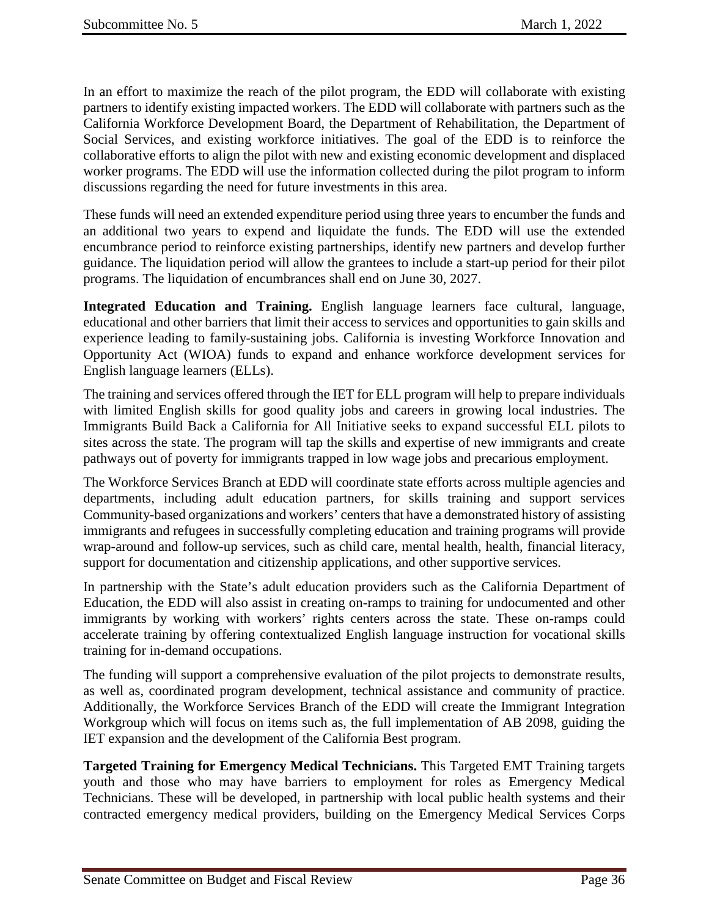In an effort to maximize the reach of the pilot program, the EDD will collaborate with existing partners to identify existing impacted workers. The EDD will collaborate with partners such as the California Workforce Development Board, the Department of Rehabilitation, the Department of Social Services, and existing workforce initiatives. The goal of the EDD is to reinforce the collaborative efforts to align the pilot with new and existing economic development and displaced worker programs. The EDD will use the information collected during the pilot program to inform discussions regarding the need for future investments in this area.

These funds will need an extended expenditure period using three years to encumber the funds and an additional two years to expend and liquidate the funds. The EDD will use the extended encumbrance period to reinforce existing partnerships, identify new partners and develop further guidance. The liquidation period will allow the grantees to include a start-up period for their pilot programs. The liquidation of encumbrances shall end on June 30, 2027.

**Integrated Education and Training.** English language learners face cultural, language, educational and other barriers that limit their access to services and opportunities to gain skills and experience leading to family-sustaining jobs. California is investing Workforce Innovation and Opportunity Act (WIOA) funds to expand and enhance workforce development services for English language learners (ELLs).

The training and services offered through the IET for ELL program will help to prepare individuals with limited English skills for good quality jobs and careers in growing local industries. The Immigrants Build Back a California for All Initiative seeks to expand successful ELL pilots to sites across the state. The program will tap the skills and expertise of new immigrants and create pathways out of poverty for immigrants trapped in low wage jobs and precarious employment.

The Workforce Services Branch at EDD will coordinate state efforts across multiple agencies and departments, including adult education partners, for skills training and support services Community-based organizations and workers' centers that have a demonstrated history of assisting immigrants and refugees in successfully completing education and training programs will provide wrap-around and follow-up services, such as child care, mental health, health, financial literacy, support for documentation and citizenship applications, and other supportive services.

In partnership with the State's adult education providers such as the California Department of Education, the EDD will also assist in creating on-ramps to training for undocumented and other immigrants by working with workers' rights centers across the state. These on-ramps could accelerate training by offering contextualized English language instruction for vocational skills training for in-demand occupations.

The funding will support a comprehensive evaluation of the pilot projects to demonstrate results, as well as, coordinated program development, technical assistance and community of practice. Additionally, the Workforce Services Branch of the EDD will create the Immigrant Integration Workgroup which will focus on items such as, the full implementation of AB 2098, guiding the IET expansion and the development of the California Best program.

**Targeted Training for Emergency Medical Technicians.** This Targeted EMT Training targets youth and those who may have barriers to employment for roles as Emergency Medical Technicians. These will be developed, in partnership with local public health systems and their contracted emergency medical providers, building on the Emergency Medical Services Corps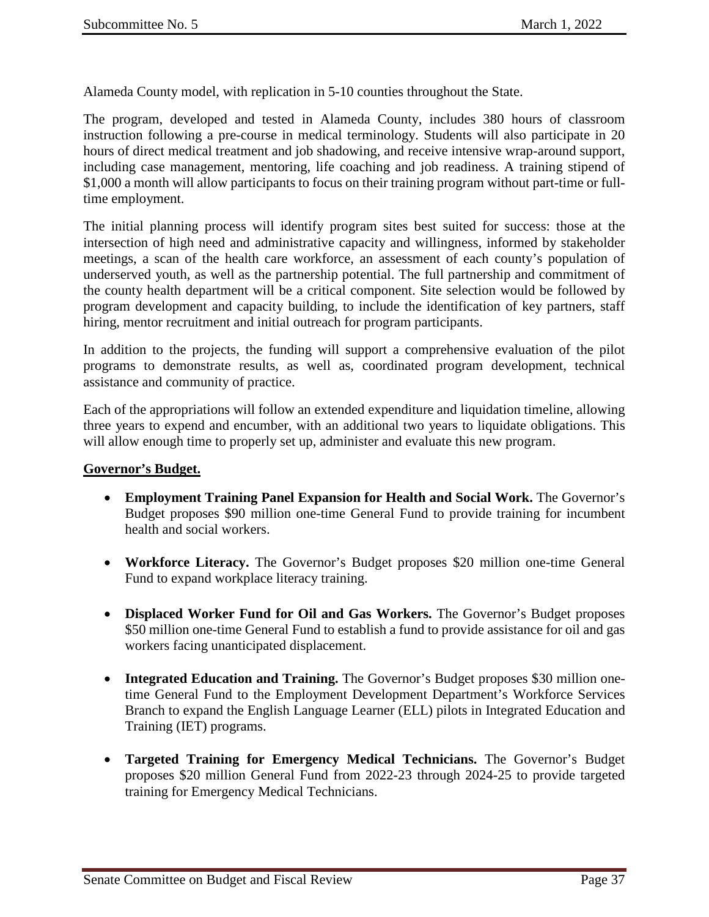Alameda County model, with replication in 5-10 counties throughout the State.

The program, developed and tested in Alameda County, includes 380 hours of classroom instruction following a pre-course in medical terminology. Students will also participate in 20 hours of direct medical treatment and job shadowing, and receive intensive wrap-around support, including case management, mentoring, life coaching and job readiness. A training stipend of \$1,000 a month will allow participants to focus on their training program without part-time or fulltime employment.

The initial planning process will identify program sites best suited for success: those at the intersection of high need and administrative capacity and willingness, informed by stakeholder meetings, a scan of the health care workforce, an assessment of each county's population of underserved youth, as well as the partnership potential. The full partnership and commitment of the county health department will be a critical component. Site selection would be followed by program development and capacity building, to include the identification of key partners, staff hiring, mentor recruitment and initial outreach for program participants.

In addition to the projects, the funding will support a comprehensive evaluation of the pilot programs to demonstrate results, as well as, coordinated program development, technical assistance and community of practice.

Each of the appropriations will follow an extended expenditure and liquidation timeline, allowing three years to expend and encumber, with an additional two years to liquidate obligations. This will allow enough time to properly set up, administer and evaluate this new program.

#### **Governor's Budget.**

- **Employment Training Panel Expansion for Health and Social Work.** The Governor's Budget proposes \$90 million one-time General Fund to provide training for incumbent health and social workers.
- **Workforce Literacy.** The Governor's Budget proposes \$20 million one-time General Fund to expand workplace literacy training.
- **Displaced Worker Fund for Oil and Gas Workers.** The Governor's Budget proposes \$50 million one-time General Fund to establish a fund to provide assistance for oil and gas workers facing unanticipated displacement.
- **Integrated Education and Training.** The Governor's Budget proposes \$30 million onetime General Fund to the Employment Development Department's Workforce Services Branch to expand the English Language Learner (ELL) pilots in Integrated Education and Training (IET) programs.
- **Targeted Training for Emergency Medical Technicians.** The Governor's Budget proposes \$20 million General Fund from 2022-23 through 2024-25 to provide targeted training for Emergency Medical Technicians.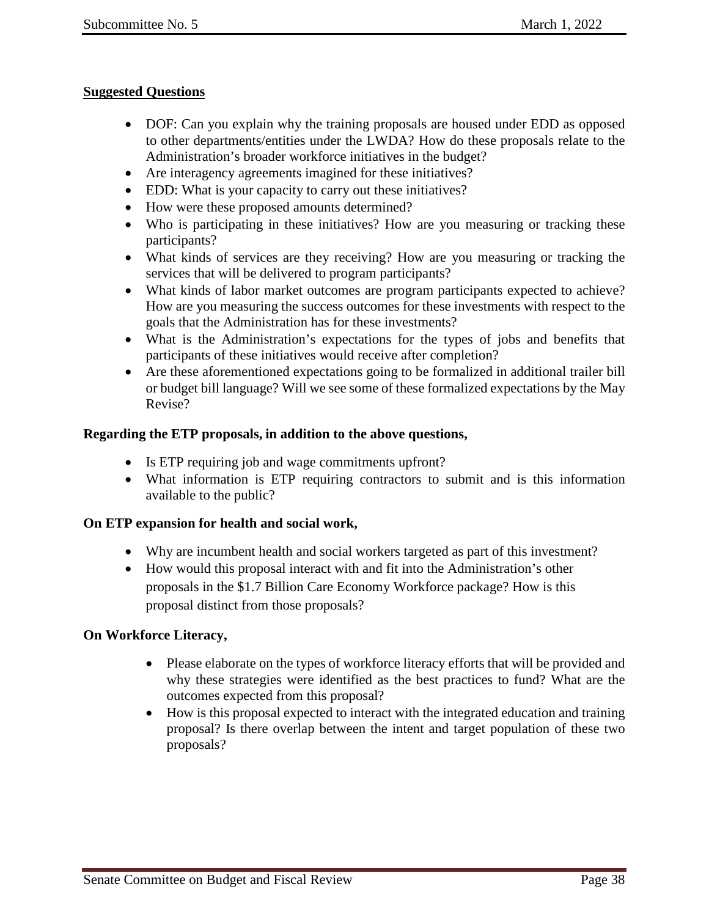### **Suggested Questions**

- DOF: Can you explain why the training proposals are housed under EDD as opposed to other departments/entities under the LWDA? How do these proposals relate to the Administration's broader workforce initiatives in the budget?
- Are interagency agreements imagined for these initiatives?
- EDD: What is your capacity to carry out these initiatives?
- How were these proposed amounts determined?
- Who is participating in these initiatives? How are you measuring or tracking these participants?
- What kinds of services are they receiving? How are you measuring or tracking the services that will be delivered to program participants?
- What kinds of labor market outcomes are program participants expected to achieve? How are you measuring the success outcomes for these investments with respect to the goals that the Administration has for these investments?
- What is the Administration's expectations for the types of jobs and benefits that participants of these initiatives would receive after completion?
- Are these aforementioned expectations going to be formalized in additional trailer bill or budget bill language? Will we see some of these formalized expectations by the May Revise?

## **Regarding the ETP proposals, in addition to the above questions,**

- Is ETP requiring job and wage commitments upfront?
- What information is ETP requiring contractors to submit and is this information available to the public?

## **On ETP expansion for health and social work,**

- Why are incumbent health and social workers targeted as part of this investment?
- How would this proposal interact with and fit into the Administration's other proposals in the \$1.7 Billion Care Economy Workforce package? How is this proposal distinct from those proposals?

## **On Workforce Literacy,**

- Please elaborate on the types of workforce literacy efforts that will be provided and why these strategies were identified as the best practices to fund? What are the outcomes expected from this proposal?
- How is this proposal expected to interact with the integrated education and training proposal? Is there overlap between the intent and target population of these two proposals?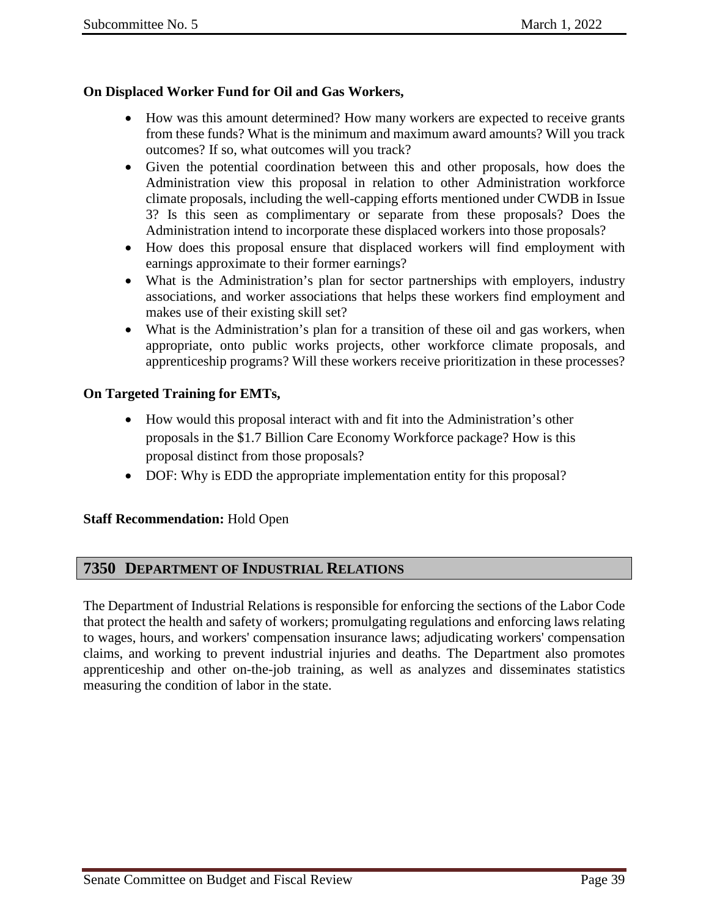# **On Displaced Worker Fund for Oil and Gas Workers,**

- How was this amount determined? How many workers are expected to receive grants from these funds? What is the minimum and maximum award amounts? Will you track outcomes? If so, what outcomes will you track?
- Given the potential coordination between this and other proposals, how does the Administration view this proposal in relation to other Administration workforce climate proposals, including the well-capping efforts mentioned under CWDB in Issue 3? Is this seen as complimentary or separate from these proposals? Does the Administration intend to incorporate these displaced workers into those proposals?
- How does this proposal ensure that displaced workers will find employment with earnings approximate to their former earnings?
- What is the Administration's plan for sector partnerships with employers, industry associations, and worker associations that helps these workers find employment and makes use of their existing skill set?
- What is the Administration's plan for a transition of these oil and gas workers, when appropriate, onto public works projects, other workforce climate proposals, and apprenticeship programs? Will these workers receive prioritization in these processes?

## **On Targeted Training for EMTs,**

- How would this proposal interact with and fit into the Administration's other proposals in the \$1.7 Billion Care Economy Workforce package? How is this proposal distinct from those proposals?
- DOF: Why is EDD the appropriate implementation entity for this proposal?

## **Staff Recommendation:** Hold Open

# <span id="page-38-0"></span>**7350 DEPARTMENT OF INDUSTRIAL RELATIONS**

The Department of Industrial Relations is responsible for enforcing the sections of the Labor Code that protect the health and safety of workers; promulgating regulations and enforcing laws relating to wages, hours, and workers' compensation insurance laws; adjudicating workers' compensation claims, and working to prevent industrial injuries and deaths. The Department also promotes apprenticeship and other on-the-job training, as well as analyzes and disseminates statistics measuring the condition of labor in the state.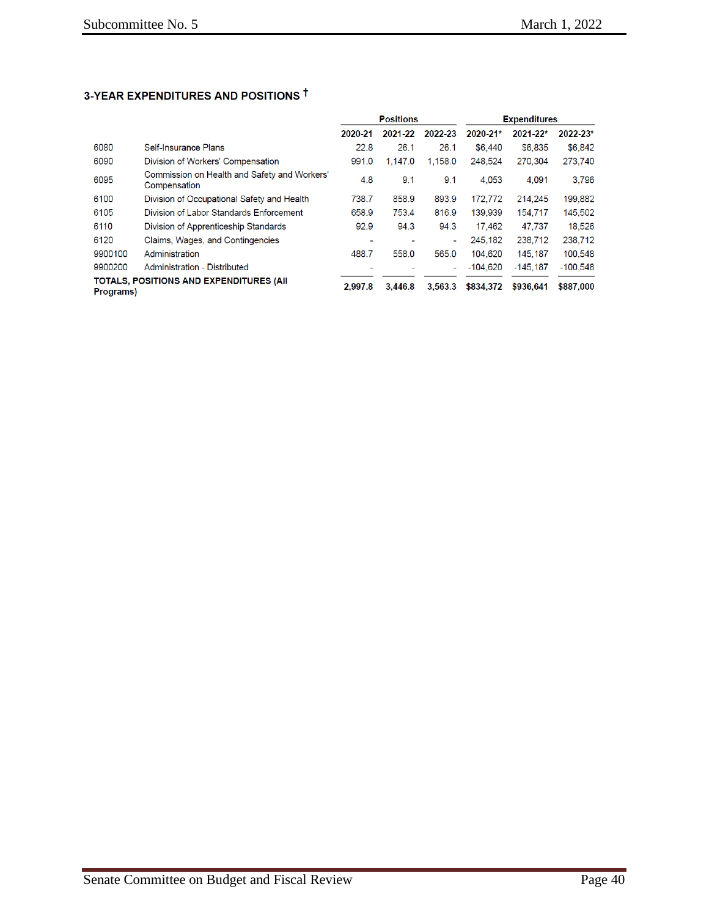# 3-YEAR EXPENDITURES AND POSITIONS <sup>†</sup>

|                                                              |                                                              | <b>Positions</b> |         |         | <b>Expenditures</b> |            |            |
|--------------------------------------------------------------|--------------------------------------------------------------|------------------|---------|---------|---------------------|------------|------------|
|                                                              |                                                              | 2020-21          | 2021-22 | 2022-23 | 2020-21*            | 2021-22*   | 2022-23*   |
| 6080                                                         | Self-Insurance Plans                                         | 22.8             | 26.1    | 26.1    | \$6,440             | \$6,835    | \$6,842    |
| 6090                                                         | Division of Workers' Compensation                            | 991.0            | 1,147.0 | 1,158.0 | 248,524             | 270,304    | 273,740    |
| 6095                                                         | Commission on Health and Safety and Workers'<br>Compensation | 4.8              | 9.1     | 9.1     | 4.053               | 4.091      | 3.796      |
| 6100                                                         | Division of Occupational Safety and Health                   | 738.7            | 858.9   | 893.9   | 172.772             | 214.245    | 199.882    |
| 6105                                                         | Division of Labor Standards Enforcement                      | 658.9            | 753.4   | 816.9   | 139.939             | 154,717    | 145,502    |
| 6110                                                         | Division of Apprenticeship Standards                         | 92.9             | 94.3    | 94.3    | 17.462              | 47.737     | 18.526     |
| 6120                                                         | Claims, Wages, and Contingencies                             | $\blacksquare$   |         | ٠       | 245.182             | 238,712    | 238,712    |
| 9900100                                                      | Administration                                               | 488.7            | 558.0   | 565.0   | 104.620             | 145.187    | 100.548    |
| 9900200                                                      | Administration - Distributed                                 |                  |         |         | $-104.620$          | $-145.187$ | $-100.548$ |
| <b>TOTALS, POSITIONS AND EXPENDITURES (AII)</b><br>Programs) |                                                              | 2.997.8          | 3,446.8 | 3,563.3 | \$834,372           | \$936,641  | \$887,000  |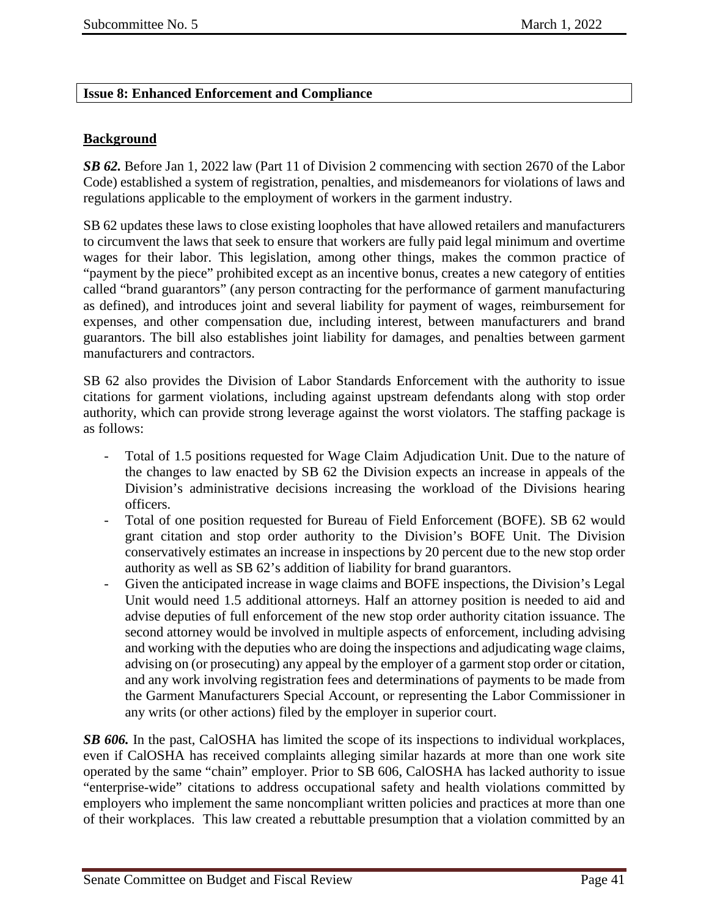## <span id="page-40-0"></span>**Issue 8: Enhanced Enforcement and Compliance**

## **Background**

*SB 62.* Before Jan 1, 2022 law (Part 11 of Division 2 commencing with section 2670 of the Labor Code) established a system of registration, penalties, and misdemeanors for violations of laws and regulations applicable to the employment of workers in the garment industry.

SB 62 updates these laws to close existing loopholes that have allowed retailers and manufacturers to circumvent the laws that seek to ensure that workers are fully paid legal minimum and overtime wages for their labor. This legislation, among other things, makes the common practice of "payment by the piece" prohibited except as an incentive bonus, creates a new category of entities called "brand guarantors" (any person contracting for the performance of garment manufacturing as defined), and introduces joint and several liability for payment of wages, reimbursement for expenses, and other compensation due, including interest, between manufacturers and brand guarantors. The bill also establishes joint liability for damages, and penalties between garment manufacturers and contractors.

SB 62 also provides the Division of Labor Standards Enforcement with the authority to issue citations for garment violations, including against upstream defendants along with stop order authority, which can provide strong leverage against the worst violators. The staffing package is as follows:

- Total of 1.5 positions requested for Wage Claim Adjudication Unit. Due to the nature of the changes to law enacted by SB 62 the Division expects an increase in appeals of the Division's administrative decisions increasing the workload of the Divisions hearing officers.
- Total of one position requested for Bureau of Field Enforcement (BOFE). SB 62 would grant citation and stop order authority to the Division's BOFE Unit. The Division conservatively estimates an increase in inspections by 20 percent due to the new stop order authority as well as SB 62's addition of liability for brand guarantors.
- Given the anticipated increase in wage claims and BOFE inspections, the Division's Legal Unit would need 1.5 additional attorneys. Half an attorney position is needed to aid and advise deputies of full enforcement of the new stop order authority citation issuance. The second attorney would be involved in multiple aspects of enforcement, including advising and working with the deputies who are doing the inspections and adjudicating wage claims, advising on (or prosecuting) any appeal by the employer of a garment stop order or citation, and any work involving registration fees and determinations of payments to be made from the Garment Manufacturers Special Account, or representing the Labor Commissioner in any writs (or other actions) filed by the employer in superior court.

**SB 606.** In the past, CalOSHA has limited the scope of its inspections to individual workplaces, even if CalOSHA has received complaints alleging similar hazards at more than one work site operated by the same "chain" employer. Prior to SB 606, CalOSHA has lacked authority to issue "enterprise-wide" citations to address occupational safety and health violations committed by employers who implement the same noncompliant written policies and practices at more than one of their workplaces. This law created a rebuttable presumption that a violation committed by an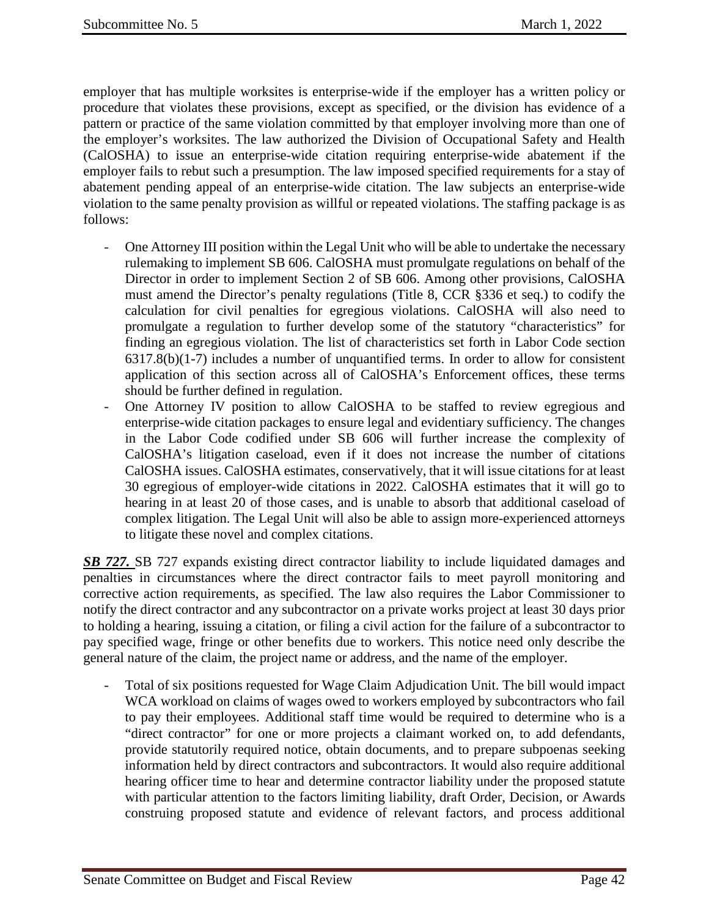employer that has multiple worksites is enterprise-wide if the employer has a written policy or procedure that violates these provisions, except as specified, or the division has evidence of a pattern or practice of the same violation committed by that employer involving more than one of the employer's worksites. The law authorized the Division of Occupational Safety and Health (CalOSHA) to issue an enterprise-wide citation requiring enterprise-wide abatement if the employer fails to rebut such a presumption. The law imposed specified requirements for a stay of abatement pending appeal of an enterprise-wide citation. The law subjects an enterprise-wide violation to the same penalty provision as willful or repeated violations. The staffing package is as follows:

- One Attorney III position within the Legal Unit who will be able to undertake the necessary rulemaking to implement SB 606. CalOSHA must promulgate regulations on behalf of the Director in order to implement Section 2 of SB 606. Among other provisions, CalOSHA must amend the Director's penalty regulations (Title 8, CCR §336 et seq.) to codify the calculation for civil penalties for egregious violations. CalOSHA will also need to promulgate a regulation to further develop some of the statutory "characteristics" for finding an egregious violation. The list of characteristics set forth in Labor Code section 6317.8(b)(1-7) includes a number of unquantified terms. In order to allow for consistent application of this section across all of CalOSHA's Enforcement offices, these terms should be further defined in regulation.
- One Attorney IV position to allow CalOSHA to be staffed to review egregious and enterprise-wide citation packages to ensure legal and evidentiary sufficiency. The changes in the Labor Code codified under SB 606 will further increase the complexity of CalOSHA's litigation caseload, even if it does not increase the number of citations CalOSHA issues. CalOSHA estimates, conservatively, that it will issue citations for at least 30 egregious of employer-wide citations in 2022. CalOSHA estimates that it will go to hearing in at least 20 of those cases, and is unable to absorb that additional caseload of complex litigation. The Legal Unit will also be able to assign more-experienced attorneys to litigate these novel and complex citations.

**SB 727.** SB 727 expands existing direct contractor liability to include liquidated damages and penalties in circumstances where the direct contractor fails to meet payroll monitoring and corrective action requirements, as specified. The law also requires the Labor Commissioner to notify the direct contractor and any subcontractor on a private works project at least 30 days prior to holding a hearing, issuing a citation, or filing a civil action for the failure of a subcontractor to pay specified wage, fringe or other benefits due to workers. This notice need only describe the general nature of the claim, the project name or address, and the name of the employer.

- Total of six positions requested for Wage Claim Adjudication Unit. The bill would impact WCA workload on claims of wages owed to workers employed by subcontractors who fail to pay their employees. Additional staff time would be required to determine who is a "direct contractor" for one or more projects a claimant worked on, to add defendants, provide statutorily required notice, obtain documents, and to prepare subpoenas seeking information held by direct contractors and subcontractors. It would also require additional hearing officer time to hear and determine contractor liability under the proposed statute with particular attention to the factors limiting liability, draft Order, Decision, or Awards construing proposed statute and evidence of relevant factors, and process additional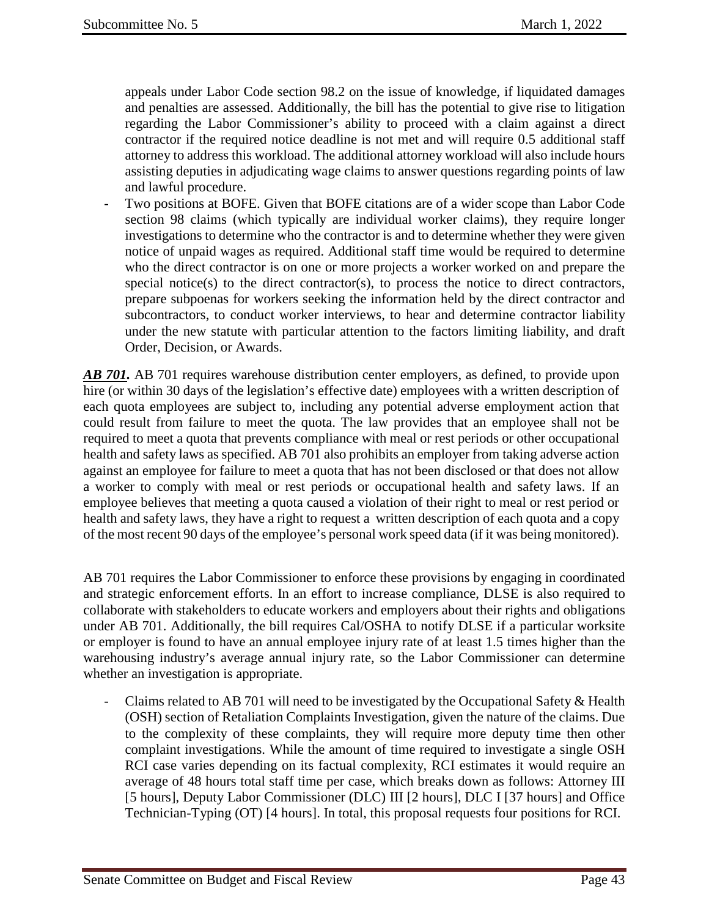appeals under Labor Code section 98.2 on the issue of knowledge, if liquidated damages and penalties are assessed. Additionally, the bill has the potential to give rise to litigation regarding the Labor Commissioner's ability to proceed with a claim against a direct contractor if the required notice deadline is not met and will require 0.5 additional staff attorney to address this workload. The additional attorney workload will also include hours assisting deputies in adjudicating wage claims to answer questions regarding points of law and lawful procedure.

Two positions at BOFE. Given that BOFE citations are of a wider scope than Labor Code section 98 claims (which typically are individual worker claims), they require longer investigations to determine who the contractor is and to determine whether they were given notice of unpaid wages as required. Additional staff time would be required to determine who the direct contractor is on one or more projects a worker worked on and prepare the special notice(s) to the direct contractor(s), to process the notice to direct contractors, prepare subpoenas for workers seeking the information held by the direct contractor and subcontractors, to conduct worker interviews, to hear and determine contractor liability under the new statute with particular attention to the factors limiting liability, and draft Order, Decision, or Awards.

AB 701. AB 701 requires warehouse distribution center employers, as defined, to provide upon hire (or within 30 days of the legislation's effective date) employees with a written description of each quota employees are subject to, including any potential adverse employment action that could result from failure to meet the quota. The law provides that an employee shall not be required to meet a quota that prevents compliance with meal or rest periods or other occupational health and safety laws as specified. AB 701 also prohibits an employer from taking adverse action against an employee for failure to meet a quota that has not been disclosed or that does not allow a worker to comply with meal or rest periods or occupational health and safety laws. If an employee believes that meeting a quota caused a violation of their right to meal or rest period or health and safety laws, they have a right to request a written description of each quota and a copy of the most recent 90 days of the employee's personal work speed data (if it was being monitored).

AB 701 requires the Labor Commissioner to enforce these provisions by engaging in coordinated and strategic enforcement efforts. In an effort to increase compliance, DLSE is also required to collaborate with stakeholders to educate workers and employers about their rights and obligations under AB 701. Additionally, the bill requires Cal/OSHA to notify DLSE if a particular worksite or employer is found to have an annual employee injury rate of at least 1.5 times higher than the warehousing industry's average annual injury rate, so the Labor Commissioner can determine whether an investigation is appropriate.

- Claims related to AB 701 will need to be investigated by the Occupational Safety & Health (OSH) section of Retaliation Complaints Investigation, given the nature of the claims. Due to the complexity of these complaints, they will require more deputy time then other complaint investigations. While the amount of time required to investigate a single OSH RCI case varies depending on its factual complexity, RCI estimates it would require an average of 48 hours total staff time per case, which breaks down as follows: Attorney III [5 hours], Deputy Labor Commissioner (DLC) III [2 hours], DLC I [37 hours] and Office Technician-Typing (OT) [4 hours]. In total, this proposal requests four positions for RCI.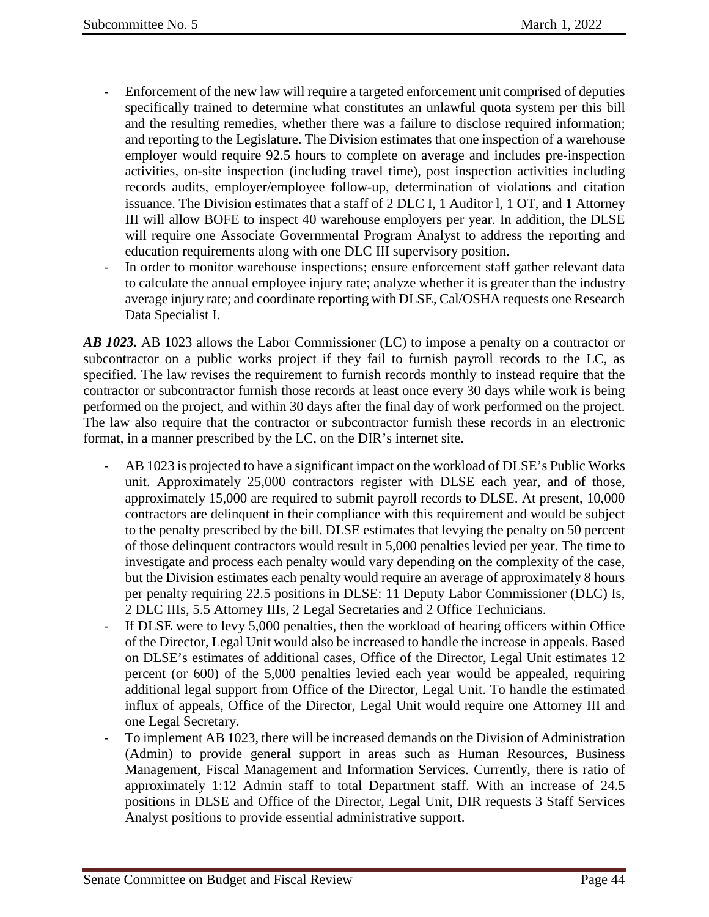- Enforcement of the new law will require a targeted enforcement unit comprised of deputies specifically trained to determine what constitutes an unlawful quota system per this bill and the resulting remedies, whether there was a failure to disclose required information; and reporting to the Legislature. The Division estimates that one inspection of a warehouse employer would require 92.5 hours to complete on average and includes pre-inspection activities, on-site inspection (including travel time), post inspection activities including records audits, employer/employee follow-up, determination of violations and citation issuance. The Division estimates that a staff of 2 DLC I, 1 Auditor l, 1 OT, and 1 Attorney III will allow BOFE to inspect 40 warehouse employers per year. In addition, the DLSE will require one Associate Governmental Program Analyst to address the reporting and education requirements along with one DLC III supervisory position.
- In order to monitor warehouse inspections; ensure enforcement staff gather relevant data to calculate the annual employee injury rate; analyze whether it is greater than the industry average injury rate; and coordinate reporting with DLSE, Cal/OSHA requests one Research Data Specialist I.

*AB 1023.* AB 1023 allows the Labor Commissioner (LC) to impose a penalty on a contractor or subcontractor on a public works project if they fail to furnish payroll records to the LC, as specified. The law revises the requirement to furnish records monthly to instead require that the contractor or subcontractor furnish those records at least once every 30 days while work is being performed on the project, and within 30 days after the final day of work performed on the project. The law also require that the contractor or subcontractor furnish these records in an electronic format, in a manner prescribed by the LC, on the DIR's internet site.

- AB 1023 is projected to have a significant impact on the workload of DLSE's Public Works unit. Approximately 25,000 contractors register with DLSE each year, and of those, approximately 15,000 are required to submit payroll records to DLSE. At present, 10,000 contractors are delinquent in their compliance with this requirement and would be subject to the penalty prescribed by the bill. DLSE estimates that levying the penalty on 50 percent of those delinquent contractors would result in 5,000 penalties levied per year. The time to investigate and process each penalty would vary depending on the complexity of the case, but the Division estimates each penalty would require an average of approximately 8 hours per penalty requiring 22.5 positions in DLSE: 11 Deputy Labor Commissioner (DLC) Is, 2 DLC IIIs, 5.5 Attorney IIIs, 2 Legal Secretaries and 2 Office Technicians.
- If DLSE were to levy 5,000 penalties, then the workload of hearing officers within Office of the Director, Legal Unit would also be increased to handle the increase in appeals. Based on DLSE's estimates of additional cases, Office of the Director, Legal Unit estimates 12 percent (or 600) of the 5,000 penalties levied each year would be appealed, requiring additional legal support from Office of the Director, Legal Unit. To handle the estimated influx of appeals, Office of the Director, Legal Unit would require one Attorney III and one Legal Secretary.
- To implement AB 1023, there will be increased demands on the Division of Administration (Admin) to provide general support in areas such as Human Resources, Business Management, Fiscal Management and Information Services. Currently, there is ratio of approximately 1:12 Admin staff to total Department staff. With an increase of 24.5 positions in DLSE and Office of the Director, Legal Unit, DIR requests 3 Staff Services Analyst positions to provide essential administrative support.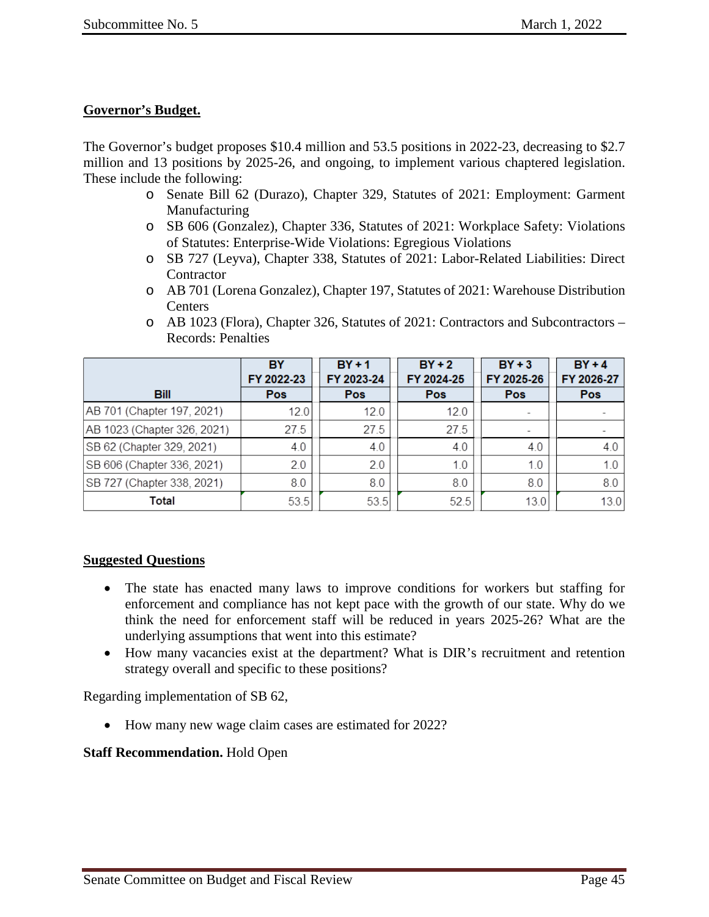## **Governor's Budget.**

The Governor's budget proposes \$10.4 million and 53.5 positions in 2022-23, decreasing to \$2.7 million and 13 positions by 2025-26, and ongoing, to implement various chaptered legislation. These include the following:

- o Senate Bill 62 (Durazo), Chapter 329, Statutes of 2021: Employment: Garment Manufacturing
- o SB 606 (Gonzalez), Chapter 336, Statutes of 2021: Workplace Safety: Violations of Statutes: Enterprise-Wide Violations: Egregious Violations
- o SB 727 (Leyva), Chapter 338, Statutes of 2021: Labor-Related Liabilities: Direct **Contractor**
- o AB 701 (Lorena Gonzalez), Chapter 197, Statutes of 2021: Warehouse Distribution **Centers**
- o AB 1023 (Flora), Chapter 326, Statutes of 2021: Contractors and Subcontractors Records: Penalties

|                             | BY         | $BY + 1$   | $BY + 2$   | $BY + 3$                 | $BY + 4$   |
|-----------------------------|------------|------------|------------|--------------------------|------------|
|                             | FY 2022-23 | FY 2023-24 | FY 2024-25 | FY 2025-26               | FY 2026-27 |
| <b>Bill</b>                 | <b>Pos</b> | <b>Pos</b> | Pos        | Pos                      | Pos        |
| AB 701 (Chapter 197, 2021)  | 12.0       | 12.0       | 12.0       |                          |            |
| AB 1023 (Chapter 326, 2021) | 27.5       | 27.5       | 27.5       | $\overline{\phantom{a}}$ |            |
| SB 62 (Chapter 329, 2021)   | 4.0        | 4.0        | 4.0        | 4.0                      | 4.0        |
| SB 606 (Chapter 336, 2021)  | 2.0        | 2.0        | 1.0        | 1.0                      | 1.0        |
| SB 727 (Chapter 338, 2021)  | 8.0        | 8.0        | 8.0        | 8.0                      | 8.0        |
| Total                       | 53.5       | 53.5       | 52.5       | 13.0                     | 13.0       |

## **Suggested Questions**

- The state has enacted many laws to improve conditions for workers but staffing for enforcement and compliance has not kept pace with the growth of our state. Why do we think the need for enforcement staff will be reduced in years 2025-26? What are the underlying assumptions that went into this estimate?
- How many vacancies exist at the department? What is DIR's recruitment and retention strategy overall and specific to these positions?

Regarding implementation of SB 62,

• How many new wage claim cases are estimated for 2022?

## **Staff Recommendation.** Hold Open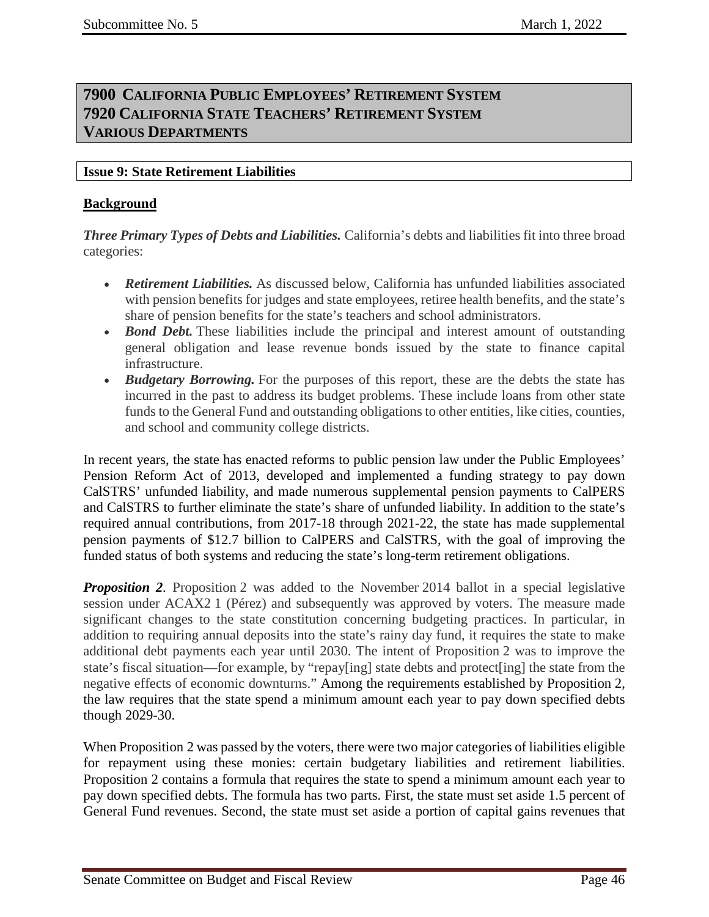# <span id="page-45-2"></span><span id="page-45-1"></span><span id="page-45-0"></span>**7900 CALIFORNIA PUBLIC EMPLOYEES' RETIREMENT SYSTEM 7920 CALIFORNIA STATE TEACHERS' RETIREMENT SYSTEM VARIOUS DEPARTMENTS**

## <span id="page-45-3"></span>**Issue 9: State Retirement Liabilities**

## **Background**

*Three Primary Types of Debts and Liabilities.* California's debts and liabilities fit into three broad categories:

- *Retirement Liabilities.* As discussed below, California has unfunded liabilities associated with pension benefits for judges and state employees, retiree health benefits, and the state's share of pension benefits for the state's teachers and school administrators.
- *Bond Debt*. These liabilities include the principal and interest amount of outstanding general obligation and lease revenue bonds issued by the state to finance capital infrastructure.
- *Budgetary Borrowing*. For the purposes of this report, these are the debts the state has incurred in the past to address its budget problems. These include loans from other state funds to the General Fund and outstanding obligations to other entities, like cities, counties, and school and community college districts.

In recent years, the state has enacted reforms to public pension law under the Public Employees' Pension Reform Act of 2013, developed and implemented a funding strategy to pay down CalSTRS' unfunded liability, and made numerous supplemental pension payments to CalPERS and CalSTRS to further eliminate the state's share of unfunded liability. In addition to the state's required annual contributions, from 2017-18 through 2021-22, the state has made supplemental pension payments of \$12.7 billion to CalPERS and CalSTRS, with the goal of improving the funded status of both systems and reducing the state's long-term retirement obligations.

*Proposition 2.* Proposition 2 was added to the November 2014 ballot in a special legislative session under ACAX2 1 (Pérez) and subsequently was approved by voters. The measure made significant changes to the state constitution concerning budgeting practices. In particular, in addition to requiring annual deposits into the state's rainy day fund, it requires the state to make additional debt payments each year until 2030. The intent of Proposition 2 was to improve the state's fiscal situation—for example, by "repay[ing] state debts and protect[ing] the state from the negative effects of economic downturns." Among the requirements established by Proposition 2, the law requires that the state spend a minimum amount each year to pay down specified debts though 2029-30.

When Proposition 2 was passed by the voters, there were two major categories of liabilities eligible for repayment using these monies: certain budgetary liabilities and retirement liabilities. Proposition 2 contains a formula that requires the state to spend a minimum amount each year to pay down specified debts. The formula has two parts. First, the state must set aside 1.5 percent of General Fund revenues. Second, the state must set aside a portion of capital gains revenues that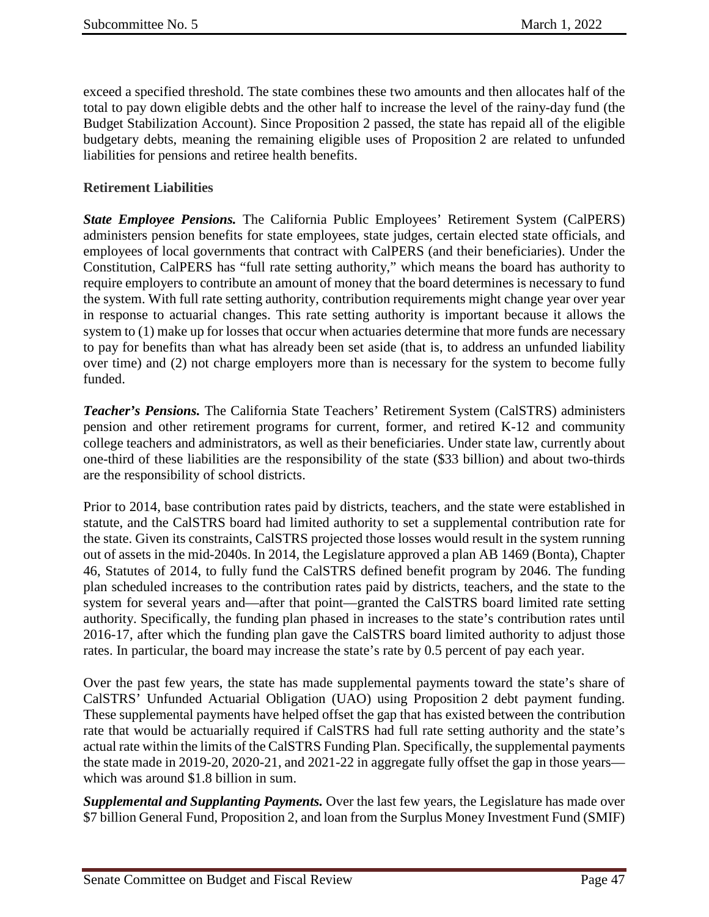exceed a specified threshold. The state combines these two amounts and then allocates half of the total to pay down eligible debts and the other half to increase the level of the rainy-day fund (the Budget Stabilization Account). Since Proposition 2 passed, the state has repaid all of the eligible budgetary debts, meaning the remaining eligible uses of Proposition 2 are related to unfunded liabilities for pensions and retiree health benefits.

## **Retirement Liabilities**

*State Employee Pensions.* The California Public Employees' Retirement System (CalPERS) administers pension benefits for state employees, state judges, certain elected state officials, and employees of local governments that contract with CalPERS (and their beneficiaries). Under the Constitution, CalPERS has "full rate setting authority," which means the board has authority to require employers to contribute an amount of money that the board determines is necessary to fund the system. With full rate setting authority, contribution requirements might change year over year in response to actuarial changes. This rate setting authority is important because it allows the system to (1) make up for losses that occur when actuaries determine that more funds are necessary to pay for benefits than what has already been set aside (that is, to address an unfunded liability over time) and (2) not charge employers more than is necessary for the system to become fully funded.

*Teacher's Pensions.* The California State Teachers' Retirement System (CalSTRS) administers pension and other retirement programs for current, former, and retired K-12 and community college teachers and administrators, as well as their beneficiaries. Under state law, currently about one-third of these liabilities are the responsibility of the state (\$33 billion) and about two-thirds are the responsibility of school districts.

Prior to 2014, base contribution rates paid by districts, teachers, and the state were established in statute, and the CalSTRS board had limited authority to set a supplemental contribution rate for the state. Given its constraints, CalSTRS projected those losses would result in the system running out of assets in the mid-2040s. In 2014, the Legislature approved a plan AB 1469 (Bonta), Chapter 46, Statutes of 2014, to fully fund the CalSTRS defined benefit program by 2046. The funding plan scheduled increases to the contribution rates paid by districts, teachers, and the state to the system for several years and—after that point—granted the CalSTRS board limited rate setting authority. Specifically, the funding plan phased in increases to the state's contribution rates until 2016-17, after which the funding plan gave the CalSTRS board limited authority to adjust those rates. In particular, the board may increase the state's rate by 0.5 percent of pay each year.

Over the past few years, the state has made supplemental payments toward the state's share of CalSTRS' Unfunded Actuarial Obligation (UAO) using Proposition 2 debt payment funding. These supplemental payments have helped offset the gap that has existed between the contribution rate that would be actuarially required if CalSTRS had full rate setting authority and the state's actual rate within the limits of the CalSTRS Funding Plan. Specifically, the supplemental payments the state made in 2019-20, 2020-21, and 2021-22 in aggregate fully offset the gap in those years which was around \$1.8 billion in sum.

*Supplemental and Supplanting Payments.* Over the last few years, the Legislature has made over \$7 billion General Fund, Proposition 2, and loan from the Surplus Money Investment Fund (SMIF)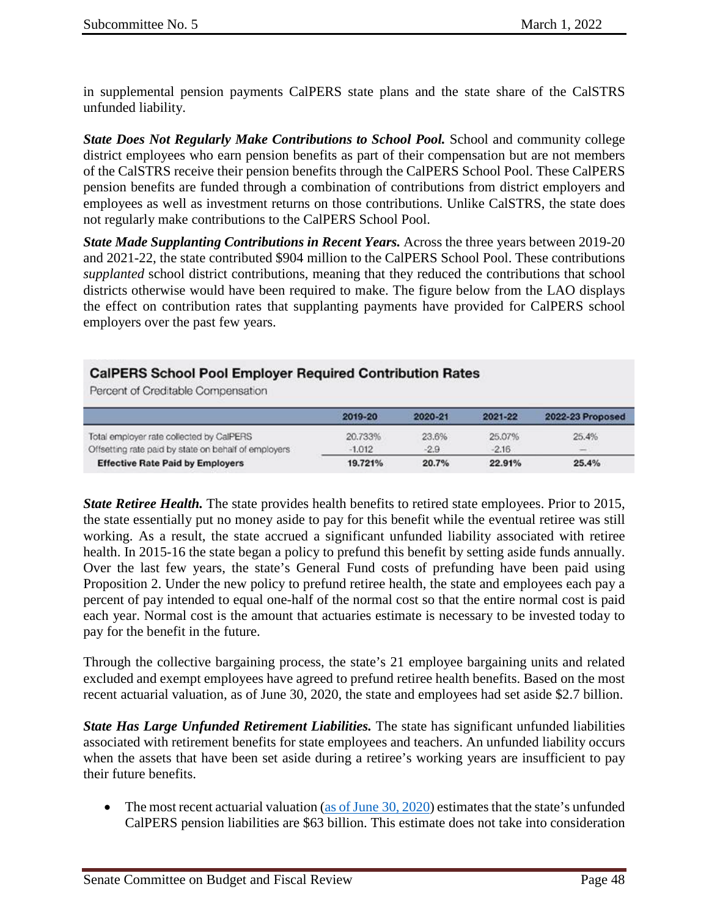in supplemental pension payments CalPERS state plans and the state share of the CalSTRS unfunded liability.

*State Does Not Regularly Make Contributions to School Pool.* School and community college district employees who earn pension benefits as part of their compensation but are not members of the CalSTRS receive their pension benefits through the CalPERS School Pool. These CalPERS pension benefits are funded through a combination of contributions from district employers and employees as well as investment returns on those contributions. Unlike CalSTRS, the state does not regularly make contributions to the CalPERS School Pool.

*State Made Supplanting Contributions in Recent Years.* Across the three years between 2019-20 and 2021-22, the state contributed \$904 million to the CalPERS School Pool. These contributions *supplanted* school district contributions, meaning that they reduced the contributions that school districts otherwise would have been required to make. The figure below from the LAO displays the effect on contribution rates that supplanting payments have provided for CalPERS school employers over the past few years.

## **CalPERS School Pool Employer Required Contribution Rates**

Percent of Creditable Compensation

|                                                      | 2019-20  | 2020-21 | 2021-22 | 2022-23 Proposed |
|------------------------------------------------------|----------|---------|---------|------------------|
| Total employer rate collected by CalPERS             | 20.733%  | 23.6%   | 25.07%  | 25.4%            |
| Offsetting rate paid by state on behalf of employers | $-1.012$ | $-2.9$  | $-2.16$ | $\equiv$         |
| <b>Effective Rate Paid by Employers</b>              | 19.721%  | 20.7%   | 22.91%  | 25.4%            |

*State Retiree Health.* The state provides health benefits to retired state employees. Prior to 2015, the state essentially put no money aside to pay for this benefit while the eventual retiree was still working. As a result, the state accrued a significant unfunded liability associated with retiree health. In 2015-16 the state began a policy to prefund this benefit by setting aside funds annually. Over the last few years, the state's General Fund costs of prefunding have been paid using Proposition 2. Under the new policy to prefund retiree health, the state and employees each pay a percent of pay intended to equal one-half of the normal cost so that the entire normal cost is paid each year. Normal cost is the amount that actuaries estimate is necessary to be invested today to pay for the benefit in the future.

Through the collective bargaining process, the state's 21 employee bargaining units and related excluded and exempt employees have agreed to prefund retiree health benefits. Based on the most recent actuarial valuation, as of June 30, 2020, the state and employees had set aside \$2.7 billion.

*State Has Large Unfunded Retirement Liabilities.* The state has significant unfunded liabilities associated with retirement benefits for state employees and teachers. An unfunded liability occurs when the assets that have been set aside during a retiree's working years are insufficient to pay their future benefits.

• The most recent actuarial valuation [\(as of June](https://www.calpers.ca.gov/docs/forms-publications/2020-state-valuation.pdf)  $30, 2020$ ) estimates that the state's unfunded CalPERS pension liabilities are \$63 billion. This estimate does not take into consideration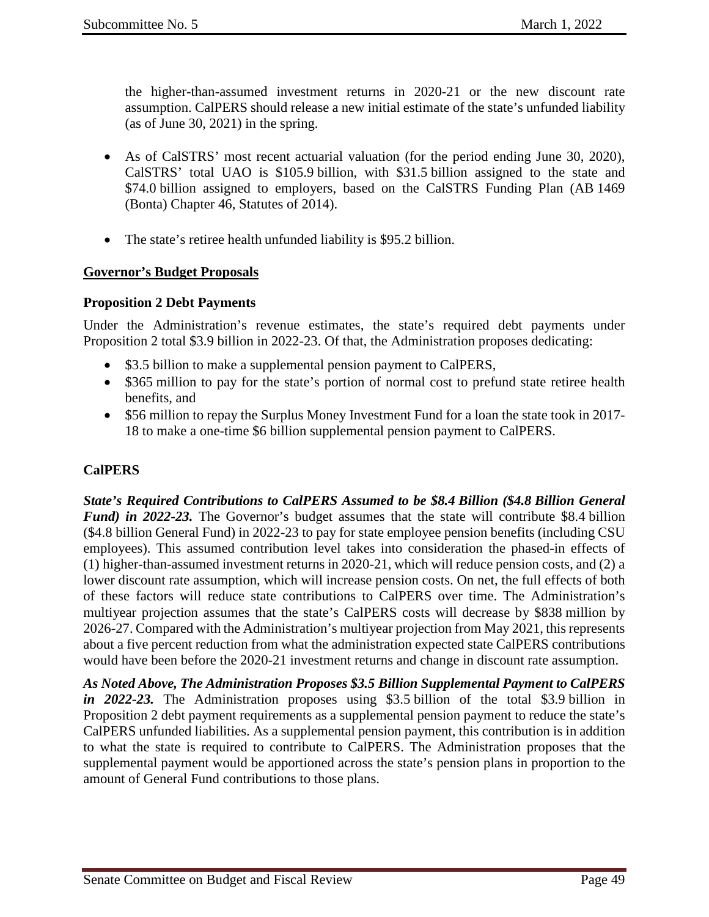the higher-than-assumed investment returns in 2020-21 or the new discount rate assumption. CalPERS should release a new initial estimate of the state's unfunded liability (as of June 30, 2021) in the spring.

- As of CalSTRS' most recent actuarial valuation (for the period ending June 30, 2020), CalSTRS' total UAO is \$105.9 billion, with \$31.5 billion assigned to the state and \$74.0 billion assigned to employers, based on the CalSTRS Funding Plan (AB 1469 (Bonta) Chapter 46, Statutes of 2014).
- The state's retiree health unfunded liability is \$95.2 billion.

## **Governor's Budget Proposals**

### **Proposition 2 Debt Payments**

Under the Administration's revenue estimates, the state's required debt payments under Proposition 2 total \$3.9 billion in 2022-23. Of that, the Administration proposes dedicating:

- \$3.5 billion to make a supplemental pension payment to CalPERS,
- \$365 million to pay for the state's portion of normal cost to prefund state retiree health benefits, and
- \$56 million to repay the Surplus Money Investment Fund for a loan the state took in 2017-18 to make a one-time \$6 billion supplemental pension payment to CalPERS.

## **CalPERS**

*State's Required Contributions to CalPERS Assumed to be \$8.4 Billion (\$4.8 Billion General Fund) in 2022-23.* The Governor's budget assumes that the state will contribute \$8.4 billion (\$4.8 billion General Fund) in 2022-23 to pay for state employee pension benefits (including CSU employees). This assumed contribution level takes into consideration the phased-in effects of (1) higher-than-assumed investment returns in 2020-21, which will reduce pension costs, and (2) a lower discount rate assumption, which will increase pension costs. On net, the full effects of both of these factors will reduce state contributions to CalPERS over time. The Administration's multiyear projection assumes that the state's CalPERS costs will decrease by \$838 million by 2026-27. Compared with the Administration's multiyear projection from May 2021, this represents about a five percent reduction from what the administration expected state CalPERS contributions would have been before the 2020-21 investment returns and change in discount rate assumption.

*As Noted Above, The Administration Proposes \$3.5 Billion Supplemental Payment to CalPERS in 2022-23.* The Administration proposes using \$3.5 billion of the total \$3.9 billion in Proposition 2 debt payment requirements as a supplemental pension payment to reduce the state's CalPERS unfunded liabilities. As a supplemental pension payment, this contribution is in addition to what the state is required to contribute to CalPERS. The Administration proposes that the supplemental payment would be apportioned across the state's pension plans in proportion to the amount of General Fund contributions to those plans.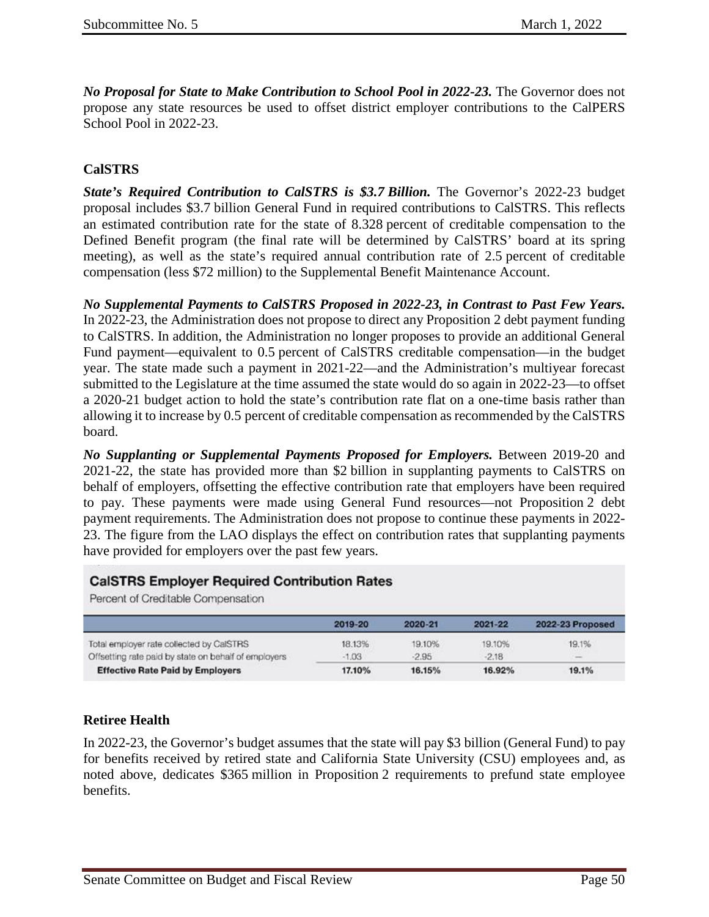*No Proposal for State to Make Contribution to School Pool in 2022-23.* The Governor does not propose any state resources be used to offset district employer contributions to the CalPERS School Pool in 2022-23.

## **CalSTRS**

*State's Required Contribution to CalSTRS is \$3.7 Billion.* The Governor's 2022-23 budget proposal includes \$3.7 billion General Fund in required contributions to CalSTRS. This reflects an estimated contribution rate for the state of 8.328 percent of creditable compensation to the Defined Benefit program (the final rate will be determined by CalSTRS' board at its spring meeting), as well as the state's required annual contribution rate of 2.5 percent of creditable compensation (less \$72 million) to the Supplemental Benefit Maintenance Account.

*No Supplemental Payments to CalSTRS Proposed in 2022-23, in Contrast to Past Few Years.* In 2022-23, the Administration does not propose to direct any Proposition 2 debt payment funding to CalSTRS. In addition, the Administration no longer proposes to provide an additional General Fund payment—equivalent to 0.5 percent of CalSTRS creditable compensation—in the budget year. The state made such a payment in 2021-22—and the Administration's multiyear forecast submitted to the Legislature at the time assumed the state would do so again in 2022-23—to offset a 2020-21 budget action to hold the state's contribution rate flat on a one-time basis rather than allowing it to increase by 0.5 percent of creditable compensation as recommended by the CalSTRS board.

*No Supplanting or Supplemental Payments Proposed for Employers.* Between 2019-20 and 2021-22, the state has provided more than \$2 billion in supplanting payments to CalSTRS on behalf of employers, offsetting the effective contribution rate that employers have been required to pay. These payments were made using General Fund resources—not Proposition 2 debt payment requirements. The Administration does not propose to continue these payments in 2022- 23. The figure from the LAO displays the effect on contribution rates that supplanting payments have provided for employers over the past few years.

#### **CalSTRS Employer Required Contribution Rates**

Percent of Creditable Compensation

|                                                      | 2019-20 | 2020-21 | 2021-22 | 2022-23 Proposed |
|------------------------------------------------------|---------|---------|---------|------------------|
| Total employer rate collected by CalSTRS             | 18.13%  | 19.10%  | 19.10%  | 19.1%            |
| Offsetting rate paid by state on behalf of employers | $-1.03$ | $-2.95$ | $-2.18$ | $-$              |
| <b>Effective Rate Paid by Employers</b>              | 17.10%  | 16.15%  | 16.92%  | 19.1%            |

## **Retiree Health**

In 2022-23, the Governor's budget assumes that the state will pay \$3 billion (General Fund) to pay for benefits received by retired state and California State University (CSU) employees and, as noted above, dedicates \$365 million in Proposition 2 requirements to prefund state employee benefits.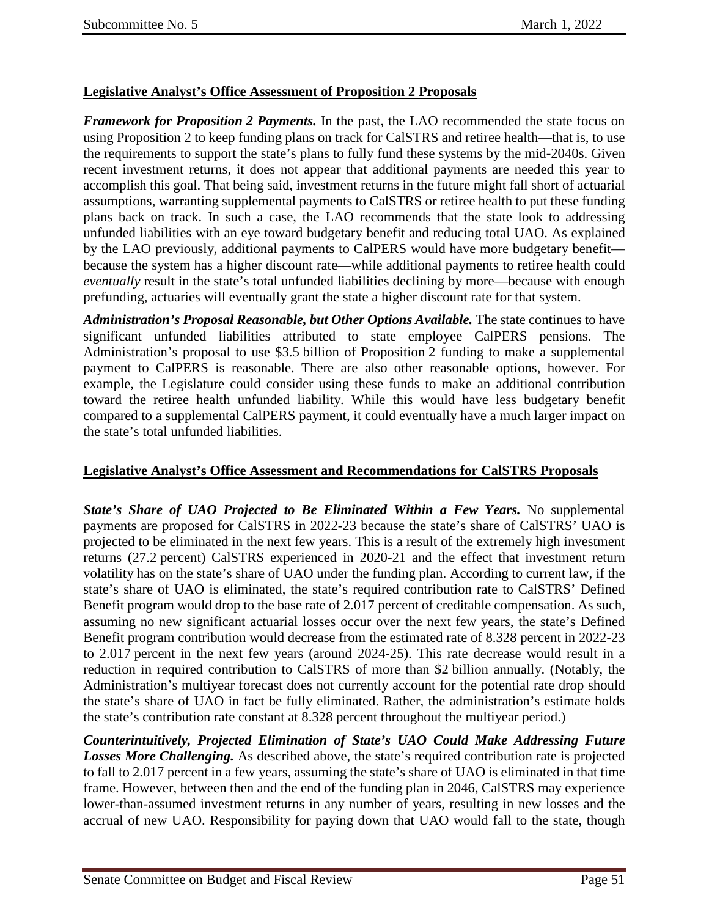# **Legislative Analyst's Office Assessment of Proposition 2 Proposals**

*Framework for Proposition 2 Payments.* In the past, the LAO recommended the state focus on using Proposition 2 to keep funding plans on track for CalSTRS and retiree health—that is, to use the requirements to support the state's plans to fully fund these systems by the mid-2040s. Given recent investment returns, it does not appear that additional payments are needed this year to accomplish this goal. That being said, investment returns in the future might fall short of actuarial assumptions, warranting supplemental payments to CalSTRS or retiree health to put these funding plans back on track. In such a case, the LAO recommends that the state look to addressing unfunded liabilities with an eye toward budgetary benefit and reducing total UAO. As explained by the LAO previously, additional payments to CalPERS would have more budgetary benefit because the system has a higher discount rate—while additional payments to retiree health could *eventually* result in the state's total unfunded liabilities declining by more—because with enough prefunding, actuaries will eventually grant the state a higher discount rate for that system.

*Administration's Proposal Reasonable, but Other Options Available.* The state continues to have significant unfunded liabilities attributed to state employee CalPERS pensions. The Administration's proposal to use \$3.5 billion of Proposition 2 funding to make a supplemental payment to CalPERS is reasonable. There are also other reasonable options, however. For example, the Legislature could consider using these funds to make an additional contribution toward the retiree health unfunded liability. While this would have less budgetary benefit compared to a supplemental CalPERS payment, it could eventually have a much larger impact on the state's total unfunded liabilities.

## **Legislative Analyst's Office Assessment and Recommendations for CalSTRS Proposals**

*State's Share of UAO Projected to Be Eliminated Within a Few Years.* No supplemental payments are proposed for CalSTRS in 2022-23 because the state's share of CalSTRS' UAO is projected to be eliminated in the next few years. This is a result of the extremely high investment returns (27.2 percent) CalSTRS experienced in 2020-21 and the effect that investment return volatility has on the state's share of UAO under the funding plan. According to current law, if the state's share of UAO is eliminated, the state's required contribution rate to CalSTRS' Defined Benefit program would drop to the base rate of 2.017 percent of creditable compensation. As such, assuming no new significant actuarial losses occur over the next few years, the state's Defined Benefit program contribution would decrease from the estimated rate of 8.328 percent in 2022-23 to 2.017 percent in the next few years (around 2024-25). This rate decrease would result in a reduction in required contribution to CalSTRS of more than \$2 billion annually. (Notably, the Administration's multiyear forecast does not currently account for the potential rate drop should the state's share of UAO in fact be fully eliminated. Rather, the administration's estimate holds the state's contribution rate constant at 8.328 percent throughout the multiyear period.)

*Counterintuitively, Projected Elimination of State's UAO Could Make Addressing Future Losses More Challenging.* As described above, the state's required contribution rate is projected to fall to 2.017 percent in a few years, assuming the state's share of UAO is eliminated in that time frame. However, between then and the end of the funding plan in 2046, CalSTRS may experience lower-than-assumed investment returns in any number of years, resulting in new losses and the accrual of new UAO. Responsibility for paying down that UAO would fall to the state, though